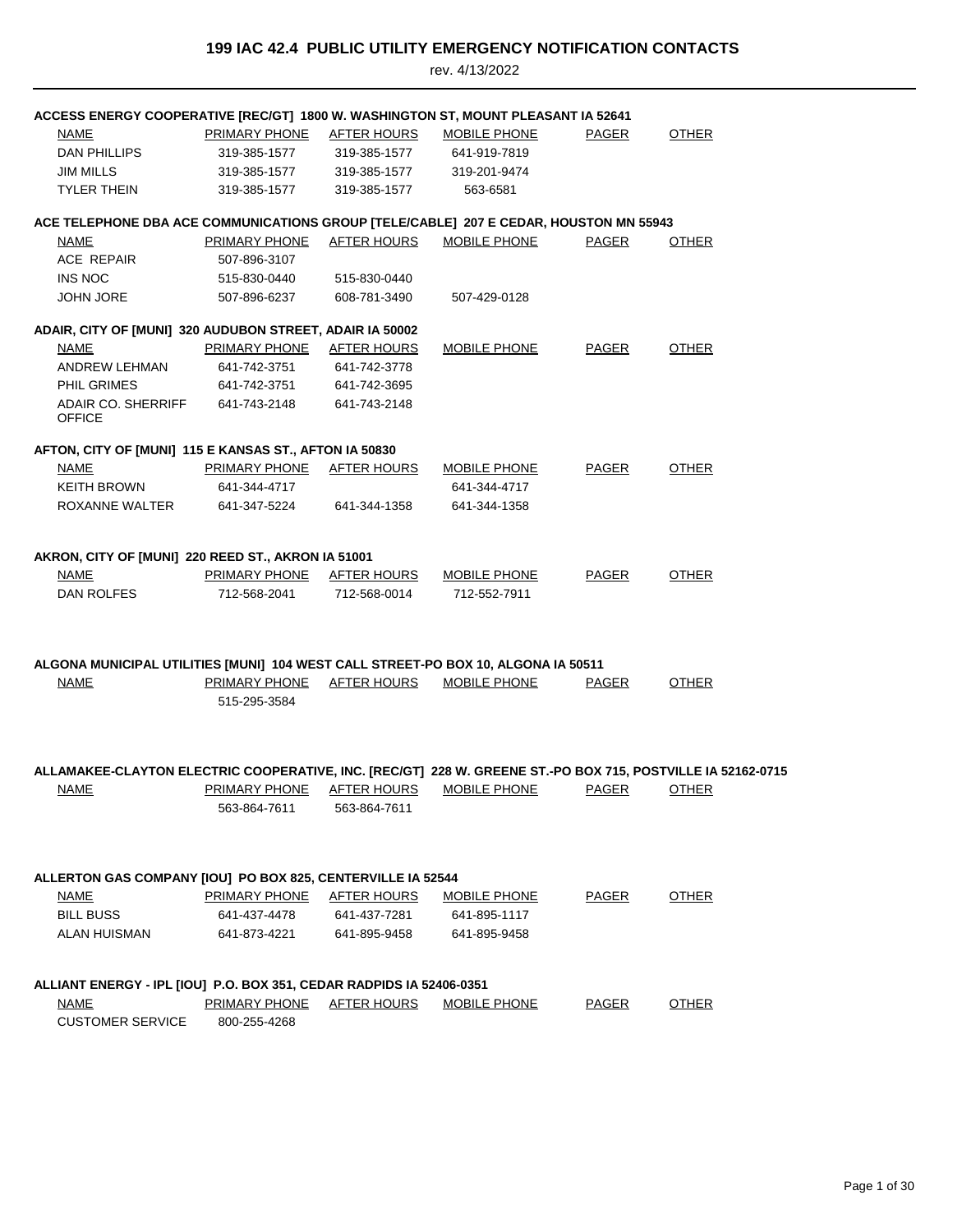| ACCESS ENERGY COOPERATIVE [REC/GT] 1800 W. WASHINGTON ST, MOUNT PLEASANT IA 52641                           |                      |                    |                     |              |              |  |
|-------------------------------------------------------------------------------------------------------------|----------------------|--------------------|---------------------|--------------|--------------|--|
| NAME                                                                                                        | <b>PRIMARY PHONE</b> | <b>AFTER HOURS</b> | <b>MOBILE PHONE</b> | <b>PAGER</b> | <b>OTHER</b> |  |
| DAN PHILLIPS                                                                                                | 319-385-1577         | 319-385-1577       | 641-919-7819        |              |              |  |
| <b>JIM MILLS</b>                                                                                            | 319-385-1577         | 319-385-1577       | 319-201-9474        |              |              |  |
| <b>TYLER THEIN</b>                                                                                          | 319-385-1577         | 319-385-1577       | 563-6581            |              |              |  |
| ACE TELEPHONE DBA ACE COMMUNICATIONS GROUP [TELE/CABLE] 207 E CEDAR, HOUSTON MN 55943                       |                      |                    |                     |              |              |  |
| NAME                                                                                                        | PRIMARY PHONE        | AFTER HOURS        | MOBILE PHONE        | PAGER        | <b>OTHER</b> |  |
| <b>ACE REPAIR</b>                                                                                           | 507-896-3107         |                    |                     |              |              |  |
| <b>INS NOC</b>                                                                                              | 515-830-0440         | 515-830-0440       |                     |              |              |  |
| <b>JOHN JORE</b>                                                                                            | 507-896-6237         | 608-781-3490       | 507-429-0128        |              |              |  |
| ADAIR, CITY OF [MUNI] 320 AUDUBON STREET, ADAIR IA 50002                                                    |                      |                    |                     |              |              |  |
| <b>NAME</b>                                                                                                 | <b>PRIMARY PHONE</b> | <b>AFTER HOURS</b> | <b>MOBILE PHONE</b> | <b>PAGER</b> | <b>OTHER</b> |  |
| ANDREW LEHMAN                                                                                               | 641-742-3751         | 641-742-3778       |                     |              |              |  |
| PHIL GRIMES                                                                                                 | 641-742-3751         | 641-742-3695       |                     |              |              |  |
| <b>ADAIR CO. SHERRIFF</b><br><b>OFFICE</b>                                                                  | 641-743-2148         | 641-743-2148       |                     |              |              |  |
|                                                                                                             |                      |                    |                     |              |              |  |
| AFTON, CITY OF [MUNI] 115 E KANSAS ST., AFTON IA 50830                                                      |                      |                    |                     |              |              |  |
| <b>NAME</b>                                                                                                 | PRIMARY PHONE        | AFTER HOURS        | MOBILE PHONE        | <b>PAGER</b> | <b>OTHER</b> |  |
| <b>KEITH BROWN</b>                                                                                          | 641-344-4717         |                    | 641-344-4717        |              |              |  |
| ROXANNE WALTER                                                                                              | 641-347-5224         | 641-344-1358       | 641-344-1358        |              |              |  |
| AKRON, CITY OF [MUNI] 220 REED ST., AKRON IA 51001                                                          |                      |                    |                     |              |              |  |
| <b>NAME</b>                                                                                                 | PRIMARY PHONE        | AFTER HOURS        | <b>MOBILE PHONE</b> | PAGER        | <b>OTHER</b> |  |
| <b>DAN ROLFES</b>                                                                                           | 712-568-2041         | 712-568-0014       | 712-552-7911        |              |              |  |
|                                                                                                             |                      |                    |                     |              |              |  |
| ALGONA MUNICIPAL UTILITIES [MUNI] 104 WEST CALL STREET-PO BOX 10, ALGONA IA 50511                           |                      |                    |                     |              |              |  |
| <b>NAME</b>                                                                                                 | <b>PRIMARY PHONE</b> | <b>AFTER HOURS</b> | MOBILE PHONE        | <b>PAGER</b> | <b>OTHER</b> |  |
|                                                                                                             | 515-295-3584         |                    |                     |              |              |  |
|                                                                                                             |                      |                    |                     |              |              |  |
|                                                                                                             |                      |                    |                     |              |              |  |
| ALLAMAKEE-CLAYTON ELECTRIC COOPERATIVE, INC. [REC/GT] 228 W. GREENE ST.-PO BOX 715, POSTVILLE IA 52162-0715 |                      |                    |                     |              |              |  |
| <b>NAME</b>                                                                                                 | PRIMARY PHONE        | <b>AFTER HOURS</b> | <b>MOBILE PHONE</b> | PAGER        | <b>OTHER</b> |  |
|                                                                                                             | 563-864-7611         | 563-864-7611       |                     |              |              |  |
|                                                                                                             |                      |                    |                     |              |              |  |
| ALLERTON GAS COMPANY [IOU] PO BOX 825, CENTERVILLE IA 52544                                                 |                      |                    |                     |              |              |  |
| <b>NAME</b>                                                                                                 | PRIMARY PHONE        | <b>AFTER HOURS</b> | <b>MOBILE PHONE</b> | <b>PAGER</b> | <b>OTHER</b> |  |
| <b>BILL BUSS</b>                                                                                            | 641-437-4478         | 641-437-7281       | 641-895-1117        |              |              |  |
| ALAN HUISMAN                                                                                                | 641-873-4221         | 641-895-9458       | 641-895-9458        |              |              |  |
|                                                                                                             |                      |                    |                     |              |              |  |
| ALLIANT ENERGY - IPL [IOU] P.O. BOX 351, CEDAR RADPIDS IA 52406-0351                                        |                      |                    |                     |              |              |  |
| <u>NAME</u>                                                                                                 | <b>PRIMARY PHONE</b> | <b>AFTER HOURS</b> | <b>MOBILE PHONE</b> | <b>PAGER</b> | <b>OTHER</b> |  |
| <b>CUSTOMER SERVICE</b>                                                                                     | 800-255-4268         |                    |                     |              |              |  |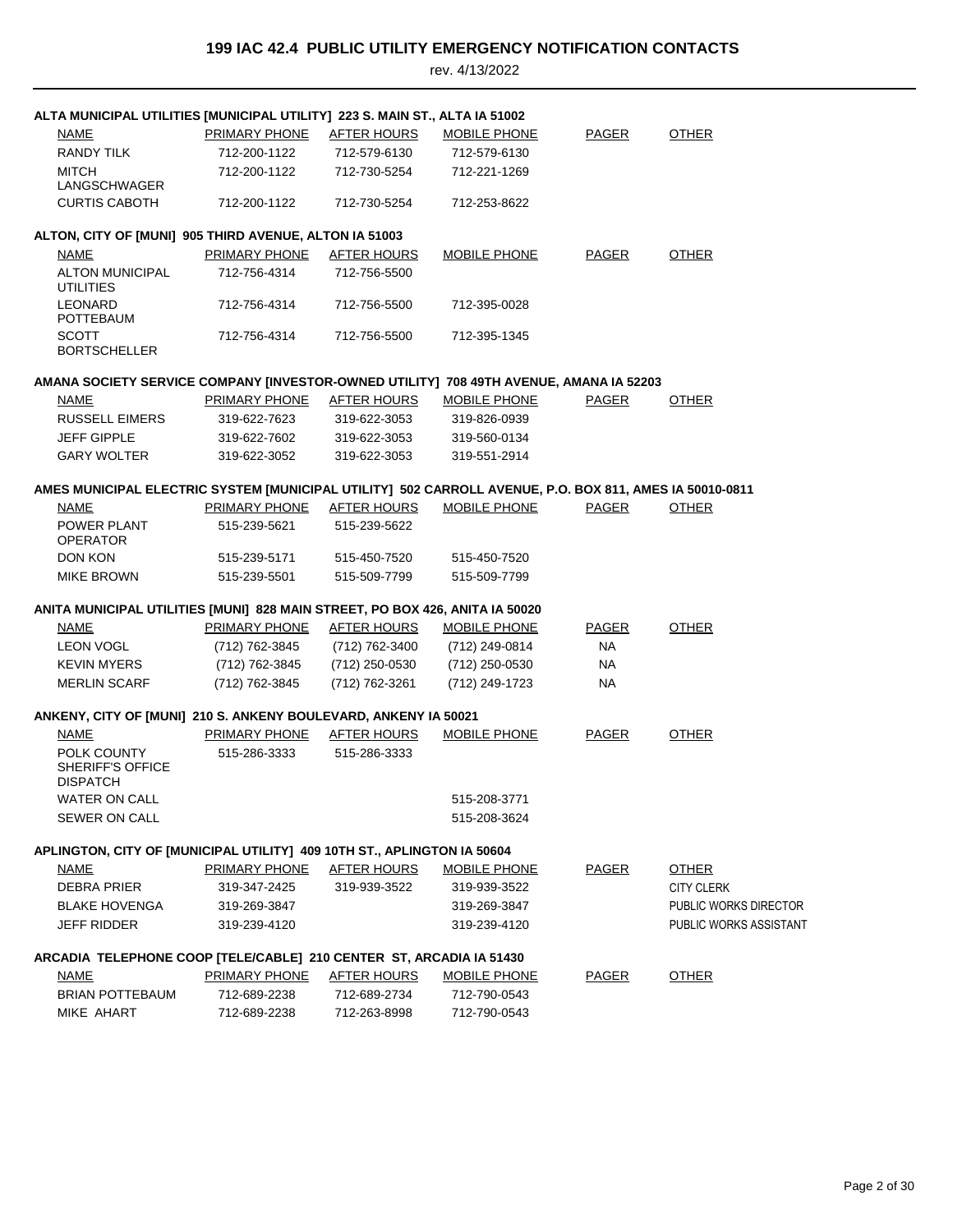| ALTA MUNICIPAL UTILITIES [MUNICIPAL UTILITY] 223 S. MAIN ST., ALTA IA 51002                             |                      |                    |                     |              |                        |
|---------------------------------------------------------------------------------------------------------|----------------------|--------------------|---------------------|--------------|------------------------|
| <b>NAME</b>                                                                                             | <b>PRIMARY PHONE</b> | <b>AFTER HOURS</b> | <b>MOBILE PHONE</b> | <b>PAGER</b> | <b>OTHER</b>           |
| <b>RANDY TILK</b>                                                                                       | 712-200-1122         | 712-579-6130       | 712-579-6130        |              |                        |
| <b>MITCH</b><br>LANGSCHWAGER                                                                            | 712-200-1122         | 712-730-5254       | 712-221-1269        |              |                        |
| <b>CURTIS CABOTH</b>                                                                                    | 712-200-1122         | 712-730-5254       | 712-253-8622        |              |                        |
| ALTON, CITY OF [MUNI] 905 THIRD AVENUE, ALTON IA 51003                                                  |                      |                    |                     |              |                        |
| <b>NAME</b>                                                                                             | <b>PRIMARY PHONE</b> | <b>AFTER HOURS</b> | <b>MOBILE PHONE</b> | <b>PAGER</b> | <b>OTHER</b>           |
| <b>ALTON MUNICIPAL</b><br><b>UTILITIES</b>                                                              | 712-756-4314         | 712-756-5500       |                     |              |                        |
| <b>LEONARD</b><br>POTTEBAUM                                                                             | 712-756-4314         | 712-756-5500       | 712-395-0028        |              |                        |
| <b>SCOTT</b><br><b>BORTSCHELLER</b>                                                                     | 712-756-4314         | 712-756-5500       | 712-395-1345        |              |                        |
| AMANA SOCIETY SERVICE COMPANY [INVESTOR-OWNED UTILITY] 708 49TH AVENUE, AMANA IA 52203                  |                      |                    |                     |              |                        |
| <b>NAME</b>                                                                                             | PRIMARY PHONE        | <b>AFTER HOURS</b> | MOBILE PHONE        | <b>PAGER</b> | <b>OTHER</b>           |
| <b>RUSSELL EIMERS</b>                                                                                   | 319-622-7623         | 319-622-3053       | 319-826-0939        |              |                        |
| <b>JEFF GIPPLE</b>                                                                                      | 319-622-7602         | 319-622-3053       | 319-560-0134        |              |                        |
| <b>GARY WOLTER</b>                                                                                      | 319-622-3052         | 319-622-3053       | 319-551-2914        |              |                        |
| AMES MUNICIPAL ELECTRIC SYSTEM [MUNICIPAL UTILITY] 502 CARROLL AVENUE, P.O. BOX 811, AMES IA 50010-0811 |                      |                    |                     |              |                        |
| <b>NAME</b>                                                                                             | <b>PRIMARY PHONE</b> | <b>AFTER HOURS</b> | <b>MOBILE PHONE</b> | <b>PAGER</b> | <b>OTHER</b>           |
| POWER PLANT<br><b>OPERATOR</b>                                                                          | 515-239-5621         | 515-239-5622       |                     |              |                        |
| DON KON                                                                                                 | 515-239-5171         | 515-450-7520       | 515-450-7520        |              |                        |
| <b>MIKE BROWN</b>                                                                                       | 515-239-5501         | 515-509-7799       | 515-509-7799        |              |                        |
| ANITA MUNICIPAL UTILITIES [MUNI] 828 MAIN STREET, PO BOX 426, ANITA IA 50020                            |                      |                    |                     |              |                        |
| <b>NAME</b>                                                                                             | <b>PRIMARY PHONE</b> | <b>AFTER HOURS</b> | <b>MOBILE PHONE</b> | <b>PAGER</b> | <b>OTHER</b>           |
| <b>LEON VOGL</b>                                                                                        | (712) 762-3845       | (712) 762-3400     | (712) 249-0814      | NA           |                        |
| <b>KEVIN MYERS</b>                                                                                      | (712) 762-3845       | (712) 250-0530     | (712) 250-0530      | NA           |                        |
| <b>MERLIN SCARF</b>                                                                                     | (712) 762-3845       | (712) 762-3261     | (712) 249-1723      | NA           |                        |
| ANKENY, CITY OF [MUNI] 210 S. ANKENY BOULEVARD, ANKENY IA 50021                                         |                      |                    |                     |              |                        |
| <b>NAME</b>                                                                                             | PRIMARY PHONE        | <b>AFTER HOURS</b> | <b>MOBILE PHONE</b> | <b>PAGER</b> | <b>OTHER</b>           |
| POLK COUNTY<br>SHERIFF'S OFFICE<br><b>DISPATCH</b>                                                      | 515-286-3333         | 515-286-3333       |                     |              |                        |
| <b>WATER ON CALL</b>                                                                                    |                      |                    | 515-208-3771        |              |                        |
| <b>SEWER ON CALL</b>                                                                                    |                      |                    | 515-208-3624        |              |                        |
| APLINGTON, CITY OF [MUNICIPAL UTILITY] 409 10TH ST., APLINGTON IA 50604                                 |                      |                    |                     |              |                        |
| <u>NAME</u>                                                                                             | <b>PRIMARY PHONE</b> | <b>AFTER HOURS</b> | <b>MOBILE PHONE</b> | <b>PAGER</b> | <b>OTHER</b>           |
| <b>DEBRA PRIER</b>                                                                                      | 319-347-2425         | 319-939-3522       | 319-939-3522        |              | <b>CITY CLERK</b>      |
| <b>BLAKE HOVENGA</b>                                                                                    | 319-269-3847         |                    | 319-269-3847        |              | PUBLIC WORKS DIRECTOR  |
| <b>JEFF RIDDER</b>                                                                                      | 319-239-4120         |                    | 319-239-4120        |              | PUBLIC WORKS ASSISTANT |
| ARCADIA TELEPHONE COOP [TELE/CABLE] 210 CENTER ST, ARCADIA IA 51430                                     |                      |                    |                     |              |                        |
| <u>NAME</u>                                                                                             | PRIMARY PHONE        | <u>AFTER HOURS</u> | <b>MOBILE PHONE</b> | <b>PAGER</b> | <b>OTHER</b>           |
| <b>BRIAN POTTEBAUM</b>                                                                                  | 712-689-2238         | 712-689-2734       | 712-790-0543        |              |                        |
| MIKE AHART                                                                                              | 712-689-2238         | 712-263-8998       | 712-790-0543        |              |                        |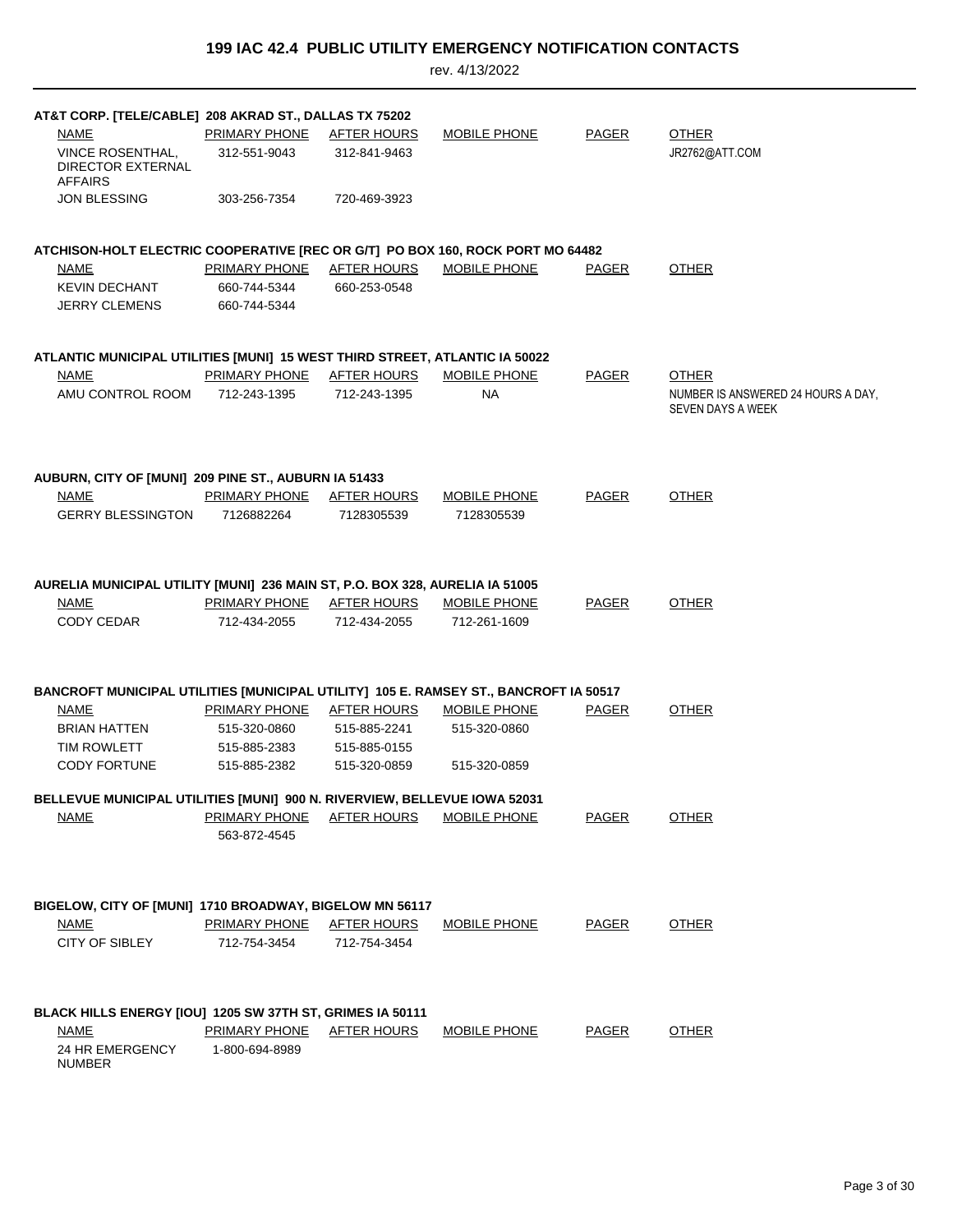| AT&T CORP. [TELE/CABLE] 208 AKRAD ST., DALLAS TX 75202                                     |                                                  |                                  |                     |              |                                    |
|--------------------------------------------------------------------------------------------|--------------------------------------------------|----------------------------------|---------------------|--------------|------------------------------------|
| NAME                                                                                       | PRIMARY PHONE                                    | AFTER HOURS                      | <b>MOBILE PHONE</b> | <b>PAGER</b> | <b>OTHER</b>                       |
| <b>VINCE ROSENTHAL.</b><br><b>DIRECTOR EXTERNAL</b><br><b>AFFAIRS</b>                      | 312-551-9043                                     | 312-841-9463                     |                     |              | JR2762@ATT.COM                     |
| <b>JON BLESSING</b>                                                                        | 303-256-7354                                     | 720-469-3923                     |                     |              |                                    |
|                                                                                            |                                                  |                                  |                     |              |                                    |
| ATCHISON-HOLT ELECTRIC COOPERATIVE [REC OR G/T] PO BOX 160, ROCK PORT MO 64482             |                                                  |                                  |                     |              |                                    |
| <b>NAME</b>                                                                                | PRIMARY PHONE                                    | AFTER HOURS                      | <b>MOBILE PHONE</b> | <b>PAGER</b> | <b>OTHER</b>                       |
| <b>KEVIN DECHANT</b>                                                                       | 660-744-5344                                     | 660-253-0548                     |                     |              |                                    |
| <b>JERRY CLEMENS</b>                                                                       | 660-744-5344                                     |                                  |                     |              |                                    |
|                                                                                            |                                                  |                                  |                     |              |                                    |
| ATLANTIC MUNICIPAL UTILITIES [MUNI] 15 WEST THIRD STREET, ATLANTIC IA 50022<br><b>NAME</b> | <b>PRIMARY PHONE</b>                             | <u>AFTER HOURS</u>               | MOBILE PHONE        |              | <b>OTHER</b>                       |
| AMU CONTROL ROOM                                                                           | 712-243-1395                                     | 712-243-1395                     | <b>NA</b>           | <b>PAGER</b> | NUMBER IS ANSWERED 24 HOURS A DAY, |
|                                                                                            |                                                  |                                  |                     |              | SEVEN DAYS A WEEK                  |
|                                                                                            |                                                  |                                  |                     |              |                                    |
|                                                                                            |                                                  |                                  |                     |              |                                    |
| AUBURN, CITY OF [MUNI] 209 PINE ST., AUBURN IA 51433<br>NAME                               | PRIMARY PHONE                                    |                                  |                     | <b>PAGER</b> | <b>OTHER</b>                       |
|                                                                                            |                                                  | <b>AFTER HOURS</b><br>7128305539 | <b>MOBILE PHONE</b> |              |                                    |
| <b>GERRY BLESSINGTON</b>                                                                   | 7126882264                                       |                                  | 7128305539          |              |                                    |
|                                                                                            |                                                  |                                  |                     |              |                                    |
| AURELIA MUNICIPAL UTILITY [MUNI] 236 MAIN ST, P.O. BOX 328, AURELIA IA 51005               |                                                  |                                  |                     |              |                                    |
| NAME                                                                                       | <b>PRIMARY PHONE AFTER HOURS</b>                 |                                  | <b>MOBILE PHONE</b> | <b>PAGER</b> | <b>OTHER</b>                       |
| <b>CODY CEDAR</b>                                                                          | 712-434-2055                                     | 712-434-2055                     | 712-261-1609        |              |                                    |
|                                                                                            |                                                  |                                  |                     |              |                                    |
| BANCROFT MUNICIPAL UTILITIES [MUNICIPAL UTILITY] 105 E. RAMSEY ST., BANCROFT IA 50517      |                                                  |                                  |                     |              |                                    |
| NAME                                                                                       | PRIMARY PHONE                                    | AFTER HOURS                      | MOBILE PHONE        | <b>PAGER</b> | <b>OTHER</b>                       |
| BRIAN HATTEN                                                                               | 515-320-0860                                     | 515-885-2241                     | 515-320-0860        |              |                                    |
| <b>TIM ROWLETT</b>                                                                         | 515-885-2383                                     | 515-885-0155                     |                     |              |                                    |
| <b>CODY FORTUNE</b>                                                                        | 515-885-2382                                     | 515-320-0859                     | 515-320-0859        |              |                                    |
| BELLEVUE MUNICIPAL UTILITIES [MUNI] 900 N. RIVERVIEW, BELLEVUE IOWA 52031                  |                                                  |                                  |                     |              |                                    |
| NAME                                                                                       | <b>PRIMARY PHONE AFTER HOURS</b><br>563-872-4545 |                                  | <b>MOBILE PHONE</b> | <b>PAGER</b> | <b>OTHER</b>                       |
|                                                                                            |                                                  |                                  |                     |              |                                    |
|                                                                                            |                                                  |                                  |                     |              |                                    |
| BIGELOW, CITY OF [MUNI] 1710 BROADWAY, BIGELOW MN 56117                                    |                                                  |                                  |                     |              |                                    |
| NAME                                                                                       | <b>PRIMARY PHONE</b>                             | <u>AFTER HOURS</u>               | <b>MOBILE PHONE</b> | <b>PAGER</b> | <b>OTHER</b>                       |
| CITY OF SIBLEY                                                                             | 712-754-3454                                     | 712-754-3454                     |                     |              |                                    |
|                                                                                            |                                                  |                                  |                     |              |                                    |
| BLACK HILLS ENERGY [IOU] 1205 SW 37TH ST, GRIMES IA 50111                                  |                                                  |                                  |                     |              |                                    |
| <b>NAME</b>                                                                                | <b>PRIMARY PHONE</b>                             | AFTER HOURS                      | <b>MOBILE PHONE</b> | <b>PAGER</b> | <b>OTHER</b>                       |
| 24 HR EMERGENCY                                                                            | 1-800-694-8989                                   |                                  |                     |              |                                    |
| NUMBER                                                                                     |                                                  |                                  |                     |              |                                    |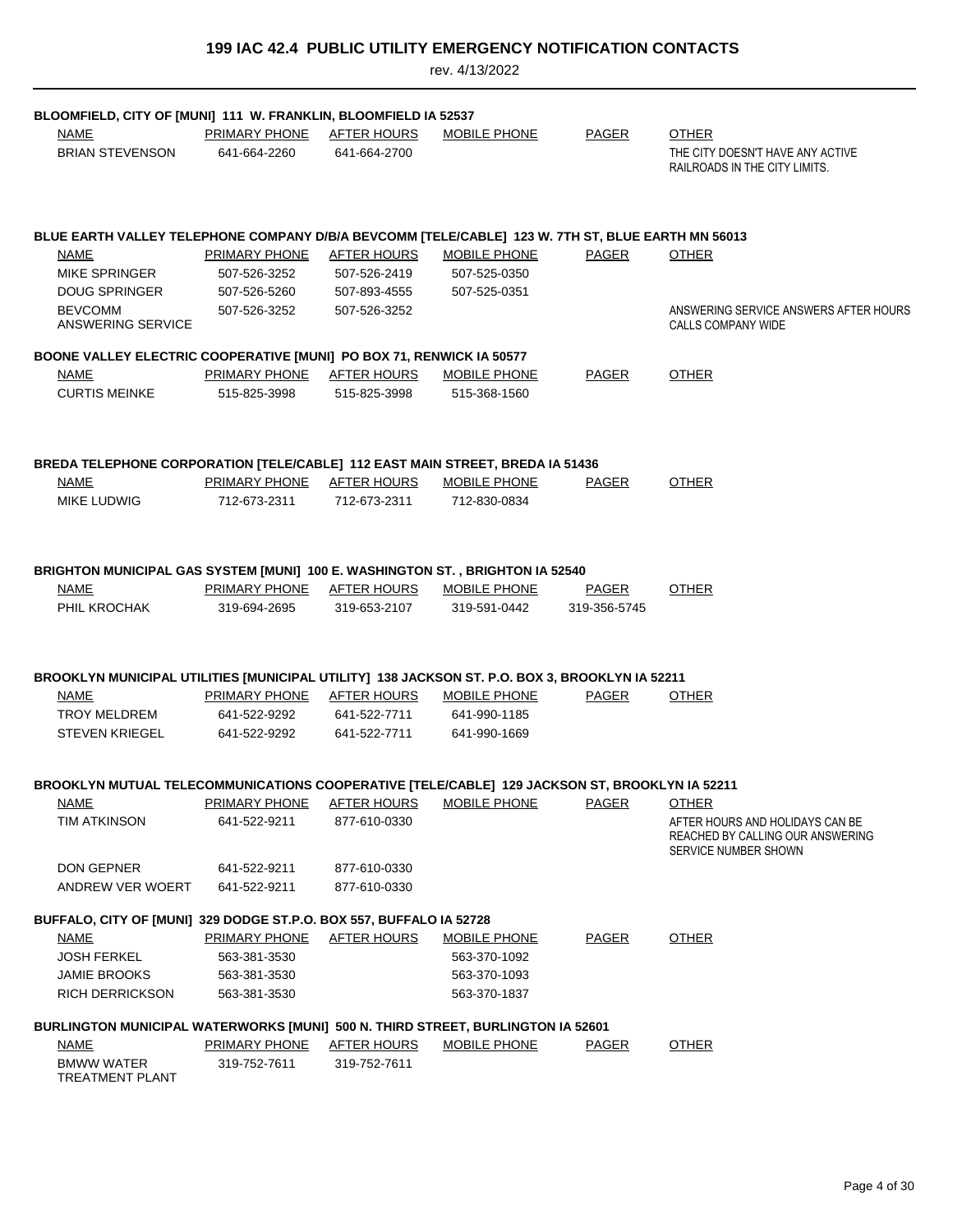| 199 IAC 42.4 PUBLIC UTILITY EMERGENCY NOTIFICATION CONTACTS |  |
|-------------------------------------------------------------|--|
|-------------------------------------------------------------|--|

| BLOOMFIELD, CITY OF [MUNI] 111 W. FRANKLIN, BLOOMFIELD IA 52537                                              |                                           |                                    |                                                    |                              |                                                                                             |
|--------------------------------------------------------------------------------------------------------------|-------------------------------------------|------------------------------------|----------------------------------------------------|------------------------------|---------------------------------------------------------------------------------------------|
| <b>NAME</b><br><b>BRIAN STEVENSON</b>                                                                        | PRIMARY PHONE<br>641-664-2260             | <b>AFTER HOURS</b><br>641-664-2700 | <b>MOBILE PHONE</b>                                | <b>PAGER</b>                 | <b>OTHER</b><br>THE CITY DOESN'T HAVE ANY ACTIVE                                            |
|                                                                                                              |                                           |                                    |                                                    |                              | RAILROADS IN THE CITY LIMITS.                                                               |
| BLUE EARTH VALLEY TELEPHONE COMPANY D/B/A BEVCOMM [TELE/CABLE] 123 W. 7TH ST, BLUE EARTH MN 56013            |                                           |                                    |                                                    |                              |                                                                                             |
| <b>NAME</b>                                                                                                  | PRIMARY PHONE                             | <b>AFTER HOURS</b>                 | <b>MOBILE PHONE</b>                                | <b>PAGER</b>                 | <b>OTHER</b>                                                                                |
| <b>MIKE SPRINGER</b>                                                                                         | 507-526-3252                              | 507-526-2419                       | 507-525-0350                                       |                              |                                                                                             |
| <b>DOUG SPRINGER</b>                                                                                         | 507-526-5260                              | 507-893-4555                       | 507-525-0351                                       |                              |                                                                                             |
| <b>BEVCOMM</b><br>ANSWERING SERVICE                                                                          | 507-526-3252                              | 507-526-3252                       |                                                    |                              | ANSWERING SERVICE ANSWERS AFTER HOURS<br>CALLS COMPANY WIDE                                 |
| BOONE VALLEY ELECTRIC COOPERATIVE [MUNI] PO BOX 71, RENWICK IA 50577                                         |                                           |                                    |                                                    |                              |                                                                                             |
| NAME                                                                                                         | PRIMARY PHONE                             | <b>AFTER HOURS</b>                 | <b>MOBILE PHONE</b>                                | <b>PAGER</b>                 | <b>OTHER</b>                                                                                |
| <b>CURTIS MEINKE</b>                                                                                         | 515-825-3998                              | 515-825-3998                       | 515-368-1560                                       |                              |                                                                                             |
|                                                                                                              |                                           |                                    |                                                    |                              |                                                                                             |
| BREDA TELEPHONE CORPORATION [TELE/CABLE] 112 EAST MAIN STREET, BREDA IA 51436                                |                                           |                                    |                                                    |                              |                                                                                             |
| NAME                                                                                                         | PRIMARY PHONE                             | AFTER HOURS                        | MOBILE PHONE                                       | <b>PAGER</b>                 | <b>OTHER</b>                                                                                |
| <b>MIKE LUDWIG</b>                                                                                           | 712-673-2311                              | 712-673-2311                       | 712-830-0834                                       |                              |                                                                                             |
|                                                                                                              |                                           |                                    |                                                    |                              |                                                                                             |
| BRIGHTON MUNICIPAL GAS SYSTEM [MUNI] 100 E. WASHINGTON ST., BRIGHTON IA 52540                                |                                           |                                    |                                                    |                              |                                                                                             |
| NAME<br>PHIL KROCHAK                                                                                         | PRIMARY PHONE AFTER HOURS<br>319-694-2695 | 319-653-2107                       | <b>MOBILE PHONE</b><br>319-591-0442                | <b>PAGER</b><br>319-356-5745 | <b>OTHER</b>                                                                                |
|                                                                                                              |                                           |                                    |                                                    |                              |                                                                                             |
| BROOKLYN MUNICIPAL UTILITIES [MUNICIPAL UTILITY] 138 JACKSON ST. P.O. BOX 3, BROOKLYN IA 52211               |                                           |                                    |                                                    |                              |                                                                                             |
| NAME                                                                                                         | PRIMARY PHONE                             | AFTER HOURS                        | MOBILE PHONE                                       | PAGER                        | <b>OTHER</b>                                                                                |
| TROY MELDREM                                                                                                 | 641-522-9292                              | 641-522-7711                       | 641-990-1185                                       |                              |                                                                                             |
| <b>STEVEN KRIEGEL</b>                                                                                        | 641-522-9292                              | 641-522-7711                       | 641-990-1669                                       |                              |                                                                                             |
|                                                                                                              |                                           |                                    |                                                    |                              |                                                                                             |
| BROOKLYN MUTUAL TELECOMMUNICATIONS COOPERATIVE [TELE/CABLE] 129 JACKSON ST, BROOKLYN IA 52211<br><u>NAME</u> |                                           |                                    | PRIMARY PHONE AFTER HOURS MOBILE PHONE PAGER OTHER |                              |                                                                                             |
| <b>TIM ATKINSON</b>                                                                                          | 641-522-9211                              | 877-610-0330                       |                                                    |                              | AFTER HOURS AND HOLIDAYS CAN BE<br>REACHED BY CALLING OUR ANSWERING<br>SERVICE NUMBER SHOWN |
| DON GEPNER                                                                                                   | 641-522-9211                              | 877-610-0330                       |                                                    |                              |                                                                                             |
| ANDREW VER WOERT                                                                                             | 641-522-9211                              | 877-610-0330                       |                                                    |                              |                                                                                             |
| BUFFALO, CITY OF [MUNI] 329 DODGE ST.P.O. BOX 557, BUFFALO IA 52728                                          |                                           |                                    |                                                    |                              |                                                                                             |
| <b>NAME</b>                                                                                                  | PRIMARY PHONE                             | <b>AFTER HOURS</b>                 | <b>MOBILE PHONE</b>                                | <b>PAGER</b>                 | <b>OTHER</b>                                                                                |
| <b>JOSH FERKEL</b>                                                                                           | 563-381-3530                              |                                    | 563-370-1092                                       |                              |                                                                                             |
| <b>JAMIE BROOKS</b>                                                                                          | 563-381-3530                              |                                    | 563-370-1093                                       |                              |                                                                                             |
| <b>RICH DERRICKSON</b>                                                                                       | 563-381-3530                              |                                    | 563-370-1837                                       |                              |                                                                                             |
| BURLINGTON MUNICIPAL WATERWORKS [MUNI] 500 N. THIRD STREET, BURLINGTON IA 52601                              |                                           |                                    |                                                    |                              |                                                                                             |
| <b>NAME</b>                                                                                                  | <b>PRIMARY PHONE</b>                      | <b>AFTER HOURS</b>                 | <b>MOBILE PHONE</b>                                | <b>PAGER</b>                 | <b>OTHER</b>                                                                                |
| <b>BMWW WATER</b><br>TREATMENT PLANT                                                                         | 319-752-7611                              | 319-752-7611                       |                                                    |                              |                                                                                             |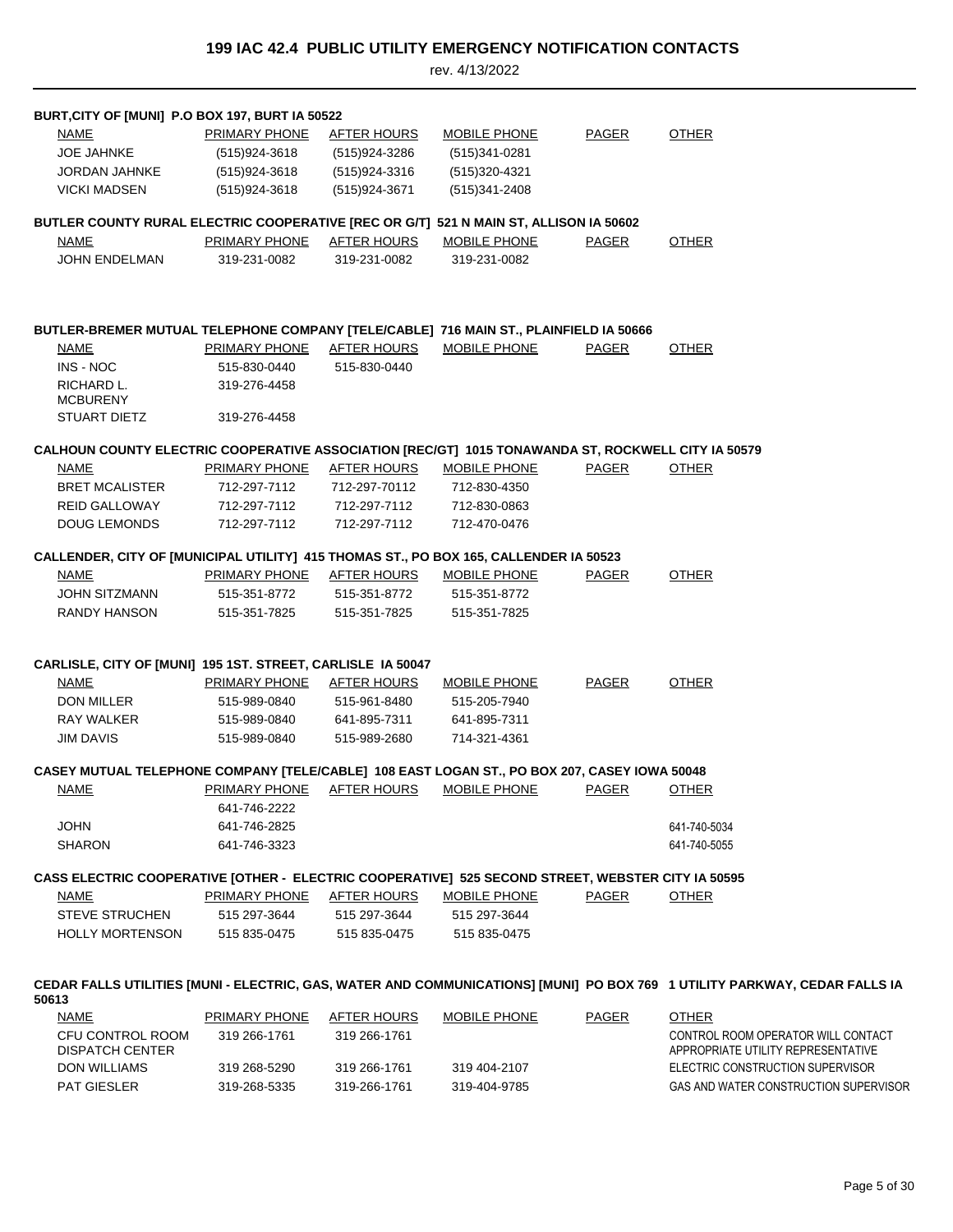| BURT, CITY OF [MUNI] P.O BOX 197, BURT IA 50522                                                    |                                  |                    |                     |              |                                                                                                                            |
|----------------------------------------------------------------------------------------------------|----------------------------------|--------------------|---------------------|--------------|----------------------------------------------------------------------------------------------------------------------------|
| <b>NAME</b>                                                                                        | <b>PRIMARY PHONE</b>             | <b>AFTER HOURS</b> | <b>MOBILE PHONE</b> | <b>PAGER</b> | <b>OTHER</b>                                                                                                               |
| <b>JOE JAHNKE</b>                                                                                  | (515)924-3618                    | (515)924-3286      | $(515)341 - 0281$   |              |                                                                                                                            |
| <b>JORDAN JAHNKE</b>                                                                               | (515)924-3618                    | (515)924-3316      | (515)320-4321       |              |                                                                                                                            |
| <b>VICKI MADSEN</b>                                                                                | (515)924-3618                    | (515) 924-3671     | (515)341-2408       |              |                                                                                                                            |
|                                                                                                    |                                  |                    |                     |              |                                                                                                                            |
| BUTLER COUNTY RURAL ELECTRIC COOPERATIVE [REC OR G/T] 521 N MAIN ST, ALLISON IA 50602              |                                  |                    |                     |              |                                                                                                                            |
| NAME                                                                                               | PRIMARY PHONE                    | <b>AFTER HOURS</b> | MOBILE PHONE        | PAGER        | <b>OTHER</b>                                                                                                               |
| JOHN ENDELMAN                                                                                      | 319-231-0082                     | 319-231-0082       | 319-231-0082        |              |                                                                                                                            |
|                                                                                                    |                                  |                    |                     |              |                                                                                                                            |
|                                                                                                    |                                  |                    |                     |              |                                                                                                                            |
| BUTLER-BREMER MUTUAL TELEPHONE COMPANY [TELE/CABLE] 716 MAIN ST., PLAINFIELD IA 50666              |                                  |                    |                     |              |                                                                                                                            |
| <b>NAME</b>                                                                                        | PRIMARY PHONE AFTER HOURS        |                    | <b>MOBILE PHONE</b> | <b>PAGER</b> | <b>OTHER</b>                                                                                                               |
| INS - NOC                                                                                          | 515-830-0440                     | 515-830-0440       |                     |              |                                                                                                                            |
| RICHARD L.<br><b>MCBURENY</b>                                                                      | 319-276-4458                     |                    |                     |              |                                                                                                                            |
| STUART DIETZ                                                                                       | 319-276-4458                     |                    |                     |              |                                                                                                                            |
| CALHOUN COUNTY ELECTRIC COOPERATIVE ASSOCIATION [REC/GT] 1015 TONAWANDA ST, ROCKWELL CITY IA 50579 |                                  |                    |                     |              |                                                                                                                            |
| <u>NAME</u>                                                                                        | <b>PRIMARY PHONE AFTER HOURS</b> |                    | <b>MOBILE PHONE</b> | PAGER        | <b>OTHER</b>                                                                                                               |
| <b>BRET MCALISTER</b>                                                                              | 712-297-7112                     | 712-297-70112      | 712-830-4350        |              |                                                                                                                            |
| <b>REID GALLOWAY</b>                                                                               | 712-297-7112                     | 712-297-7112       | 712-830-0863        |              |                                                                                                                            |
| <b>DOUG LEMONDS</b>                                                                                | 712-297-7112                     | 712-297-7112       | 712-470-0476        |              |                                                                                                                            |
|                                                                                                    |                                  |                    |                     |              |                                                                                                                            |
| CALLENDER, CITY OF [MUNICIPAL UTILITY] 415 THOMAS ST., PO BOX 165, CALLENDER IA 50523              |                                  |                    |                     |              |                                                                                                                            |
| NAME                                                                                               | PRIMARY PHONE AFTER HOURS        |                    | MOBILE PHONE        | PAGER        | <b>OTHER</b>                                                                                                               |
| JOHN SITZMANN                                                                                      | 515-351-8772                     | 515-351-8772       | 515-351-8772        |              |                                                                                                                            |
| RANDY HANSON                                                                                       | 515-351-7825                     | 515-351-7825       | 515-351-7825        |              |                                                                                                                            |
|                                                                                                    |                                  |                    |                     |              |                                                                                                                            |
| CARLISLE, CITY OF [MUNI] 195 1ST. STREET, CARLISLE IA 50047                                        |                                  |                    |                     |              |                                                                                                                            |
| <b>NAME</b>                                                                                        | <b>PRIMARY PHONE AFTER HOURS</b> |                    | <b>MOBILE PHONE</b> | <b>PAGER</b> | <b>OTHER</b>                                                                                                               |
| DON MILLER                                                                                         | 515-989-0840                     | 515-961-8480       | 515-205-7940        |              |                                                                                                                            |
| RAY WALKER                                                                                         | 515-989-0840                     | 641-895-7311       | 641-895-7311        |              |                                                                                                                            |
| <b>JIM DAVIS</b>                                                                                   | 515-989-0840                     | 515-989-2680       | 714-321-4361        |              |                                                                                                                            |
| CASEY MUTUAL TELEPHONE COMPANY [TELE/CABLE] 108 EAST LOGAN ST., PO BOX 207, CASEY IOWA 50048       |                                  |                    |                     |              |                                                                                                                            |
| <u>NAME</u>                                                                                        | <b>PRIMARY PHONE AFTER HOURS</b> |                    | <b>MOBILE PHONE</b> | <b>PAGER</b> | <b>OTHER</b>                                                                                                               |
|                                                                                                    | 641-746-2222                     |                    |                     |              |                                                                                                                            |
| <b>JOHN</b>                                                                                        | 641-746-2825                     |                    |                     |              | 641-740-5034                                                                                                               |
| <b>SHARON</b>                                                                                      | 641-746-3323                     |                    |                     |              | 641-740-5055                                                                                                               |
|                                                                                                    |                                  |                    |                     |              |                                                                                                                            |
| CASS ELECTRIC COOPERATIVE [OTHER - ELECTRIC COOPERATIVE] 525 SECOND STREET, WEBSTER CITY IA 50595  |                                  |                    |                     |              |                                                                                                                            |
| <b>NAME</b>                                                                                        | PRIMARY PHONE                    | <b>AFTER HOURS</b> | <b>MOBILE PHONE</b> | <b>PAGER</b> | <b>OTHER</b>                                                                                                               |
| <b>STEVE STRUCHEN</b>                                                                              | 515 297-3644                     | 515 297-3644       | 515 297-3644        |              |                                                                                                                            |
| <b>HOLLY MORTENSON</b>                                                                             | 515 835-0475                     | 515 835-0475       | 515 835-0475        |              |                                                                                                                            |
|                                                                                                    |                                  |                    |                     |              |                                                                                                                            |
| 50613                                                                                              |                                  |                    |                     |              | CEDAR FALLS UTILITIES [MUNI - ELECTRIC, GAS, WATER AND COMMUNICATIONS] [MUNI] PO BOX 769 1 UTILITY PARKWAY, CEDAR FALLS IA |
| <b>NAME</b>                                                                                        | PRIMARY PHONE                    | <b>AFTER HOURS</b> | <b>MOBILE PHONE</b> | PAGER        | <b>OTHER</b>                                                                                                               |
| CFU CONTROL ROOM<br><b>DISPATCH CENTER</b>                                                         | 319 266-1761                     | 319 266-1761       |                     |              | CONTROL ROOM OPERATOR WILL CONTACT<br>APPROPRIATE UTILITY REPRESENTATIVE                                                   |
| DON WILLIAMS                                                                                       | 319 268-5290                     | 319 266-1761       | 319 404-2107        |              | ELECTRIC CONSTRUCTION SUPERVISOR                                                                                           |
| PAT GIESLER                                                                                        | 319-268-5335                     | 319-266-1761       | 319-404-9785        |              | GAS AND WATER CONSTRUCTION SUPERVISOR                                                                                      |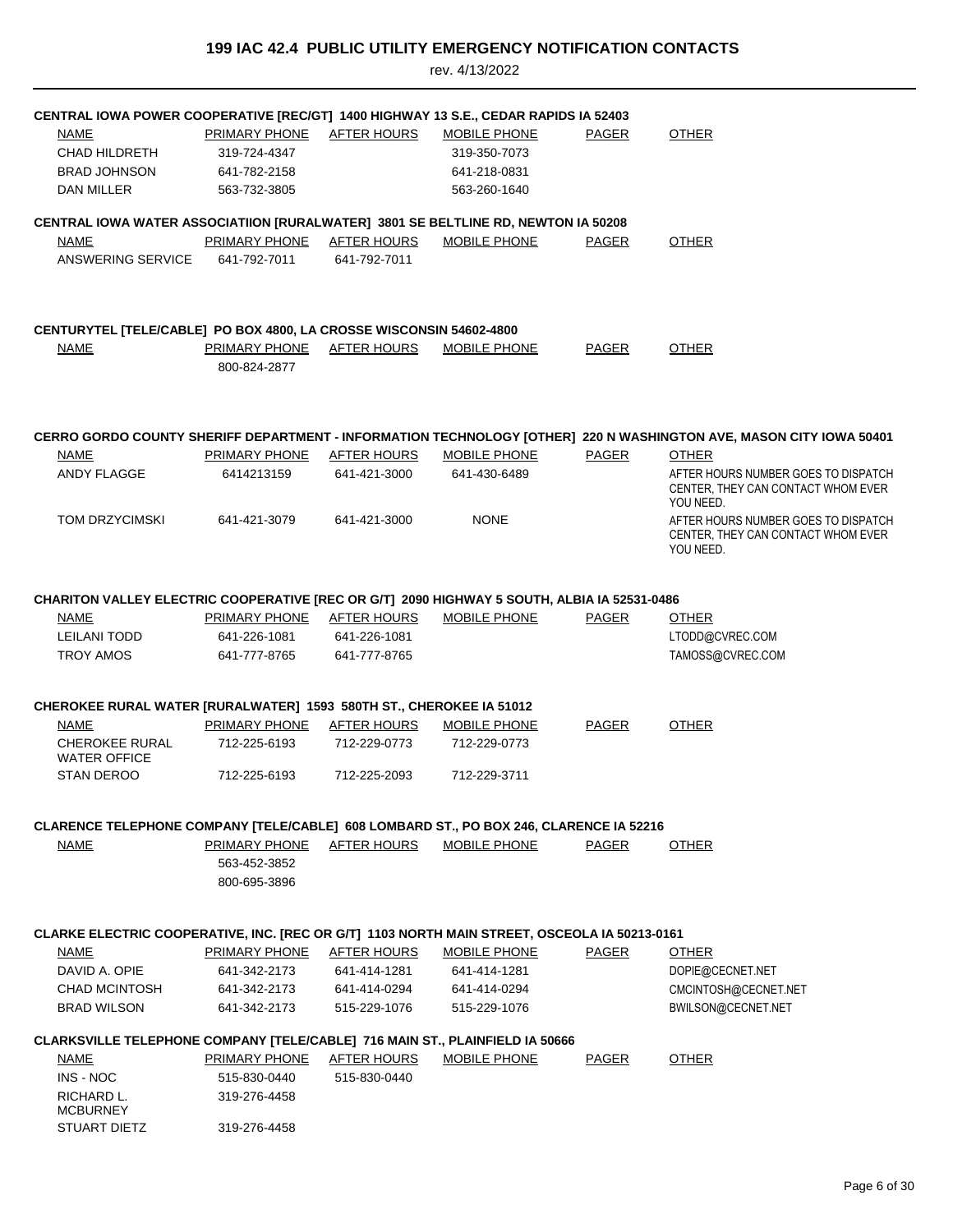| CENTRAL IOWA POWER COOPERATIVE [REC/GT] 1400 HIGHWAY 13 S.E., CEDAR RAPIDS IA 52403          |                                                      |                    |                     |              |                                                                                                                    |
|----------------------------------------------------------------------------------------------|------------------------------------------------------|--------------------|---------------------|--------------|--------------------------------------------------------------------------------------------------------------------|
| NAME                                                                                         | PRIMARY PHONE                                        | <b>AFTER HOURS</b> | MOBILE PHONE        | <b>PAGER</b> | <b>OTHER</b>                                                                                                       |
| CHAD HILDRETH                                                                                | 319-724-4347                                         |                    | 319-350-7073        |              |                                                                                                                    |
| <b>BRAD JOHNSON</b>                                                                          | 641-782-2158                                         |                    | 641-218-0831        |              |                                                                                                                    |
| DAN MILLER                                                                                   | 563-732-3805                                         |                    | 563-260-1640        |              |                                                                                                                    |
| CENTRAL IOWA WATER ASSOCIATIION [RURALWATER] 3801 SE BELTLINE RD, NEWTON IA 50208            |                                                      |                    |                     |              |                                                                                                                    |
| NAME                                                                                         | PRIMARY PHONE                                        | AFTER HOURS        | MOBILE PHONE        | PAGER        | <b>OTHER</b>                                                                                                       |
| ANSWERING SERVICE                                                                            | 641-792-7011                                         | 641-792-7011       |                     |              |                                                                                                                    |
| <b>CENTURYTEL [TELE/CABLE] PO BOX 4800, LA CROSSE WISCONSIN 54602-4800</b>                   |                                                      |                    |                     |              |                                                                                                                    |
| <b>NAME</b>                                                                                  | PRIMARY PHONE                                        | <b>AFTER HOURS</b> | MOBILE PHONE        | <b>PAGER</b> | <b>OTHER</b>                                                                                                       |
|                                                                                              | 800-824-2877                                         |                    |                     |              |                                                                                                                    |
|                                                                                              |                                                      |                    |                     |              | CERRO GORDO COUNTY SHERIFF DEPARTMENT - INFORMATION TECHNOLOGY [OTHER] 220 N WASHINGTON AVE, MASON CITY IOWA 50401 |
| NAME                                                                                         | PRIMARY PHONE                                        | AFTER HOURS        | <b>MOBILE PHONE</b> | <b>PAGER</b> | <b>OTHER</b>                                                                                                       |
| ANDY FLAGGE                                                                                  | 6414213159                                           | 641-421-3000       | 641-430-6489        |              | AFTER HOURS NUMBER GOES TO DISPATCH<br>CENTER, THEY CAN CONTACT WHOM EVER<br>YOU NEED.                             |
| TOM DRZYCIMSKI                                                                               | 641-421-3079                                         | 641-421-3000       | <b>NONE</b>         |              | AFTER HOURS NUMBER GOES TO DISPATCH<br>CENTER, THEY CAN CONTACT WHOM EVER<br>YOU NEED.                             |
| CHARITON VALLEY ELECTRIC COOPERATIVE [REC OR G/T] 2090 HIGHWAY 5 SOUTH, ALBIA IA 52531-0486  |                                                      |                    |                     |              |                                                                                                                    |
| NAME                                                                                         | PRIMARY PHONE                                        | AFTER HOURS        | <b>MOBILE PHONE</b> | <b>PAGER</b> | <b>OTHER</b>                                                                                                       |
| <b>LEILANI TODD</b>                                                                          | 641-226-1081                                         | 641-226-1081       |                     |              | LTODD@CVREC.COM                                                                                                    |
| <b>TROY AMOS</b>                                                                             | 641-777-8765                                         | 641-777-8765       |                     |              | TAMOSS@CVREC.COM                                                                                                   |
|                                                                                              |                                                      |                    |                     |              |                                                                                                                    |
| <b>CHEROKEE RURAL WATER [RURALWATER] 1593 580TH ST., CHEROKEE IA 51012</b>                   |                                                      |                    |                     |              |                                                                                                                    |
| <b>NAME</b>                                                                                  | PRIMARY PHONE                                        | <b>AFTER HOURS</b> | <b>MOBILE PHONE</b> | <b>PAGER</b> | <b>OTHER</b>                                                                                                       |
| <b>CHEROKEE RURAL</b><br><b>WATER OFFICE</b>                                                 | 712-225-6193                                         | 712-229-0773       | 712-229-0773        |              |                                                                                                                    |
| STAN DEROO                                                                                   | 712-225-6193                                         | 712-225-2093       | 712-229-3711        |              |                                                                                                                    |
| CLARENCE TELEPHONE COMPANY [TELE/CABLE] 608 LOMBARD ST., PO BOX 246, CLARENCE IA 52216       |                                                      |                    |                     |              |                                                                                                                    |
| NAME                                                                                         | <b>PRIMARY PHONE</b><br>563-452-3852<br>800-695-3896 | <u>AFTER HOURS</u> | MOBILE PHONE        | <b>PAGER</b> | <b>OTHER</b>                                                                                                       |
|                                                                                              |                                                      |                    |                     |              |                                                                                                                    |
| CLARKE ELECTRIC COOPERATIVE, INC. [REC OR G/T] 1103 NORTH MAIN STREET, OSCEOLA IA 50213-0161 |                                                      |                    |                     |              |                                                                                                                    |
| <b>NAME</b>                                                                                  | <b>PRIMARY PHONE</b>                                 | AFTER HOURS        | <b>MOBILE PHONE</b> | PAGER        | <b>OTHER</b>                                                                                                       |
| DAVID A. OPIE                                                                                | 641-342-2173                                         | 641-414-1281       | 641-414-1281        |              | DOPIE@CECNET.NET                                                                                                   |
| <b>CHAD MCINTOSH</b>                                                                         | 641-342-2173                                         | 641-414-0294       | 641-414-0294        |              | CMCINTOSH@CECNET.NET                                                                                               |
| <b>BRAD WILSON</b>                                                                           | 641-342-2173                                         | 515-229-1076       | 515-229-1076        |              | BWILSON@CECNET.NET                                                                                                 |
| CLARKSVILLE TELEPHONE COMPANY [TELE/CABLE] 716 MAIN ST., PLAINFIELD IA 50666                 |                                                      |                    |                     |              |                                                                                                                    |
| <b>NAME</b>                                                                                  | <b>PRIMARY PHONE</b>                                 | <b>AFTER HOURS</b> | <b>MOBILE PHONE</b> | <b>PAGER</b> | <b>OTHER</b>                                                                                                       |
| INS - NOC                                                                                    | 515-830-0440                                         | 515-830-0440       |                     |              |                                                                                                                    |
| RICHARD L.<br><b>MCBURNEY</b>                                                                | 319-276-4458                                         |                    |                     |              |                                                                                                                    |
| STUART DIETZ                                                                                 | 319-276-4458                                         |                    |                     |              |                                                                                                                    |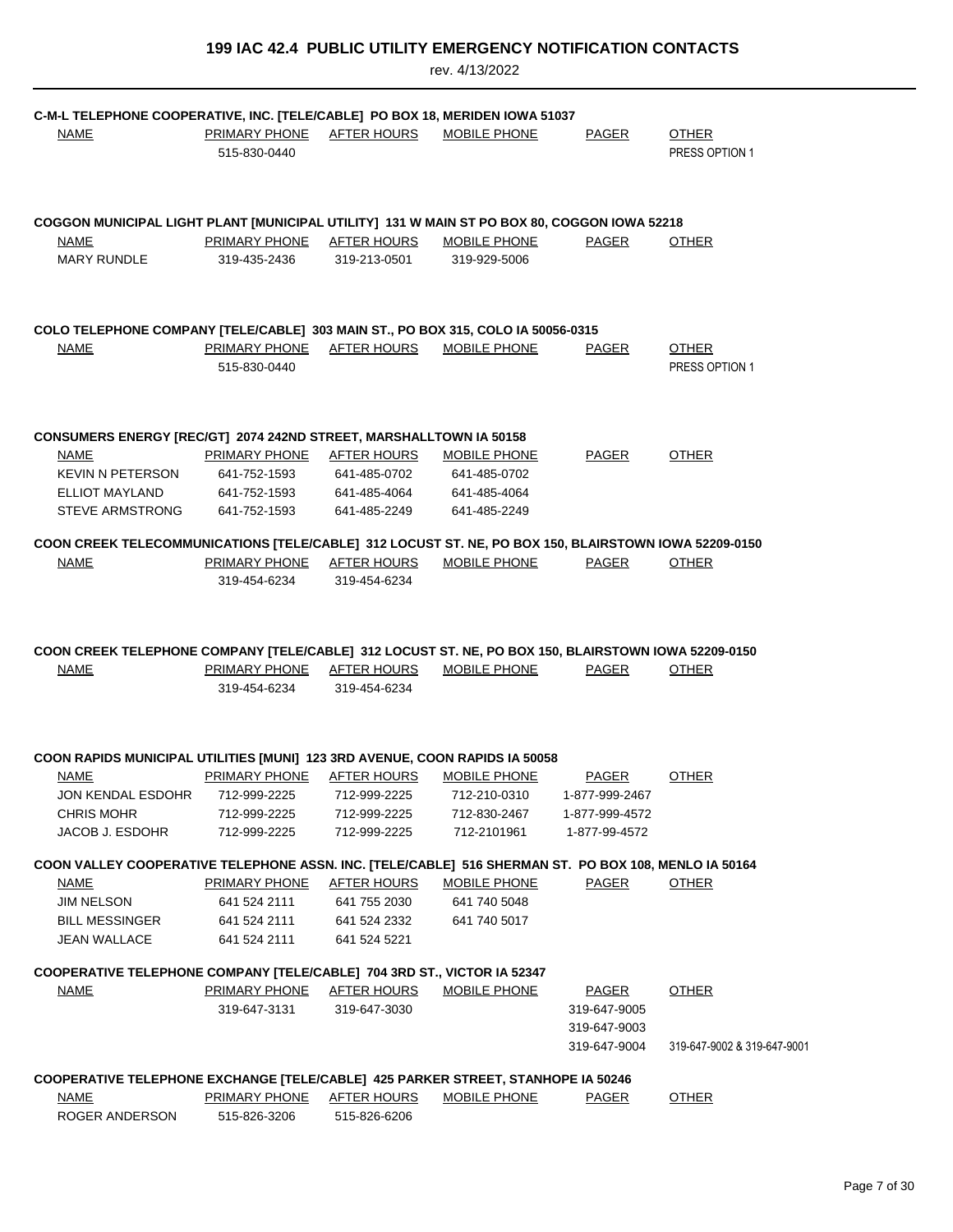| C-M-L TELEPHONE COOPERATIVE, INC. [TELE/CABLE] PO BOX 18, MERIDEN IOWA 51037                                       |                                           |                              |                              |                |                             |
|--------------------------------------------------------------------------------------------------------------------|-------------------------------------------|------------------------------|------------------------------|----------------|-----------------------------|
| <b>NAME</b>                                                                                                        | PRIMARY PHONE AFTER HOURS                 |                              | MOBILE PHONE                 | PAGER          | <b>OTHER</b>                |
|                                                                                                                    | 515-830-0440                              |                              |                              |                | PRESS OPTION 1              |
| COGGON MUNICIPAL LIGHT PLANT [MUNICIPAL UTILITY] 131 W MAIN ST PO BOX 80, COGGON IOWA 52218                        |                                           |                              |                              |                |                             |
| NAME                                                                                                               | PRIMARY PHONE AFTER HOURS                 |                              | MOBILE PHONE                 | PAGER          | <b>OTHER</b>                |
| <b>MARY RUNDLE</b>                                                                                                 | 319-435-2436                              | 319-213-0501                 | 319-929-5006                 |                |                             |
| COLO TELEPHONE COMPANY [TELE/CABLE] 303 MAIN ST., PO BOX 315, COLO IA 50056-0315                                   |                                           |                              |                              |                |                             |
| <b>NAME</b>                                                                                                        | PRIMARY PHONE AFTER HOURS                 |                              | <b>MOBILE PHONE</b>          | <b>PAGER</b>   | <b>OTHER</b>                |
|                                                                                                                    | 515-830-0440                              |                              |                              |                | PRESS OPTION 1              |
|                                                                                                                    |                                           |                              |                              |                |                             |
| CONSUMERS ENERGY [REC/GT] 2074 242ND STREET, MARSHALLTOWN IA 50158<br><b>NAME</b>                                  | <b>PRIMARY PHONE</b>                      | <u>AFTER HOURS</u>           | <b>MOBILE PHONE</b>          | PAGER          | <b>OTHER</b>                |
| KEVIN N PETERSON                                                                                                   | 641-752-1593                              | 641-485-0702                 | 641-485-0702                 |                |                             |
| ELLIOT MAYLAND                                                                                                     | 641-752-1593                              |                              | 641-485-4064 641-485-4064    |                |                             |
| <b>STEVE ARMSTRONG</b>                                                                                             | 641-752-1593                              | 641-485-2249                 | 641-485-2249                 |                |                             |
|                                                                                                                    |                                           |                              |                              |                |                             |
| COON CREEK TELECOMMUNICATIONS [TELE/CABLE] 312 LOCUST ST. NE, PO BOX 150, BLAIRSTOWN IOWA 52209-0150               |                                           |                              |                              |                |                             |
| <b>NAME</b>                                                                                                        | PRIMARY PHONE AFTER HOURS                 |                              | MOBILE PHONE                 | PAGER          | <b>OTHER</b>                |
|                                                                                                                    | 319-454-6234                              | 319-454-6234                 |                              |                |                             |
| COON CREEK TELEPHONE COMPANY [TELE/CABLE] 312 LOCUST ST. NE, PO BOX 150, BLAIRSTOWN IOWA 52209-0150<br><b>NAME</b> | PRIMARY PHONE AFTER HOURS<br>319-454-6234 | 319-454-6234                 | MOBILE PHONE                 | PAGER          | <b>OTHER</b>                |
| COON RAPIDS MUNICIPAL UTILITIES [MUNI] 123 3RD AVENUE, COON RAPIDS IA 50058                                        |                                           |                              |                              |                |                             |
| NAME                                                                                                               | PRIMARY PHONE AFTER HOURS                 |                              | <b>MOBILE PHONE</b>          | PAGER          | <b>OTHER</b>                |
| JON KENDAL ESDOHR 712-999-2225 712-999-2225 712-210-0310 1-877-999-2467                                            |                                           |                              |                              |                |                             |
| <b>CHRIS MOHR</b>                                                                                                  | 712-999-2225                              | 712-999-2225                 | 712-830-2467                 | 1-877-999-4572 |                             |
| JACOB J. ESDOHR                                                                                                    | 712-999-2225                              | 712-999-2225                 | 712-2101961                  | 1-877-99-4572  |                             |
| COON VALLEY COOPERATIVE TELEPHONE ASSN. INC. [TELE/CABLE] 516 SHERMAN ST. PO BOX 108, MENLO IA 50164               |                                           |                              |                              |                |                             |
| <b>NAME</b>                                                                                                        | <b>PRIMARY PHONE</b>                      | AFTER HOURS                  | <b>MOBILE PHONE</b>          | PAGER          | <b>OTHER</b>                |
| <b>JIM NELSON</b><br><b>BILL MESSINGER</b>                                                                         | 641 524 2111<br>641 524 2111              | 641 755 2030<br>641 524 2332 | 641 740 5048<br>641 740 5017 |                |                             |
| <b>JEAN WALLACE</b>                                                                                                | 641 524 2111                              | 641 524 5221                 |                              |                |                             |
|                                                                                                                    |                                           |                              |                              |                |                             |
| COOPERATIVE TELEPHONE COMPANY [TELE/CABLE] 704 3RD ST., VICTOR IA 52347                                            |                                           |                              |                              |                |                             |
| <b>NAME</b>                                                                                                        | PRIMARY PHONE                             | <b>AFTER HOURS</b>           | MOBILE PHONE                 | <b>PAGER</b>   | <b>OTHER</b>                |
|                                                                                                                    | 319-647-3131                              | 319-647-3030                 |                              | 319-647-9005   |                             |
|                                                                                                                    |                                           |                              |                              | 319-647-9003   |                             |
|                                                                                                                    |                                           |                              |                              | 319-647-9004   | 319-647-9002 & 319-647-9001 |
| COOPERATIVE TELEPHONE EXCHANGE [TELE/CABLE] 425 PARKER STREET, STANHOPE IA 50246                                   |                                           |                              |                              |                |                             |
| <b>NAME</b>                                                                                                        | <b>PRIMARY PHONE</b>                      | <b>AFTER HOURS</b>           | <b>MOBILE PHONE</b>          | <b>PAGER</b>   | <b>OTHER</b>                |
| ROGER ANDERSON                                                                                                     | 515-826-3206                              | 515-826-6206                 |                              |                |                             |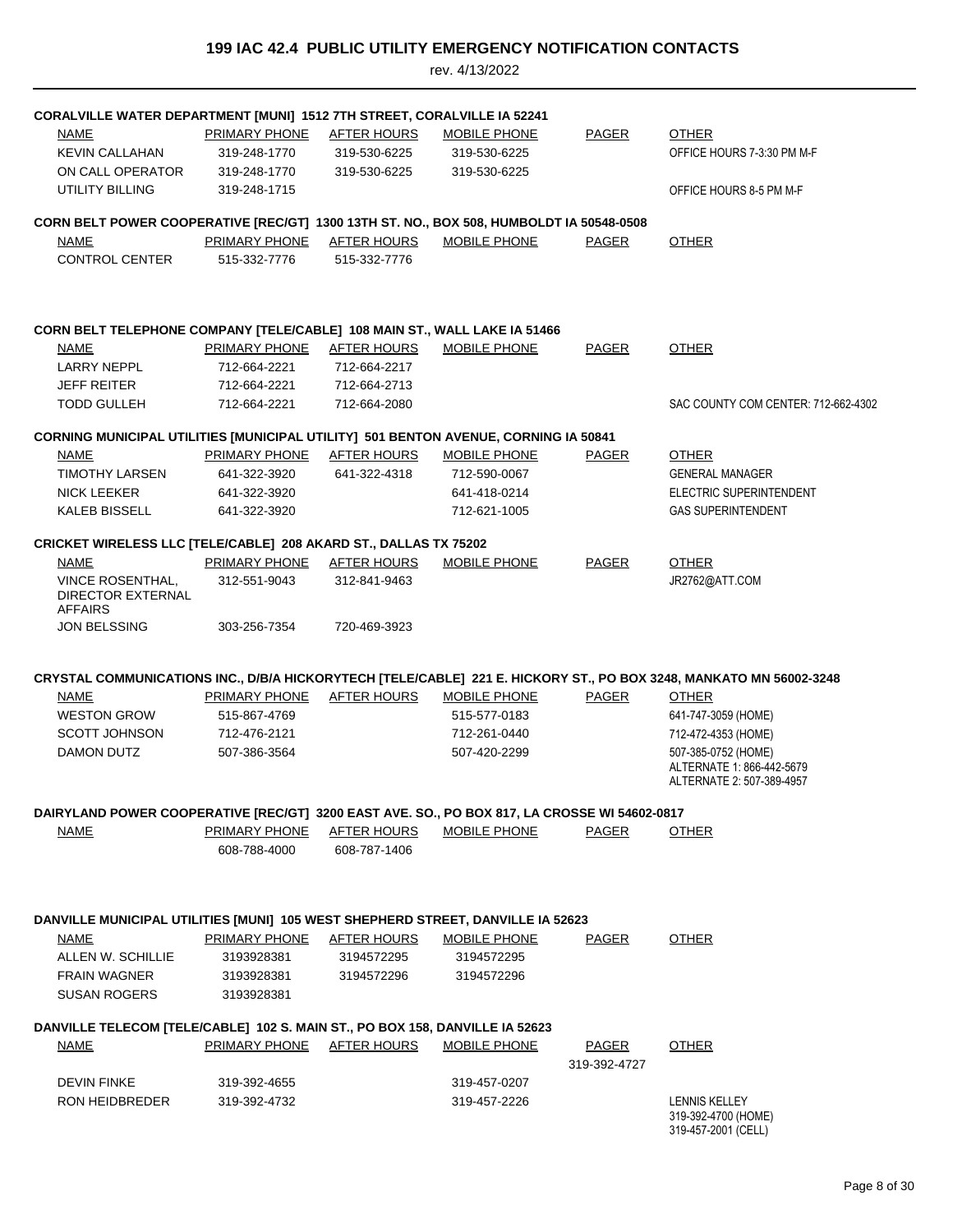| <b>CORALVILLE WATER DEPARTMENT [MUNI] 1512 7TH STREET, CORALVILLE IA 52241</b><br>NAME                                          | PRIMARY PHONE                                | <b>AFTER HOURS</b>           | <b>MOBILE PHONE</b>          | <b>PAGER</b> | <b>OTHER</b>                                                                                                       |
|---------------------------------------------------------------------------------------------------------------------------------|----------------------------------------------|------------------------------|------------------------------|--------------|--------------------------------------------------------------------------------------------------------------------|
| <b>KEVIN CALLAHAN</b><br>ON CALL OPERATOR<br>UTILITY BILLING                                                                    | 319-248-1770<br>319-248-1770<br>319-248-1715 | 319-530-6225<br>319-530-6225 | 319-530-6225<br>319-530-6225 |              | OFFICE HOURS 7-3:30 PM M-F<br>OFFICE HOURS 8-5 PM M-F                                                              |
|                                                                                                                                 |                                              |                              |                              |              |                                                                                                                    |
| CORN BELT POWER COOPERATIVE [REC/GT] 1300 13TH ST. NO., BOX 508, HUMBOLDT IA 50548-0508<br><b>NAME</b><br><b>CONTROL CENTER</b> | PRIMARY PHONE<br>515-332-7776                | AFTER HOURS<br>515-332-7776  | MOBILE PHONE                 | <b>PAGER</b> | <b>OTHER</b>                                                                                                       |
| CORN BELT TELEPHONE COMPANY [TELE/CABLE] 108 MAIN ST., WALL LAKE IA 51466                                                       |                                              |                              |                              |              |                                                                                                                    |
| NAME                                                                                                                            | <b>PRIMARY PHONE</b>                         | <b>AFTER HOURS</b>           | MOBILE PHONE                 | <b>PAGER</b> | <b>OTHER</b>                                                                                                       |
| <b>LARRY NEPPL</b>                                                                                                              | 712-664-2221                                 | 712-664-2217                 |                              |              |                                                                                                                    |
| <b>JEFF REITER</b>                                                                                                              | 712-664-2221                                 | 712-664-2713                 |                              |              |                                                                                                                    |
| <b>TODD GULLEH</b>                                                                                                              | 712-664-2221                                 | 712-664-2080                 |                              |              | SAC COUNTY COM CENTER: 712-662-4302                                                                                |
| <b>CORNING MUNICIPAL UTILITIES [MUNICIPAL UTILITY] 501 BENTON AVENUE, CORNING IA 50841</b>                                      |                                              |                              |                              |              |                                                                                                                    |
| <b>NAME</b>                                                                                                                     | <b>PRIMARY PHONE</b>                         | <b>AFTER HOURS</b>           | <b>MOBILE PHONE</b>          | <b>PAGER</b> | <b>OTHER</b>                                                                                                       |
| <b>TIMOTHY LARSEN</b>                                                                                                           | 641-322-3920                                 | 641-322-4318                 | 712-590-0067                 |              | <b>GENERAL MANAGER</b>                                                                                             |
| <b>NICK LEEKER</b>                                                                                                              | 641-322-3920                                 |                              | 641-418-0214                 |              | ELECTRIC SUPERINTENDENT                                                                                            |
| KALEB BISSELL                                                                                                                   | 641-322-3920                                 |                              | 712-621-1005                 |              | <b>GAS SUPERINTENDENT</b>                                                                                          |
| <b>CRICKET WIRELESS LLC [TELE/CABLE] 208 AKARD ST., DALLAS TX 75202</b>                                                         |                                              |                              |                              |              |                                                                                                                    |
| <b>NAME</b>                                                                                                                     | PRIMARY PHONE                                | <b>AFTER HOURS</b>           | <b>MOBILE PHONE</b>          | <b>PAGER</b> | <b>OTHER</b>                                                                                                       |
| <b>VINCE ROSENTHAL,</b><br><b>DIRECTOR EXTERNAL</b><br><b>AFFAIRS</b>                                                           | 312-551-9043                                 | 312-841-9463                 |                              |              | JR2762@ATT.COM                                                                                                     |
| <b>JON BELSSING</b>                                                                                                             | 303-256-7354                                 | 720-469-3923                 |                              |              |                                                                                                                    |
|                                                                                                                                 |                                              |                              |                              |              |                                                                                                                    |
|                                                                                                                                 |                                              |                              |                              |              | CRYSTAL COMMUNICATIONS INC., D/B/A HICKORYTECH [TELE/CABLE] 221 E. HICKORY ST., PO BOX 3248, MANKATO MN 56002-3248 |
| NAME                                                                                                                            | <b>PRIMARY PHONE</b>                         | AFTER HOURS                  | <b>MOBILE PHONE</b>          | PAGER        | <b>OTHER</b>                                                                                                       |
| <b>WESTON GROW</b>                                                                                                              | 515-867-4769                                 |                              | 515-577-0183                 |              | 641-747-3059 (HOME)                                                                                                |
| <b>SCOTT JOHNSON</b>                                                                                                            | 712-476-2121                                 |                              | 712-261-0440<br>507-420-2299 |              | 712-472-4353 (HOME)                                                                                                |
| DAMON DUTZ                                                                                                                      | 507-386-3564                                 |                              |                              |              | 507-385-0752 (HOME)<br>ALTERNATE 1: 866-442-5679<br>ALTERNATE 2: 507-389-4957                                      |
| DAIRYLAND POWER COOPERATIVE [REC/GT] 3200 EAST AVE. SO., PO BOX 817, LA CROSSE WI 54602-0817                                    |                                              |                              |                              |              |                                                                                                                    |
| <b>NAME</b>                                                                                                                     | <b>PRIMARY PHONE</b>                         | <b>AFTER HOURS</b>           | MOBILE PHONE                 | <b>PAGER</b> | <b>OTHER</b>                                                                                                       |
|                                                                                                                                 | 608-788-4000                                 | 608-787-1406                 |                              |              |                                                                                                                    |
|                                                                                                                                 |                                              |                              |                              |              |                                                                                                                    |
| DANVILLE MUNICIPAL UTILITIES [MUNI] 105 WEST SHEPHERD STREET, DANVILLE IA 52623                                                 |                                              |                              |                              |              |                                                                                                                    |
| NAME                                                                                                                            | <b>PRIMARY PHONE</b>                         | <b>AFTER HOURS</b>           | <b>MOBILE PHONE</b>          | <b>PAGER</b> | <b>OTHER</b>                                                                                                       |
| ALLEN W. SCHILLIE                                                                                                               | 3193928381                                   | 3194572295                   | 3194572295                   |              |                                                                                                                    |
| <b>FRAIN WAGNER</b>                                                                                                             | 3193928381                                   | 3194572296                   | 3194572296                   |              |                                                                                                                    |
| <b>SUSAN ROGERS</b>                                                                                                             | 3193928381                                   |                              |                              |              |                                                                                                                    |
| DANVILLE TELECOM [TELE/CABLE] 102 S. MAIN ST., PO BOX 158, DANVILLE IA 52623                                                    |                                              |                              |                              |              |                                                                                                                    |
| <b>NAME</b>                                                                                                                     | <b>PRIMARY PHONE</b>                         | <b>AFTER HOURS</b>           | <b>MOBILE PHONE</b>          | <b>PAGER</b> | <b>OTHER</b>                                                                                                       |
|                                                                                                                                 |                                              |                              |                              | 319-392-4727 |                                                                                                                    |
| <b>DEVIN FINKE</b>                                                                                                              | 319-392-4655                                 |                              | 319-457-0207                 |              |                                                                                                                    |
| <b>RON HEIDBREDER</b>                                                                                                           | 319-392-4732                                 |                              | 319-457-2226                 |              | <b>LENNIS KELLEY</b><br>319-392-4700 (HOME)<br>319-457-2001 (CELL)                                                 |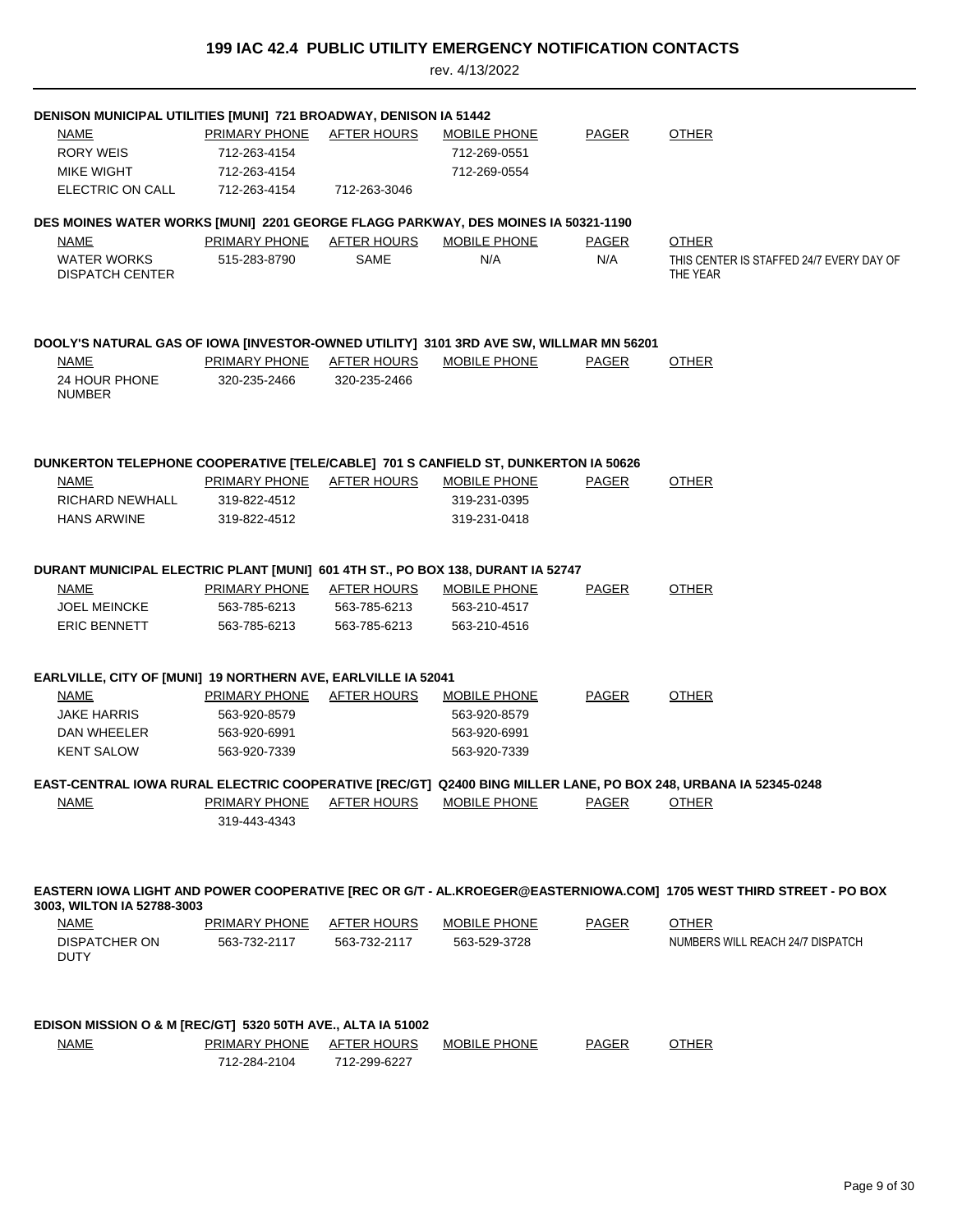| DENISON MUNICIPAL UTILITIES [MUNI] 721 BROADWAY, DENISON IA 51442                                              |                                      |                                    |                     |              |                                                                                                                    |
|----------------------------------------------------------------------------------------------------------------|--------------------------------------|------------------------------------|---------------------|--------------|--------------------------------------------------------------------------------------------------------------------|
| <b>NAME</b>                                                                                                    | PRIMARY PHONE                        | <b>AFTER HOURS</b>                 | <b>MOBILE PHONE</b> | <b>PAGER</b> | <b>OTHER</b>                                                                                                       |
| <b>RORY WEIS</b>                                                                                               | 712-263-4154                         |                                    | 712-269-0551        |              |                                                                                                                    |
| MIKE WIGHT                                                                                                     | 712-263-4154                         |                                    | 712-269-0554        |              |                                                                                                                    |
| ELECTRIC ON CALL                                                                                               | 712-263-4154                         | 712-263-3046                       |                     |              |                                                                                                                    |
|                                                                                                                |                                      |                                    |                     |              |                                                                                                                    |
| DES MOINES WATER WORKS [MUNI] 2201 GEORGE FLAGG PARKWAY, DES MOINES IA 50321-1190                              |                                      |                                    |                     |              |                                                                                                                    |
| NAME                                                                                                           | PRIMARY PHONE AFTER HOURS            |                                    | MOBILE PHONE        | PAGER        | <b>OTHER</b>                                                                                                       |
| <b>WATER WORKS</b><br><b>DISPATCH CENTER</b>                                                                   | 515-283-8790                         | SAME                               | N/A                 | N/A          | THIS CENTER IS STAFFED 24/7 EVERY DAY OF<br>THE YEAR                                                               |
|                                                                                                                |                                      |                                    |                     |              |                                                                                                                    |
| DOOLY'S NATURAL GAS OF IOWA [INVESTOR-OWNED UTILITY] 3101 3RD AVE SW, WILLMAR MN 56201                         |                                      |                                    |                     |              |                                                                                                                    |
| <b>NAME</b>                                                                                                    | <b>PRIMARY PHONE</b>                 | <b>AFTER HOURS</b>                 | <b>MOBILE PHONE</b> | <b>PAGER</b> | <b>OTHER</b>                                                                                                       |
| 24 HOUR PHONE                                                                                                  | 320-235-2466                         | 320-235-2466                       |                     |              |                                                                                                                    |
| <b>NUMBER</b>                                                                                                  |                                      |                                    |                     |              |                                                                                                                    |
|                                                                                                                |                                      |                                    |                     |              |                                                                                                                    |
| DUNKERTON TELEPHONE COOPERATIVE [TELE/CABLE] 701 S CANFIELD ST, DUNKERTON IA 50626                             |                                      |                                    |                     |              |                                                                                                                    |
| NAME                                                                                                           | <b>PRIMARY PHONE AFTER HOURS</b>     |                                    | MOBILE PHONE        | <b>PAGER</b> | <b>OTHER</b>                                                                                                       |
| <b>RICHARD NEWHALL</b>                                                                                         | 319-822-4512                         |                                    | 319-231-0395        |              |                                                                                                                    |
| <b>HANS ARWINE</b>                                                                                             | 319-822-4512                         |                                    | 319-231-0418        |              |                                                                                                                    |
| DURANT MUNICIPAL ELECTRIC PLANT [MUNI] 601 4TH ST., PO BOX 138, DURANT IA 52747                                |                                      |                                    |                     |              |                                                                                                                    |
| NAME                                                                                                           | PRIMARY PHONE AFTER HOURS            |                                    | <b>MOBILE PHONE</b> | <b>PAGER</b> | <b>OTHER</b>                                                                                                       |
| <b>JOEL MEINCKE</b>                                                                                            | 563-785-6213                         | 563-785-6213                       | 563-210-4517        |              |                                                                                                                    |
| <b>ERIC BENNETT</b>                                                                                            | 563-785-6213                         | 563-785-6213                       | 563-210-4516        |              |                                                                                                                    |
| EARLVILLE, CITY OF [MUNI] 19 NORTHERN AVE, EARLVILLE IA 52041                                                  |                                      |                                    |                     |              |                                                                                                                    |
| NAME                                                                                                           | <u>PRIMARY PHONE</u>                 | <b>AFTER HOURS</b>                 | <b>MOBILE PHONE</b> | <b>PAGER</b> | <b>OTHER</b>                                                                                                       |
| JAKE HARRIS                                                                                                    | 563-920-8579                         |                                    | 563-920-8579        |              |                                                                                                                    |
| DAN WHEELER                                                                                                    | 563-920-6991                         |                                    | 563-920-6991        |              |                                                                                                                    |
| <b>KENT SALOW</b>                                                                                              | 563-920-7339                         |                                    | 563-920-7339        |              |                                                                                                                    |
| EAST-CENTRAL IOWA RURAL ELECTRIC COOPERATIVE [REC/GT] Q2400 BING MILLER LANE, PO BOX 248, URBANA IA 52345-0248 |                                      |                                    |                     |              |                                                                                                                    |
| <b>NAME</b>                                                                                                    | <b>PRIMARY PHONE</b>                 | AFTER HOURS                        | <b>MOBILE PHONE</b> | <b>PAGER</b> | <b>OTHER</b>                                                                                                       |
|                                                                                                                | 319-443-4343                         |                                    |                     |              |                                                                                                                    |
|                                                                                                                |                                      |                                    |                     |              | EASTERN IOWA LIGHT AND POWER COOPERATIVE [REC OR G/T - AL.KROEGER@EASTERNIOWA.COM] 1705 WEST THIRD STREET - PO BOX |
| 3003, WILTON IA 52788-3003                                                                                     |                                      |                                    |                     |              |                                                                                                                    |
| <u>NAME</u>                                                                                                    | <b>PRIMARY PHONE</b>                 | <b>AFTER HOURS</b>                 | <b>MOBILE PHONE</b> | <b>PAGER</b> | <b>OTHER</b>                                                                                                       |
| DISPATCHER ON<br>DUTY                                                                                          | 563-732-2117                         | 563-732-2117                       | 563-529-3728        |              | NUMBERS WILL REACH 24/7 DISPATCH                                                                                   |
|                                                                                                                |                                      |                                    |                     |              |                                                                                                                    |
| EDISON MISSION O & M [REC/GT] 5320 50TH AVE., ALTA IA 51002                                                    |                                      |                                    |                     |              |                                                                                                                    |
| <b>NAME</b>                                                                                                    | <b>PRIMARY PHONE</b><br>712-284-2104 | <b>AFTER HOURS</b><br>712-299-6227 | <b>MOBILE PHONE</b> | <b>PAGER</b> | <b>OTHER</b>                                                                                                       |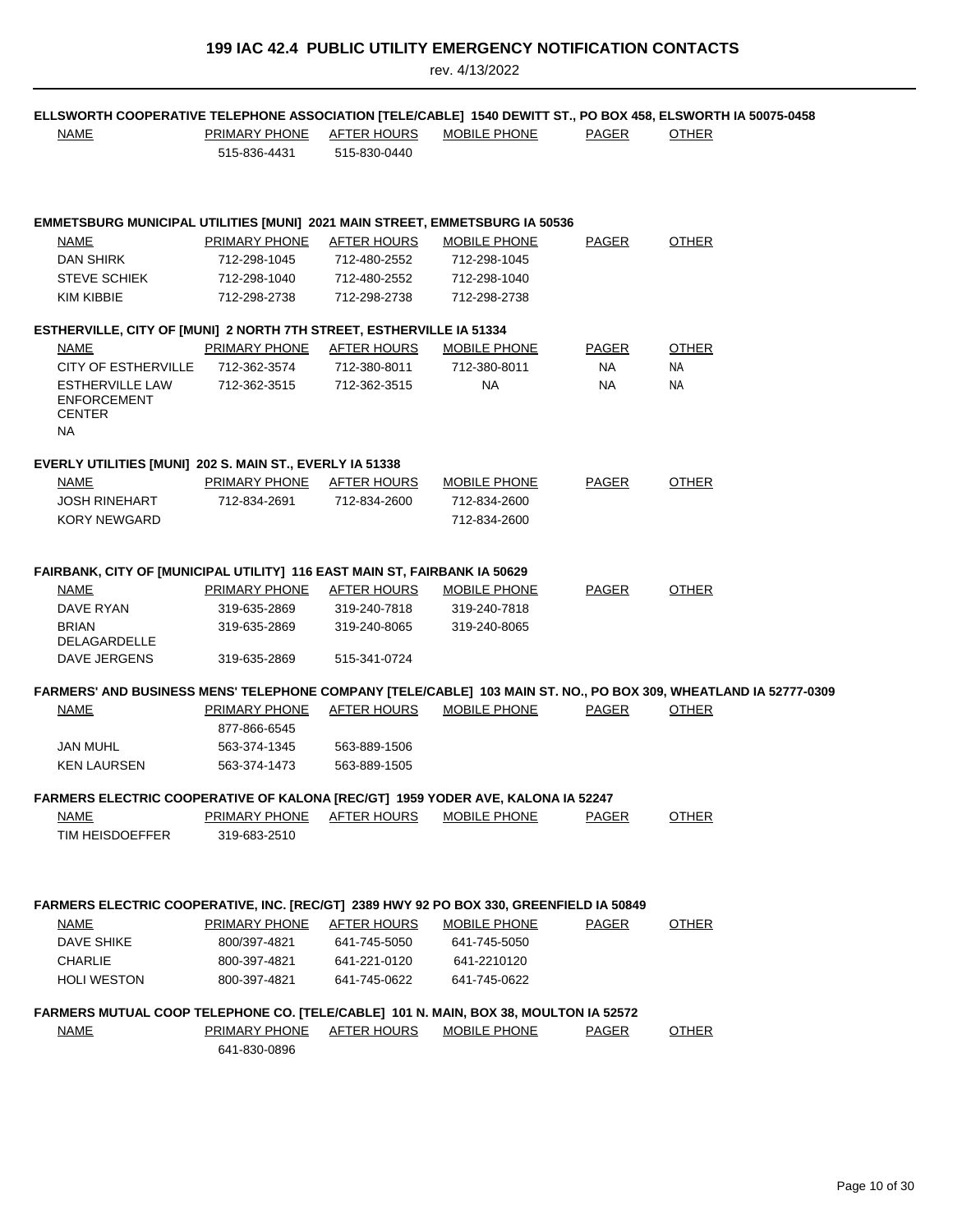|  |  |  | <b>199 IAC 42.4 PUBLIC UTILITY EMERGENCY NOTIFICATION CONTACTS</b> |
|--|--|--|--------------------------------------------------------------------|
|--|--|--|--------------------------------------------------------------------|

| ELLSWORTH COOPERATIVE TELEPHONE ASSOCIATION [TELE/CABLE] 1540 DEWITT ST., PO BOX 458, ELSWORTH IA 50075-0458 |                                  |                    |                     |              |                                                                                                                  |
|--------------------------------------------------------------------------------------------------------------|----------------------------------|--------------------|---------------------|--------------|------------------------------------------------------------------------------------------------------------------|
| <b>NAME</b>                                                                                                  | PRIMARY PHONE                    | <u>AFTER HOURS</u> | MOBILE PHONE        | PAGER        | <b>OTHER</b>                                                                                                     |
|                                                                                                              | 515-836-4431                     | 515-830-0440       |                     |              |                                                                                                                  |
|                                                                                                              |                                  |                    |                     |              |                                                                                                                  |
|                                                                                                              |                                  |                    |                     |              |                                                                                                                  |
|                                                                                                              |                                  |                    |                     |              |                                                                                                                  |
| <b>EMMETSBURG MUNICIPAL UTILITIES [MUNI] 2021 MAIN STREET, EMMETSBURG IA 50536</b>                           |                                  |                    |                     |              |                                                                                                                  |
| NAME                                                                                                         | PRIMARY PHONE                    | AFTER HOURS        | MOBILE PHONE        | PAGER        | <b>OTHER</b>                                                                                                     |
| DAN SHIRK                                                                                                    | 712-298-1045                     | 712-480-2552       | 712-298-1045        |              |                                                                                                                  |
| <b>STEVE SCHIEK</b>                                                                                          | 712-298-1040                     | 712-480-2552       | 712-298-1040        |              |                                                                                                                  |
| <b>KIM KIBBIE</b>                                                                                            | 712-298-2738                     | 712-298-2738       | 712-298-2738        |              |                                                                                                                  |
| ESTHERVILLE, CITY OF [MUNI] 2 NORTH 7TH STREET, ESTHERVILLE IA 51334                                         |                                  |                    |                     |              |                                                                                                                  |
| NAME                                                                                                         | <b>PRIMARY PHONE AFTER HOURS</b> |                    | <b>MOBILE PHONE</b> | <b>PAGER</b> | <b>OTHER</b>                                                                                                     |
| CITY OF ESTHERVILLE                                                                                          | 712-362-3574                     | 712-380-8011       | 712-380-8011        | <b>NA</b>    | NA                                                                                                               |
| <b>ESTHERVILLE LAW</b>                                                                                       | 712-362-3515                     | 712-362-3515       | NA.                 | NA           | NA                                                                                                               |
| <b>ENFORCEMENT</b>                                                                                           |                                  |                    |                     |              |                                                                                                                  |
| <b>CENTER</b>                                                                                                |                                  |                    |                     |              |                                                                                                                  |
| <b>NA</b>                                                                                                    |                                  |                    |                     |              |                                                                                                                  |
| EVERLY UTILITIES [MUNI] 202 S. MAIN ST., EVERLY IA 51338                                                     |                                  |                    |                     |              |                                                                                                                  |
| <b>NAME</b>                                                                                                  | PRIMARY PHONE                    | AFTER HOURS        | <b>MOBILE PHONE</b> | <b>PAGER</b> | <b>OTHER</b>                                                                                                     |
| <b>JOSH RINEHART</b>                                                                                         | 712-834-2691                     | 712-834-2600       | 712-834-2600        |              |                                                                                                                  |
| <b>KORY NEWGARD</b>                                                                                          |                                  |                    | 712-834-2600        |              |                                                                                                                  |
|                                                                                                              |                                  |                    |                     |              |                                                                                                                  |
|                                                                                                              |                                  |                    |                     |              |                                                                                                                  |
| FAIRBANK, CITY OF [MUNICIPAL UTILITY] 116 EAST MAIN ST, FAIRBANK IA 50629                                    |                                  |                    |                     |              |                                                                                                                  |
| NAME                                                                                                         | <b>PRIMARY PHONE</b>             | <u>AFTER HOURS</u> | <b>MOBILE PHONE</b> | <b>PAGER</b> | <b>OTHER</b>                                                                                                     |
| DAVE RYAN                                                                                                    | 319-635-2869                     | 319-240-7818       | 319-240-7818        |              |                                                                                                                  |
| <b>BRIAN</b>                                                                                                 | 319-635-2869                     | 319-240-8065       | 319-240-8065        |              |                                                                                                                  |
| DELAGARDELLE                                                                                                 |                                  |                    |                     |              |                                                                                                                  |
| DAVE JERGENS                                                                                                 | 319-635-2869                     | 515-341-0724       |                     |              |                                                                                                                  |
|                                                                                                              |                                  |                    |                     |              | FARMERS' AND BUSINESS MENS' TELEPHONE COMPANY [TELE/CABLE] 103 MAIN ST. NO., PO BOX 309, WHEATLAND IA 52777-0309 |
| <b>NAME</b>                                                                                                  | <b>PRIMARY PHONE</b>             | <b>AFTER HOURS</b> | MOBILE PHONE        | PAGER        | <b>OTHER</b>                                                                                                     |
|                                                                                                              | 877-866-6545                     |                    |                     |              |                                                                                                                  |
| <b>JAN MUHL</b>                                                                                              | 563-374-1345                     | 563-889-1506       |                     |              |                                                                                                                  |
| <b>KEN LAURSEN</b>                                                                                           | 563-374-1473                     | 563-889-1505       |                     |              |                                                                                                                  |
|                                                                                                              |                                  |                    |                     |              |                                                                                                                  |
| FARMERS ELECTRIC COOPERATIVE OF KALONA [REC/GT] 1959 YODER AVE, KALONA IA 52247                              |                                  |                    |                     |              |                                                                                                                  |
| <b>NAME</b>                                                                                                  | <b>PRIMARY PHONE</b>             | <b>AFTER HOURS</b> | <b>MOBILE PHONE</b> | <b>PAGER</b> | <b>OTHER</b>                                                                                                     |
| TIM HEISDOEFFER                                                                                              | 319-683-2510                     |                    |                     |              |                                                                                                                  |
|                                                                                                              |                                  |                    |                     |              |                                                                                                                  |
|                                                                                                              |                                  |                    |                     |              |                                                                                                                  |
|                                                                                                              |                                  |                    |                     |              |                                                                                                                  |
| FARMERS ELECTRIC COOPERATIVE, INC. [REC/GT] 2389 HWY 92 PO BOX 330, GREENFIELD IA 50849                      |                                  |                    |                     |              |                                                                                                                  |
| <b>NAME</b>                                                                                                  | <b>PRIMARY PHONE</b>             | <b>AFTER HOURS</b> | <b>MOBILE PHONE</b> | <u>PAGER</u> | <b>OTHER</b>                                                                                                     |
| DAVE SHIKE                                                                                                   | 800/397-4821                     | 641-745-5050       | 641-745-5050        |              |                                                                                                                  |
| <b>CHARLIE</b>                                                                                               | 800-397-4821                     | 641-221-0120       | 641-2210120         |              |                                                                                                                  |
| <b>HOLI WESTON</b>                                                                                           | 800-397-4821                     | 641-745-0622       | 641-745-0622        |              |                                                                                                                  |
| FARMERS MUTUAL COOP TELEPHONE CO. [TELE/CABLE] 101 N. MAIN, BOX 38, MOULTON IA 52572                         |                                  |                    |                     |              |                                                                                                                  |
| <b>NAME</b>                                                                                                  | <b>PRIMARY PHONE</b>             | <u>AFTER HOURS</u> | <b>MOBILE PHONE</b> | <u>PAGER</u> | <b>OTHER</b>                                                                                                     |
|                                                                                                              | 641-830-0896                     |                    |                     |              |                                                                                                                  |
|                                                                                                              |                                  |                    |                     |              |                                                                                                                  |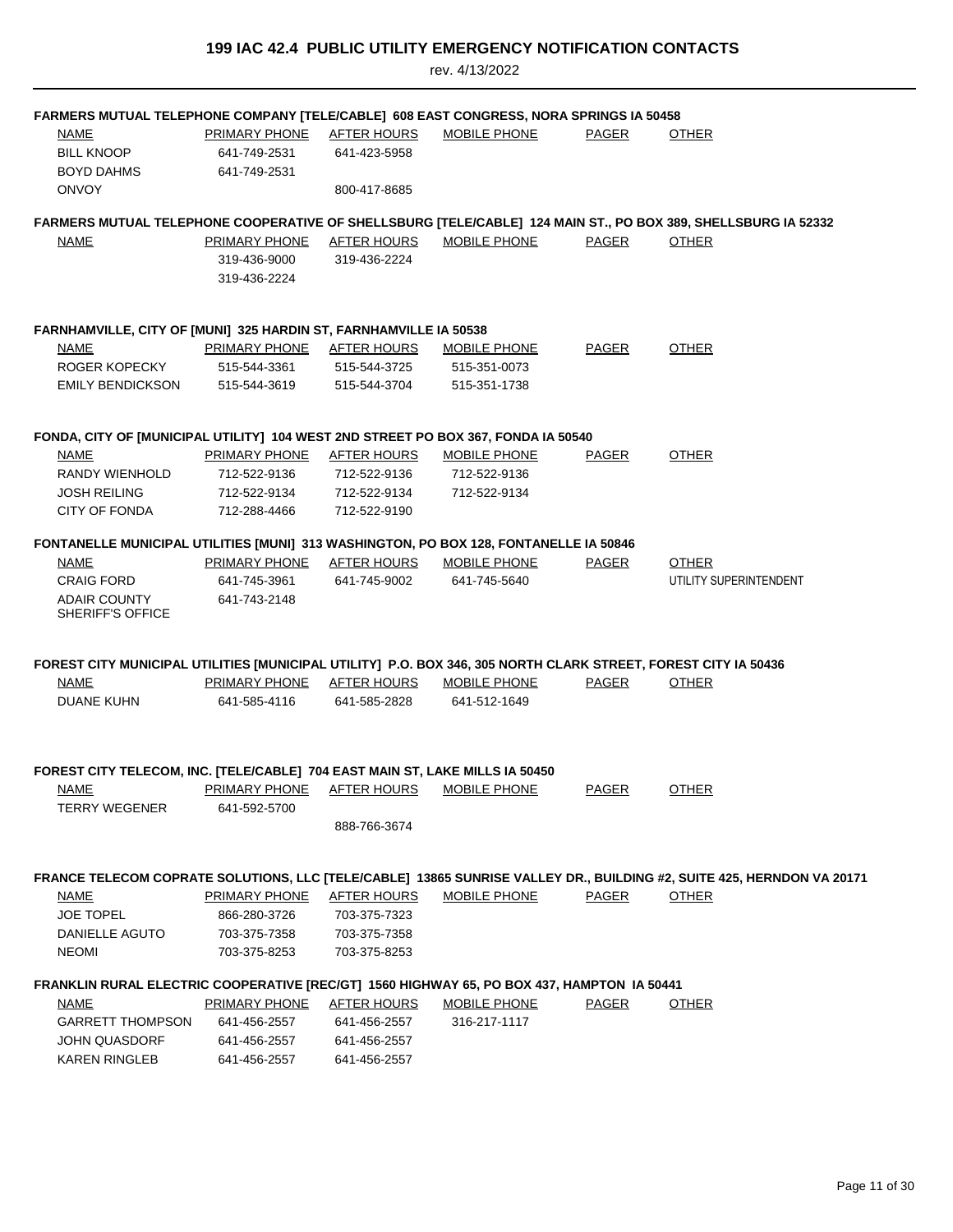| FARMERS MUTUAL TELEPHONE COMPANY [TELE/CABLE] 608 EAST CONGRESS, NORA SPRINGS IA 50458                         |                      |                                    |                     |              |                                                                                                                               |
|----------------------------------------------------------------------------------------------------------------|----------------------|------------------------------------|---------------------|--------------|-------------------------------------------------------------------------------------------------------------------------------|
| <b>NAME</b>                                                                                                    | <b>PRIMARY PHONE</b> | <b>AFTER HOURS</b>                 | <b>MOBILE PHONE</b> | <b>PAGER</b> | <b>OTHER</b>                                                                                                                  |
| <b>BILL KNOOP</b>                                                                                              | 641-749-2531         | 641-423-5958                       |                     |              |                                                                                                                               |
| <b>BOYD DAHMS</b>                                                                                              | 641-749-2531         |                                    |                     |              |                                                                                                                               |
| <b>ONVOY</b>                                                                                                   |                      | 800-417-8685                       |                     |              |                                                                                                                               |
|                                                                                                                |                      |                                    |                     |              |                                                                                                                               |
| <b>NAME</b>                                                                                                    | PRIMARY PHONE        | AFTER HOURS                        | <b>MOBILE PHONE</b> | PAGER        | FARMERS MUTUAL TELEPHONE COOPERATIVE OF SHELLSBURG [TELE/CABLE] 124 MAIN ST., PO BOX 389, SHELLSBURG IA 52332<br><b>OTHER</b> |
|                                                                                                                | 319-436-9000         | 319-436-2224                       |                     |              |                                                                                                                               |
|                                                                                                                | 319-436-2224         |                                    |                     |              |                                                                                                                               |
|                                                                                                                |                      |                                    |                     |              |                                                                                                                               |
| FARNHAMVILLE, CITY OF [MUNI] 325 HARDIN ST, FARNHAMVILLE IA 50538                                              |                      |                                    |                     |              |                                                                                                                               |
| NAME                                                                                                           | PRIMARY PHONE        | <b>AFTER HOURS</b>                 | <b>MOBILE PHONE</b> | <b>PAGER</b> | <b>OTHER</b>                                                                                                                  |
| ROGER KOPECKY                                                                                                  | 515-544-3361         | 515-544-3725                       | 515-351-0073        |              |                                                                                                                               |
| <b>EMILY BENDICKSON</b>                                                                                        | 515-544-3619         | 515-544-3704                       | 515-351-1738        |              |                                                                                                                               |
|                                                                                                                |                      |                                    |                     |              |                                                                                                                               |
| FONDA, CITY OF [MUNICIPAL UTILITY] 104 WEST 2ND STREET PO BOX 367, FONDA IA 50540                              |                      |                                    |                     |              |                                                                                                                               |
| NAME                                                                                                           | <b>PRIMARY PHONE</b> | <b>AFTER HOURS</b>                 | <b>MOBILE PHONE</b> | <b>PAGER</b> | <b>OTHER</b>                                                                                                                  |
| RANDY WIENHOLD                                                                                                 | 712-522-9136         | 712-522-9136                       | 712-522-9136        |              |                                                                                                                               |
| <b>JOSH REILING</b>                                                                                            | 712-522-9134         | 712-522-9134                       | 712-522-9134        |              |                                                                                                                               |
| <b>CITY OF FONDA</b>                                                                                           |                      | 712-522-9190                       |                     |              |                                                                                                                               |
|                                                                                                                | 712-288-4466         |                                    |                     |              |                                                                                                                               |
| FONTANELLE MUNICIPAL UTILITIES [MUNI] 313 WASHINGTON, PO BOX 128, FONTANELLE IA 50846                          |                      |                                    |                     |              |                                                                                                                               |
| NAME                                                                                                           | PRIMARY PHONE        | AFTER HOURS                        | <b>MOBILE PHONE</b> | <b>PAGER</b> | <b>OTHER</b>                                                                                                                  |
| <b>CRAIG FORD</b>                                                                                              | 641-745-3961         | 641-745-9002                       | 641-745-5640        |              | UTILITY SUPERINTENDENT                                                                                                        |
| <b>ADAIR COUNTY</b>                                                                                            | 641-743-2148         |                                    |                     |              |                                                                                                                               |
| <b>SHERIFF'S OFFICE</b>                                                                                        |                      |                                    |                     |              |                                                                                                                               |
|                                                                                                                |                      |                                    |                     |              |                                                                                                                               |
| FOREST CITY MUNICIPAL UTILITIES [MUNICIPAL UTILITY] P.O. BOX 346, 305 NORTH CLARK STREET, FOREST CITY IA 50436 |                      |                                    |                     |              |                                                                                                                               |
| NAME<br><b>DUANE KUHN</b>                                                                                      | PRIMARY PHONE        | <b>AFTER HOURS</b><br>641-585-2828 | <b>MOBILE PHONE</b> | <b>PAGER</b> | <b>OTHER</b>                                                                                                                  |
|                                                                                                                | 641-585-4116         |                                    | 641-512-1649        |              |                                                                                                                               |
|                                                                                                                |                      |                                    |                     |              |                                                                                                                               |
| FOREST CITY TELECOM, INC. [TELE/CABLE] 704 EAST MAIN ST, LAKE MILLS IA 50450                                   |                      |                                    |                     |              |                                                                                                                               |
| <b>NAME</b>                                                                                                    | PRIMARY PHONE        | <b>AFTER HOURS</b>                 | <b>MOBILE PHONE</b> | <b>PAGER</b> | <b>OTHER</b>                                                                                                                  |
| <b>TERRY WEGENER</b>                                                                                           | 641-592-5700         |                                    |                     |              |                                                                                                                               |
|                                                                                                                |                      | 888-766-3674                       |                     |              |                                                                                                                               |
|                                                                                                                |                      |                                    |                     |              |                                                                                                                               |
|                                                                                                                |                      |                                    |                     |              | FRANCE TELECOM COPRATE SOLUTIONS, LLC [TELE/CABLE] 13865 SUNRISE VALLEY DR., BUILDING #2, SUITE 425, HERNDON VA 20171         |
| <b>NAME</b>                                                                                                    | <b>PRIMARY PHONE</b> | <b>AFTER HOURS</b>                 | <b>MOBILE PHONE</b> | <b>PAGER</b> | <b>OTHER</b>                                                                                                                  |
| <b>JOE TOPEL</b>                                                                                               | 866-280-3726         | 703-375-7323                       |                     |              |                                                                                                                               |
| DANIELLE AGUTO                                                                                                 | 703-375-7358         | 703-375-7358                       |                     |              |                                                                                                                               |
| <b>NEOMI</b>                                                                                                   | 703-375-8253         | 703-375-8253                       |                     |              |                                                                                                                               |
| FRANKLIN RURAL ELECTRIC COOPERATIVE [REC/GT] 1560 HIGHWAY 65, PO BOX 437, HAMPTON 1A 50441                     |                      |                                    |                     |              |                                                                                                                               |
|                                                                                                                | <b>PRIMARY PHONE</b> | <b>AFTER HOURS</b>                 | <b>MOBILE PHONE</b> | <b>PAGER</b> | <b>OTHER</b>                                                                                                                  |
| <u>NAME</u><br><b>GARRETT THOMPSON</b>                                                                         | 641-456-2557         | 641-456-2557                       | 316-217-1117        |              |                                                                                                                               |
| <b>JOHN QUASDORF</b>                                                                                           | 641-456-2557         | 641-456-2557                       |                     |              |                                                                                                                               |
| <b>KAREN RINGLEB</b>                                                                                           | 641-456-2557         | 641-456-2557                       |                     |              |                                                                                                                               |
|                                                                                                                |                      |                                    |                     |              |                                                                                                                               |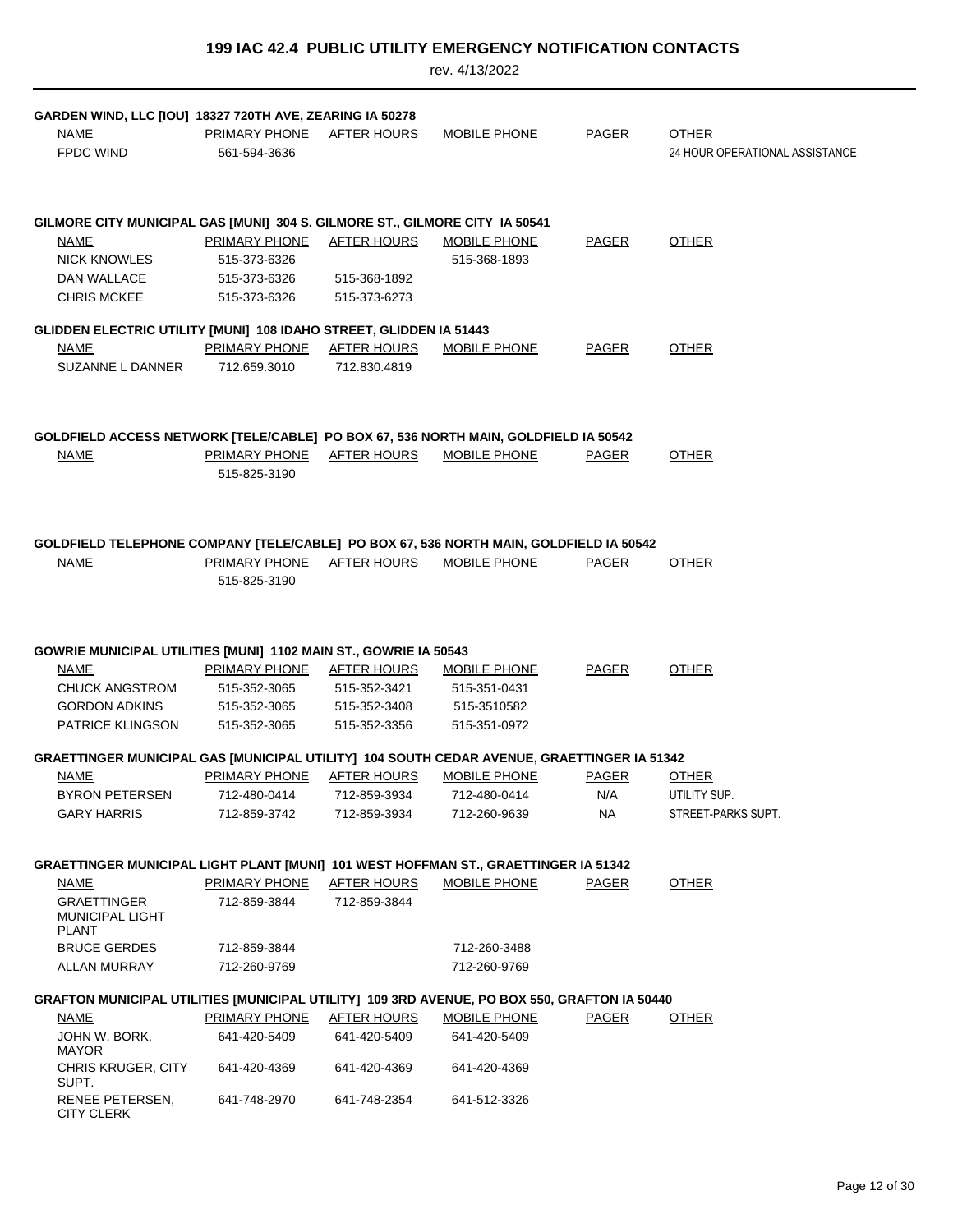| NAME<br><b>FPDC WIND</b>                                                    | GARDEN WIND, LLC [IOU] 18327 720TH AVE, ZEARING IA 50278                    | <b>PRIMARY PHONE</b><br>561-594-3636                                 | <b>AFTER HOURS</b>                                                 | <b>MOBILE PHONE</b>                                                                                                                               | <b>PAGER</b>              | <b>OTHER</b><br>24 HOUR OPERATIONAL ASSISTANCE     |
|-----------------------------------------------------------------------------|-----------------------------------------------------------------------------|----------------------------------------------------------------------|--------------------------------------------------------------------|---------------------------------------------------------------------------------------------------------------------------------------------------|---------------------------|----------------------------------------------------|
| NAME<br><b>NICK KNOWLES</b><br><b>DAN WALLACE</b><br><b>CHRIS MCKEE</b>     | GILMORE CITY MUNICIPAL GAS [MUNI] 304 S. GILMORE ST., GILMORE CITY 1A 50541 | PRIMARY PHONE<br>515-373-6326<br>515-373-6326<br>515-373-6326        | AFTER HOURS<br>515-368-1892<br>515-373-6273                        | <b>MOBILE PHONE</b><br>515-368-1893                                                                                                               | PAGER                     | <b>OTHER</b>                                       |
| <b>NAME</b><br>SUZANNE L DANNER                                             | GLIDDEN ELECTRIC UTILITY [MUNI] 108 IDAHO STREET, GLIDDEN IA 51443          | <b>PRIMARY PHONE</b><br>712.659.3010                                 | <b>AFTER HOURS</b><br>712.830.4819                                 | <b>MOBILE PHONE</b>                                                                                                                               | <b>PAGER</b>              | <b>OTHER</b>                                       |
| NAME                                                                        |                                                                             | PRIMARY PHONE<br>515-825-3190                                        | AFTER HOURS                                                        | GOLDFIELD ACCESS NETWORK [TELE/CABLE] PO BOX 67, 536 NORTH MAIN, GOLDFIELD IA 50542<br><b>MOBILE PHONE</b>                                        | PAGER                     | <b>OTHER</b>                                       |
| <b>NAME</b>                                                                 |                                                                             | PRIMARY PHONE AFTER HOURS<br>515-825-3190                            |                                                                    | GOLDFIELD TELEPHONE COMPANY [TELE/CABLE] PO BOX 67, 536 NORTH MAIN, GOLDFIELD IA 50542<br>MOBILE PHONE                                            | PAGER                     | <b>OTHER</b>                                       |
| NAME<br>CHUCK ANGSTROM<br><b>GORDON ADKINS</b><br><b>PATRICE KLINGSON</b>   | GOWRIE MUNICIPAL UTILITIES [MUNI] 1102 MAIN ST., GOWRIE IA 50543            | <u>PRIMARY PHONE</u><br>515-352-3065<br>515-352-3065<br>515-352-3065 | <u>AFTER HOURS</u><br>515-352-3421<br>515-352-3408<br>515-352-3356 | <b>MOBILE PHONE</b><br>515-351-0431<br>515-3510582<br>515-351-0972                                                                                | <b>PAGER</b>              | <b>OTHER</b>                                       |
| NAME<br>BYRON PETERSEN<br>GARY HARRIS                                       |                                                                             | PRIMARY PHONE<br>712-480-0414<br>712-859-3742                        | AFTER HOURS<br>712-859-3934<br>712-859-3934                        | GRAETTINGER MUNICIPAL GAS [MUNICIPAL UTILITY] 104 SOUTH CEDAR AVENUE, GRAETTINGER IA 51342<br><b>MOBILE PHONE</b><br>712-480-0414<br>712-260-9639 | <b>PAGER</b><br>N/A<br>NA | <b>OTHER</b><br>UTILITY SUP.<br>STREET-PARKS SUPT. |
| <b>NAME</b><br><b>GRAETTINGER</b><br><b>MUNICIPAL LIGHT</b><br><b>PLANT</b> |                                                                             | <b>PRIMARY PHONE</b><br>712-859-3844                                 | <b>AFTER HOURS</b><br>712-859-3844                                 | GRAETTINGER MUNICIPAL LIGHT PLANT [MUNI] 101 WEST HOFFMAN ST., GRAETTINGER IA 51342<br><b>MOBILE PHONE</b>                                        | <b>PAGER</b>              | <b>OTHER</b>                                       |
| <b>BRUCE GERDES</b><br>ALLAN MURRAY                                         |                                                                             | 712-859-3844<br>712-260-9769                                         |                                                                    | 712-260-3488<br>712-260-9769                                                                                                                      |                           |                                                    |
|                                                                             |                                                                             |                                                                      |                                                                    | GRAFTON MUNICIPAL UTILITIES [MUNICIPAL UTILITY] 109 3RD AVENUE, PO BOX 550, GRAFTON IA 50440                                                      |                           |                                                    |
| <u>NAME</u><br>JOHN W. BORK,<br><b>MAYOR</b>                                |                                                                             | PRIMARY PHONE<br>641-420-5409                                        | <b>AFTER HOURS</b><br>641-420-5409                                 | <b>MOBILE PHONE</b><br>641-420-5409                                                                                                               | <b>PAGER</b>              | <b>OTHER</b>                                       |
| <b>CHRIS KRUGER, CITY</b>                                                   |                                                                             | 641-420-4369                                                         | 641-420-4369                                                       | 641-420-4369                                                                                                                                      |                           |                                                    |
| SUPT.<br>RENEE PETERSEN,<br><b>CITY CLERK</b>                               |                                                                             | 641-748-2970                                                         | 641-748-2354                                                       | 641-512-3326                                                                                                                                      |                           |                                                    |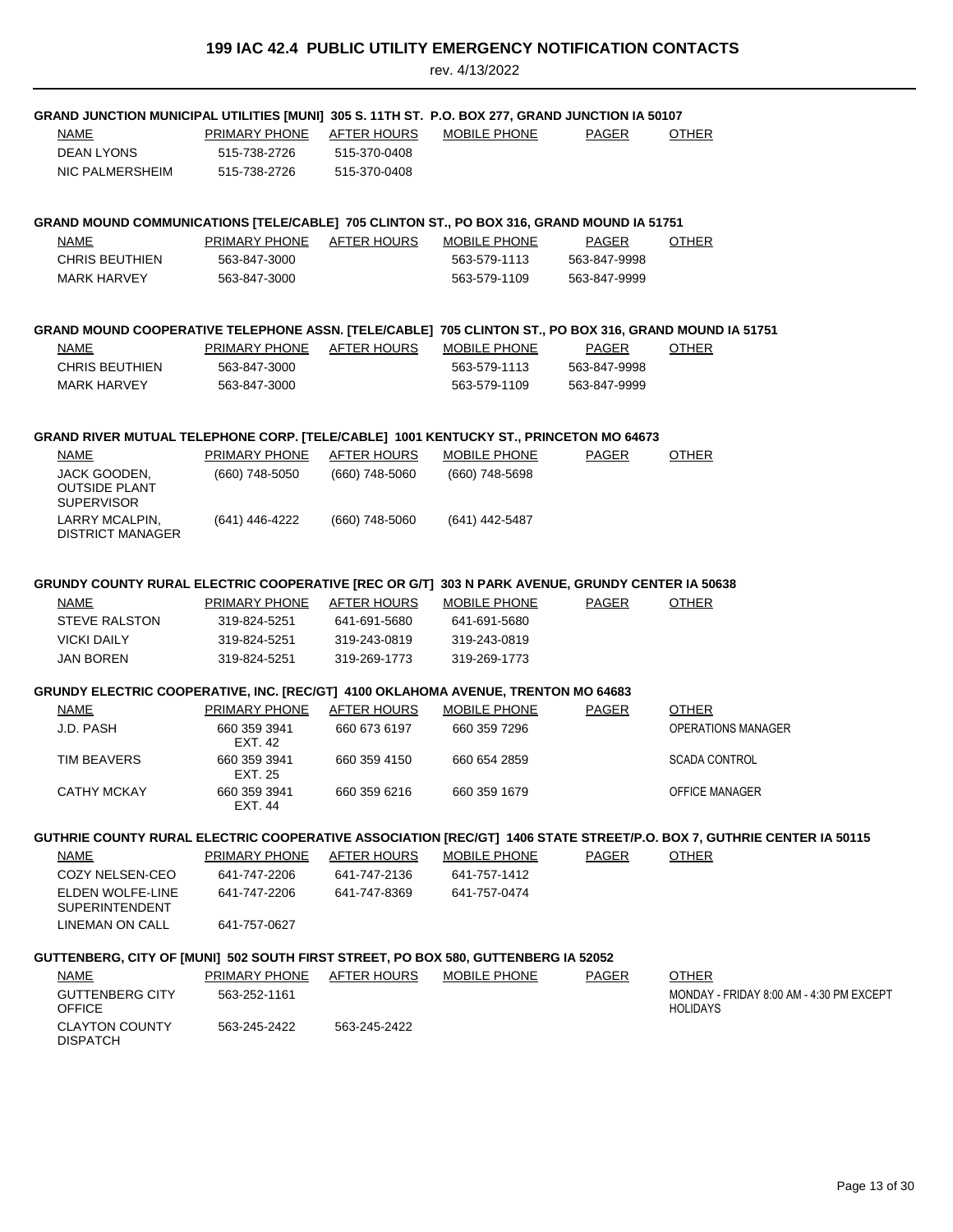| GRAND JUNCTION MUNICIPAL UTILITIES [MUNI] 305 S. 11TH ST. P.O. BOX 277, GRAND JUNCTION IA 50107        |                           |                    |                     |              |                                                                                                                      |
|--------------------------------------------------------------------------------------------------------|---------------------------|--------------------|---------------------|--------------|----------------------------------------------------------------------------------------------------------------------|
| NAME                                                                                                   | <b>PRIMARY PHONE</b>      | <b>AFTER HOURS</b> | MOBILE PHONE        | PAGER        | <b>OTHER</b>                                                                                                         |
| DEAN LYONS                                                                                             | 515-738-2726              | 515-370-0408       |                     |              |                                                                                                                      |
| NIC PALMERSHEIM                                                                                        | 515-738-2726              | 515-370-0408       |                     |              |                                                                                                                      |
|                                                                                                        |                           |                    |                     |              |                                                                                                                      |
|                                                                                                        |                           |                    |                     |              |                                                                                                                      |
| GRAND MOUND COMMUNICATIONS [TELE/CABLE] 705 CLINTON ST., PO BOX 316, GRAND MOUND IA 51751              |                           |                    |                     |              |                                                                                                                      |
| NAME                                                                                                   | PRIMARY PHONE             | AFTER HOURS        | MOBILE PHONE        | PAGER        | <b>OTHER</b>                                                                                                         |
| <b>CHRIS BEUTHIEN</b>                                                                                  | 563-847-3000              |                    | 563-579-1113        | 563-847-9998 |                                                                                                                      |
| <b>MARK HARVEY</b>                                                                                     | 563-847-3000              |                    | 563-579-1109        | 563-847-9999 |                                                                                                                      |
|                                                                                                        |                           |                    |                     |              |                                                                                                                      |
| GRAND MOUND COOPERATIVE TELEPHONE ASSN. [TELE/CABLE] 705 CLINTON ST., PO BOX 316, GRAND MOUND IA 51751 |                           |                    |                     |              |                                                                                                                      |
| <b>NAME</b>                                                                                            | PRIMARY PHONE AFTER HOURS |                    | <b>MOBILE PHONE</b> | <b>PAGER</b> | <b>OTHER</b>                                                                                                         |
| <b>CHRIS BEUTHIEN</b>                                                                                  | 563-847-3000              |                    | 563-579-1113        | 563-847-9998 |                                                                                                                      |
| <b>MARK HARVEY</b>                                                                                     | 563-847-3000              |                    | 563-579-1109        | 563-847-9999 |                                                                                                                      |
|                                                                                                        |                           |                    |                     |              |                                                                                                                      |
|                                                                                                        |                           |                    |                     |              |                                                                                                                      |
| GRAND RIVER MUTUAL TELEPHONE CORP. [TELE/CABLE] 1001 KENTUCKY ST., PRINCETON MO 64673                  |                           |                    |                     |              |                                                                                                                      |
| NAME                                                                                                   | PRIMARY PHONE             | <b>AFTER HOURS</b> | <b>MOBILE PHONE</b> | PAGER        | <b>OTHER</b>                                                                                                         |
| JACK GOODEN,<br><b>OUTSIDE PLANT</b>                                                                   | (660) 748-5050            | (660) 748-5060     | (660) 748-5698      |              |                                                                                                                      |
| <b>SUPERVISOR</b>                                                                                      |                           |                    |                     |              |                                                                                                                      |
| LARRY MCALPIN,                                                                                         | (641) 446-4222            | (660) 748-5060     | (641) 442-5487      |              |                                                                                                                      |
| <b>DISTRICT MANAGER</b>                                                                                |                           |                    |                     |              |                                                                                                                      |
|                                                                                                        |                           |                    |                     |              |                                                                                                                      |
| GRUNDY COUNTY RURAL ELECTRIC COOPERATIVE [REC OR G/T] 303 N PARK AVENUE, GRUNDY CENTER IA 50638        |                           |                    |                     |              |                                                                                                                      |
| <b>NAME</b>                                                                                            | <b>PRIMARY PHONE</b>      | <b>AFTER HOURS</b> | <b>MOBILE PHONE</b> | <b>PAGER</b> | <b>OTHER</b>                                                                                                         |
| <b>STEVE RALSTON</b>                                                                                   | 319-824-5251              | 641-691-5680       | 641-691-5680        |              |                                                                                                                      |
| <b>VICKI DAILY</b>                                                                                     | 319-824-5251              | 319-243-0819       | 319-243-0819        |              |                                                                                                                      |
| <b>JAN BOREN</b>                                                                                       | 319-824-5251              | 319-269-1773       | 319-269-1773        |              |                                                                                                                      |
|                                                                                                        |                           |                    |                     |              |                                                                                                                      |
| GRUNDY ELECTRIC COOPERATIVE, INC. [REC/GT] 4100 OKLAHOMA AVENUE, TRENTON MO 64683                      |                           |                    |                     |              |                                                                                                                      |
| NAME                                                                                                   | <b>PRIMARY PHONE</b>      | <b>AFTER HOURS</b> | <b>MOBILE PHONE</b> | <b>PAGER</b> | <b>OTHER</b>                                                                                                         |
| J.D. PASH                                                                                              | 660 359 3941              | 660 673 6197       | 660 359 7296        |              | <b>OPERATIONS MANAGER</b>                                                                                            |
|                                                                                                        | EXT. 42                   |                    |                     |              |                                                                                                                      |
| TIM BEAVERS                                                                                            | 660 359 3941              | 660 359 4150       | 660 654 2859        |              | <b>SCADA CONTROL</b>                                                                                                 |
| <b>CATHY MCKAY</b>                                                                                     | EXT. 25<br>660 359 3941   | 660 359 6216       | 660 359 1679        |              | <b>OFFICE MANAGER</b>                                                                                                |
|                                                                                                        | EXT. 44                   |                    |                     |              |                                                                                                                      |
|                                                                                                        |                           |                    |                     |              |                                                                                                                      |
|                                                                                                        |                           |                    |                     |              | GUTHRIE COUNTY RURAL ELECTRIC COOPERATIVE ASSOCIATION [REC/GT] 1406 STATE STREET/P.O. BOX 7, GUTHRIE CENTER IA 50115 |
| NAME                                                                                                   | PRIMARY PHONE             | AFTER HOURS        | <b>MOBILE PHONE</b> | PAGER        | <b>OTHER</b>                                                                                                         |
| COZY NELSEN-CEO                                                                                        | 641-747-2206              | 641-747-2136       | 641-757-1412        |              |                                                                                                                      |
| ELDEN WOLFE-LINE<br><b>SUPERINTENDENT</b>                                                              | 641-747-2206              | 641-747-8369       | 641-757-0474        |              |                                                                                                                      |
| LINEMAN ON CALL                                                                                        |                           |                    |                     |              |                                                                                                                      |
|                                                                                                        | 641-757-0627              |                    |                     |              |                                                                                                                      |
| GUTTENBERG, CITY OF [MUNI] 502 SOUTH FIRST STREET, PO BOX 580, GUTTENBERG IA 52052                     |                           |                    |                     |              |                                                                                                                      |
| <b>NAME</b>                                                                                            | PRIMARY PHONE             | AFTER HOURS        | <b>MOBILE PHONE</b> | <b>PAGER</b> | <b>OTHER</b>                                                                                                         |
| <b>GUTTENBERG CITY</b>                                                                                 | 563-252-1161              |                    |                     |              | MONDAY - FRIDAY 8:00 AM - 4:30 PM EXCEPT                                                                             |
| <b>OFFICE</b>                                                                                          |                           |                    |                     |              | <b>HOLIDAYS</b>                                                                                                      |
| <b>CLAYTON COUNTY</b>                                                                                  | 563-245-2422              | 563-245-2422       |                     |              |                                                                                                                      |
| <b>DISPATCH</b>                                                                                        |                           |                    |                     |              |                                                                                                                      |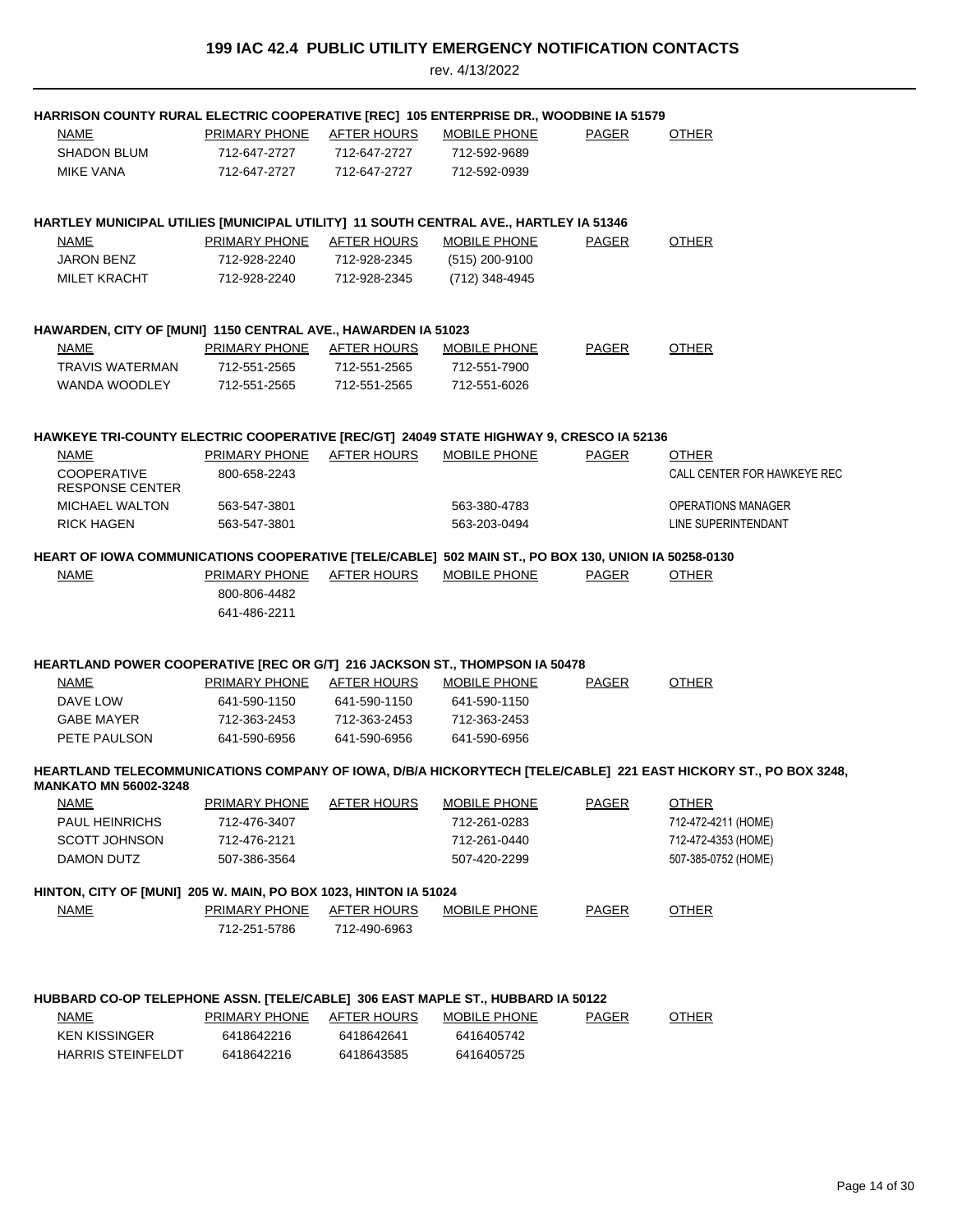| HARRISON COUNTY RURAL ELECTRIC COOPERATIVE [REC] 105 ENTERPRISE DR., WOODBINE IA 51579              |                           |                    |                     |              |                                                                                                                 |
|-----------------------------------------------------------------------------------------------------|---------------------------|--------------------|---------------------|--------------|-----------------------------------------------------------------------------------------------------------------|
| NAME                                                                                                | <b>PRIMARY PHONE</b>      | <u>AFTER HOURS</u> | <b>MOBILE PHONE</b> | <b>PAGER</b> | <b>OTHER</b>                                                                                                    |
| <b>SHADON BLUM</b>                                                                                  | 712-647-2727              | 712-647-2727       | 712-592-9689        |              |                                                                                                                 |
| <b>MIKE VANA</b>                                                                                    | 712-647-2727              | 712-647-2727       | 712-592-0939        |              |                                                                                                                 |
|                                                                                                     |                           |                    |                     |              |                                                                                                                 |
| HARTLEY MUNICIPAL UTILIES [MUNICIPAL UTILITY] 11 SOUTH CENTRAL AVE., HARTLEY IA 51346               |                           |                    |                     |              |                                                                                                                 |
| <b>NAME</b>                                                                                         | PRIMARY PHONE             | AFTER HOURS        | <b>MOBILE PHONE</b> | PAGER        | <b>OTHER</b>                                                                                                    |
| <b>JARON BENZ</b>                                                                                   | 712-928-2240              | 712-928-2345       | (515) 200-9100      |              |                                                                                                                 |
| <b>MILET KRACHT</b>                                                                                 | 712-928-2240              | 712-928-2345       | (712) 348-4945      |              |                                                                                                                 |
| HAWARDEN, CITY OF [MUNI] 1150 CENTRAL AVE., HAWARDEN IA 51023                                       |                           |                    |                     |              |                                                                                                                 |
| <b>NAME</b>                                                                                         | PRIMARY PHONE AFTER HOURS |                    | <b>MOBILE PHONE</b> | <b>PAGER</b> | <b>OTHER</b>                                                                                                    |
| <b>TRAVIS WATERMAN</b>                                                                              | 712-551-2565              | 712-551-2565       | 712-551-7900        |              |                                                                                                                 |
| WANDA WOODLEY                                                                                       | 712-551-2565              | 712-551-2565       | 712-551-6026        |              |                                                                                                                 |
|                                                                                                     |                           |                    |                     |              |                                                                                                                 |
| HAWKEYE TRI-COUNTY ELECTRIC COOPERATIVE [REC/GT] 24049 STATE HIGHWAY 9, CRESCO IA 52136             |                           |                    |                     |              |                                                                                                                 |
| <b>NAME</b>                                                                                         | PRIMARY PHONE             | AFTER HOURS        | <b>MOBILE PHONE</b> | <b>PAGER</b> | <b>OTHER</b>                                                                                                    |
| <b>COOPERATIVE</b><br><b>RESPONSE CENTER</b>                                                        | 800-658-2243              |                    |                     |              | CALL CENTER FOR HAWKEYE REC                                                                                     |
| <b>MICHAEL WALTON</b>                                                                               | 563-547-3801              |                    | 563-380-4783        |              | <b>OPERATIONS MANAGER</b>                                                                                       |
| RICK HAGEN                                                                                          | 563-547-3801              |                    | 563-203-0494        |              | LINE SUPERINTENDANT                                                                                             |
| HEART OF IOWA COMMUNICATIONS COOPERATIVE [TELE/CABLE] 502 MAIN ST., PO BOX 130, UNION IA 50258-0130 |                           |                    |                     |              |                                                                                                                 |
| <b>NAME</b>                                                                                         | PRIMARY PHONE             | <b>AFTER HOURS</b> | MOBILE PHONE        | PAGER        | <b>OTHER</b>                                                                                                    |
|                                                                                                     | 800-806-4482              |                    |                     |              |                                                                                                                 |
|                                                                                                     | 641-486-2211              |                    |                     |              |                                                                                                                 |
|                                                                                                     |                           |                    |                     |              |                                                                                                                 |
| HEARTLAND POWER COOPERATIVE [REC OR G/T] 216 JACKSON ST., THOMPSON IA 50478                         |                           |                    |                     |              |                                                                                                                 |
| NAME                                                                                                | PRIMARY PHONE AFTER HOURS |                    | <b>MOBILE PHONE</b> | <b>PAGER</b> | <b>OTHER</b>                                                                                                    |
| DAVE LOW                                                                                            | 641-590-1150              | 641-590-1150       | 641-590-1150        |              |                                                                                                                 |
| GABE MAYER                                                                                          | 712-363-2453              | 712-363-2453       | 712-363-2453        |              |                                                                                                                 |
| PETE PAULSON                                                                                        | 641-590-6956              | 641-590-6956       | 641-590-6956        |              |                                                                                                                 |
| <b>MANKATO MN 56002-3248</b>                                                                        |                           |                    |                     |              | HEARTLAND TELECOMMUNICATIONS COMPANY OF IOWA, D/B/A HICKORYTECH [TELE/CABLE] 221 EAST HICKORY ST., PO BOX 3248, |
| <b>NAME</b>                                                                                         | <b>PRIMARY PHONE</b>      | <b>AFTER HOURS</b> | <b>MOBILE PHONE</b> | <b>PAGER</b> | <b>OTHER</b>                                                                                                    |
| <b>PAUL HEINRICHS</b>                                                                               | 712-476-3407              |                    | 712-261-0283        |              | 712-472-4211 (HOME)                                                                                             |
| <b>SCOTT JOHNSON</b>                                                                                | 712-476-2121              |                    | 712-261-0440        |              | 712-472-4353 (HOME)                                                                                             |
| DAMON DUTZ                                                                                          | 507-386-3564              |                    | 507-420-2299        |              | 507-385-0752 (HOME)                                                                                             |
| HINTON, CITY OF [MUNI] 205 W. MAIN, PO BOX 1023, HINTON IA 51024                                    |                           |                    |                     |              |                                                                                                                 |
| NAME                                                                                                | <b>PRIMARY PHONE</b>      | <b>AFTER HOURS</b> | <b>MOBILE PHONE</b> | <b>PAGER</b> | <b>OTHER</b>                                                                                                    |
|                                                                                                     | 712-251-5786              | 712-490-6963       |                     |              |                                                                                                                 |
|                                                                                                     |                           |                    |                     |              |                                                                                                                 |
| HUBBARD CO-OP TELEPHONE ASSN. [TELE/CABLE] 306 EAST MAPLE ST., HUBBARD IA 50122                     |                           |                    |                     |              |                                                                                                                 |
| <b>NAME</b>                                                                                         | PRIMARY PHONE             | <b>AFTER HOURS</b> | <b>MOBILE PHONE</b> | <b>PAGER</b> | <b>OTHER</b>                                                                                                    |
| <b>KEN KISSINGER</b>                                                                                | 6418642216                | 6418642641         | 6416405742          |              |                                                                                                                 |
| <b>HARRIS STEINFELDT</b>                                                                            | 6418642216                | 6418643585         | 6416405725          |              |                                                                                                                 |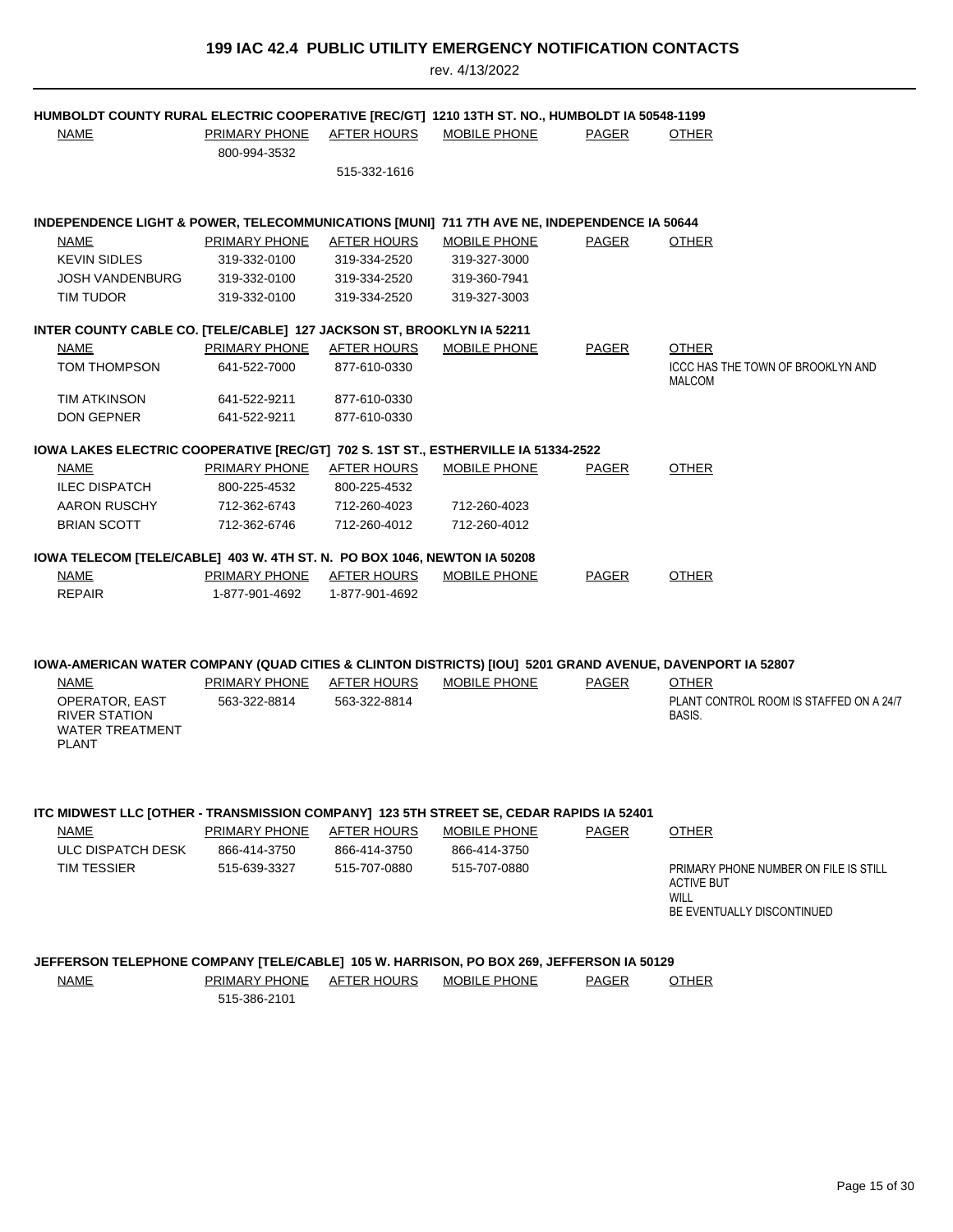| HUMBOLDT COUNTY RURAL ELECTRIC COOPERATIVE [REC/GT] 1210 13TH ST. NO., HUMBOLDT IA 50548-1199             |                      |                    |                     |              |                                                            |
|-----------------------------------------------------------------------------------------------------------|----------------------|--------------------|---------------------|--------------|------------------------------------------------------------|
| <b>NAME</b>                                                                                               | <b>PRIMARY PHONE</b> | <u>AFTER HOURS</u> | <b>MOBILE PHONE</b> | PAGER        | <b>OTHER</b>                                               |
|                                                                                                           | 800-994-3532         |                    |                     |              |                                                            |
|                                                                                                           |                      | 515-332-1616       |                     |              |                                                            |
|                                                                                                           |                      |                    |                     |              |                                                            |
| INDEPENDENCE LIGHT & POWER, TELECOMMUNICATIONS [MUNI] 711 7TH AVE NE, INDEPENDENCE IA 50644               |                      |                    |                     |              |                                                            |
| <b>NAME</b>                                                                                               | <b>PRIMARY PHONE</b> | <b>AFTER HOURS</b> | <b>MOBILE PHONE</b> | PAGER        | <b>OTHER</b>                                               |
| <b>KEVIN SIDLES</b>                                                                                       | 319-332-0100         | 319-334-2520       | 319-327-3000        |              |                                                            |
| <b>JOSH VANDENBURG</b>                                                                                    | 319-332-0100         | 319-334-2520       | 319-360-7941        |              |                                                            |
| TIM TUDOR                                                                                                 | 319-332-0100         | 319-334-2520       | 319-327-3003        |              |                                                            |
| INTER COUNTY CABLE CO. [TELE/CABLE] 127 JACKSON ST, BROOKLYN IA 52211                                     |                      |                    |                     |              |                                                            |
| <b>NAME</b>                                                                                               | PRIMARY PHONE        | <b>AFTER HOURS</b> | <b>MOBILE PHONE</b> | <b>PAGER</b> | <b>OTHER</b>                                               |
| <b>TOM THOMPSON</b>                                                                                       | 641-522-7000         | 877-610-0330       |                     |              | ICCC HAS THE TOWN OF BROOKLYN AND                          |
|                                                                                                           |                      |                    |                     |              | MALCOM                                                     |
| TIM ATKINSON                                                                                              | 641-522-9211         | 877-610-0330       |                     |              |                                                            |
| <b>DON GEPNER</b>                                                                                         | 641-522-9211         | 877-610-0330       |                     |              |                                                            |
|                                                                                                           |                      |                    |                     |              |                                                            |
| IOWA LAKES ELECTRIC COOPERATIVE [REC/GT] 702 S. 1ST ST., ESTHERVILLE IA 51334-2522                        |                      |                    |                     |              |                                                            |
| NAME                                                                                                      | PRIMARY PHONE        | AFTER HOURS        | <b>MOBILE PHONE</b> | PAGER        | <b>OTHER</b>                                               |
| <b>ILEC DISPATCH</b>                                                                                      | 800-225-4532         | 800-225-4532       |                     |              |                                                            |
| AARON RUSCHY                                                                                              | 712-362-6743         | 712-260-4023       | 712-260-4023        |              |                                                            |
| <b>BRIAN SCOTT</b>                                                                                        | 712-362-6746         | 712-260-4012       | 712-260-4012        |              |                                                            |
| IOWA TELECOM [TELE/CABLE] 403 W. 4TH ST. N. PO BOX 1046, NEWTON IA 50208                                  |                      |                    |                     |              |                                                            |
| <b>NAME</b>                                                                                               | <u>PRIMARY PHONE</u> | <u>AFTER HOURS</u> | <b>MOBILE PHONE</b> | <b>PAGER</b> | <b>OTHER</b>                                               |
| <b>REPAIR</b>                                                                                             | 1-877-901-4692       | 1-877-901-4692     |                     |              |                                                            |
|                                                                                                           |                      |                    |                     |              |                                                            |
|                                                                                                           |                      |                    |                     |              |                                                            |
| IOWA-AMERICAN WATER COMPANY (QUAD CITIES & CLINTON DISTRICTS) [IOU] 5201 GRAND AVENUE, DAVENPORT IA 52807 |                      |                    |                     |              |                                                            |
| <b>NAME</b>                                                                                               | PRIMARY PHONE        | AFTER HOURS        | MOBILE PHONE        | PAGER        | <b>OTHER</b>                                               |
| OPERATOR, EAST                                                                                            | 563-322-8814         | 563-322-8814       |                     |              | PLANT CONTROL ROOM IS STAFFED ON A 24/7                    |
| <b>RIVER STATION</b>                                                                                      |                      |                    |                     |              | BASIS.                                                     |
| <b>WATER TREATMENT</b><br><b>PLANT</b>                                                                    |                      |                    |                     |              |                                                            |
|                                                                                                           |                      |                    |                     |              |                                                            |
|                                                                                                           |                      |                    |                     |              |                                                            |
|                                                                                                           |                      |                    |                     |              |                                                            |
| ITC MIDWEST LLC [OTHER - TRANSMISSION COMPANY] 123 5TH STREET SE, CEDAR RAPIDS IA 52401                   |                      |                    |                     |              |                                                            |
| <b>NAME</b>                                                                                               | <b>PRIMARY PHONE</b> | <b>AFTER HOURS</b> | <b>MOBILE PHONE</b> | PAGER        | <b>OTHER</b>                                               |
| ULC DISPATCH DESK                                                                                         | 866-414-3750         | 866-414-3750       | 866-414-3750        |              |                                                            |
| TIM TESSIER                                                                                               | 515-639-3327         | 515-707-0880       | 515-707-0880        |              | PRIMARY PHONE NUMBER ON FILE IS STILL<br><b>ACTIVE BUT</b> |
|                                                                                                           |                      |                    |                     |              | WILL                                                       |
|                                                                                                           |                      |                    |                     |              | BE EVENTUALLY DISCONTINUED                                 |
|                                                                                                           |                      |                    |                     |              |                                                            |
| JEFFERSON TELEPHONE COMPANY [TELE/CABLE] 105 W. HARRISON, PO BOX 269, JEFFERSON IA 50129                  |                      |                    |                     |              |                                                            |
| <b>NAME</b>                                                                                               | PRIMARY PHONE        | AFTER HOURS        | <b>MOBILE PHONE</b> | <b>PAGER</b> | <b>OTHER</b>                                               |
|                                                                                                           | 515-386-2101         |                    |                     |              |                                                            |
|                                                                                                           |                      |                    |                     |              |                                                            |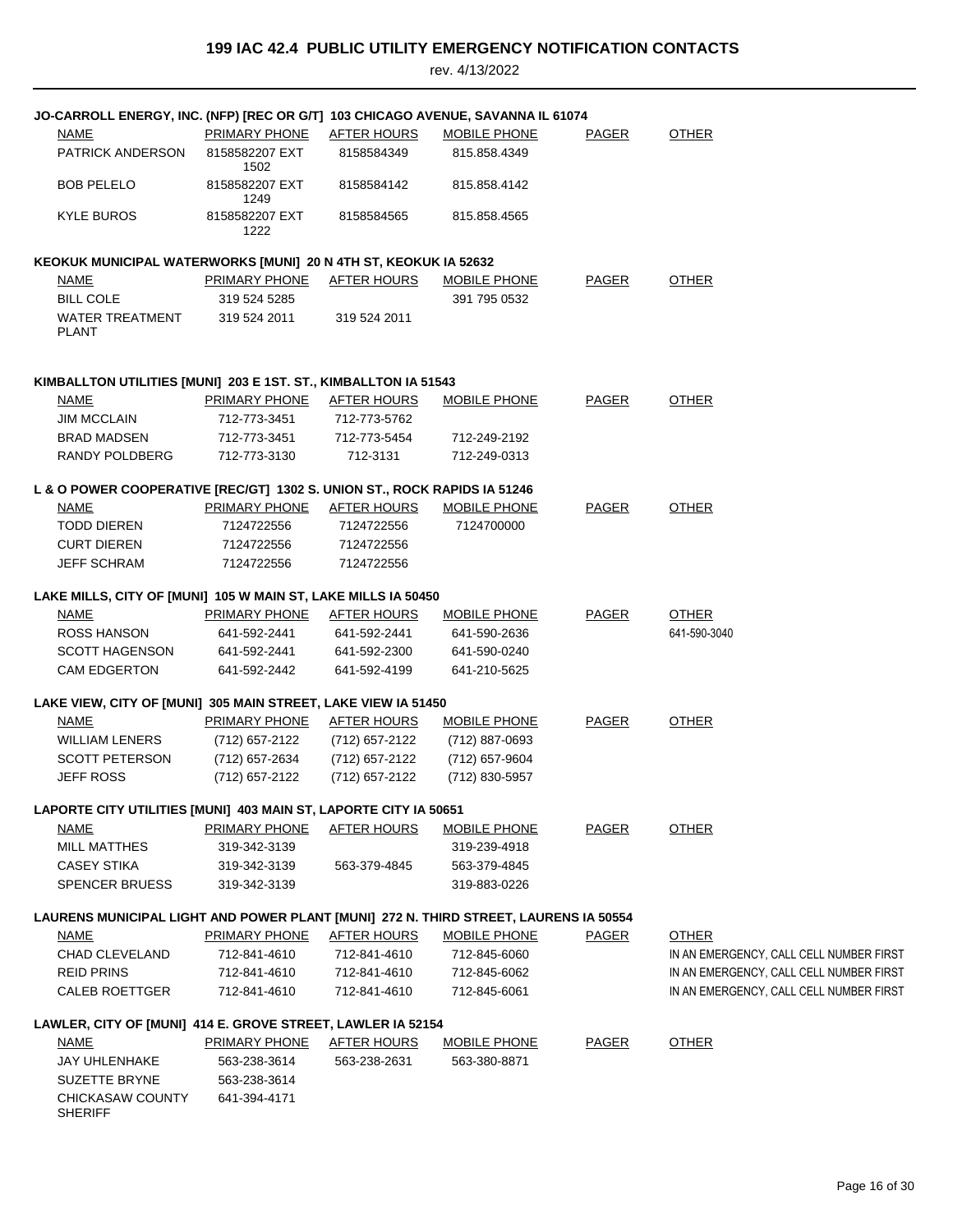| <b>NAME</b><br><b>PRIMARY PHONE</b><br><u>AFTER HOURS</u><br>MOBILE PHONE<br><b>PAGER</b><br><b>OTHER</b><br>PATRICK ANDERSON<br>8158582207 EXT<br>8158584349<br>815.858.4349<br>1502<br>8158582207 EXT<br><b>BOB PELELO</b><br>8158584142<br>815.858.4142<br>1249<br>KYLE BUROS<br>8158582207 EXT<br>8158584565<br>815.858.4565<br>1222<br>KEOKUK MUNICIPAL WATERWORKS [MUNI] 20 N 4TH ST, KEOKUK IA 52632<br><b>PAGER</b><br><b>OTHER</b><br>NAME<br>PRIMARY PHONE<br><b>AFTER HOURS</b><br>MOBILE PHONE<br><b>BILL COLE</b><br>391 795 0532<br>319 524 5285<br>WATER TREATMENT<br>319 524 2011<br>319 524 2011<br><b>PLANT</b><br>KIMBALLTON UTILITIES [MUNI] 203 E 1ST. ST., KIMBALLTON IA 51543<br>PAGER<br><b>OTHER</b><br>NAME<br>PRIMARY PHONE<br>AFTER HOURS<br><b>MOBILE PHONE</b><br><b>JIM MCCLAIN</b><br>712-773-3451<br>712-773-5762<br>BRAD MADSEN<br>712-773-3451<br>712-773-5454<br>712-249-2192<br>RANDY POLDBERG<br>712-773-3130<br>712-3131<br>712-249-0313<br>L & O POWER COOPERATIVE [REC/GT] 1302 S. UNION ST., ROCK RAPIDS IA 51246<br><b>PRIMARY PHONE</b><br><b>NAME</b><br><b>AFTER HOURS</b><br>MOBILE PHONE<br><b>PAGER</b><br><b>OTHER</b><br><b>TODD DIEREN</b><br>7124722556<br>7124722556<br>7124700000<br><b>CURT DIEREN</b><br>7124722556<br>7124722556<br>JEFF SCHRAM<br>7124722556<br>7124722556<br>LAKE MILLS, CITY OF [MUNI] 105 W MAIN ST, LAKE MILLS IA 50450<br><b>NAME</b><br><b>AFTER HOURS</b><br><b>OTHER</b><br>PRIMARY PHONE<br><b>MOBILE PHONE</b><br>PAGER<br>ROSS HANSON<br>641-592-2441<br>641-592-2441<br>641-590-2636<br>641-590-3040<br><b>SCOTT HAGENSON</b><br>641-592-2441<br>641-592-2300<br>641-590-0240<br><b>CAM EDGERTON</b><br>641-592-2442<br>641-592-4199<br>641-210-5625<br>LAKE VIEW, CITY OF [MUNI] 305 MAIN STREET, LAKE VIEW IA 51450<br><b>PAGER</b><br><b>OTHER</b><br><b>NAME</b><br><b>PRIMARY PHONE</b><br><b>AFTER HOURS</b><br><b>MOBILE PHONE</b><br><b>WILLIAM LENERS</b><br>(712) 657-2122<br>(712) 657-2122<br>(712) 887-0693<br><b>SCOTT PETERSON</b><br>(712) 657-2634<br>(712) 657-2122<br>(712) 657-9604<br><b>JEFF ROSS</b><br>(712) 657-2122<br>(712) 657-2122<br>(712) 830-5957<br>LAPORTE CITY UTILITIES [MUNI] 403 MAIN ST, LAPORTE CITY IA 50651<br><b>NAME</b><br><b>PRIMARY PHONE</b><br><b>AFTER HOURS</b><br><b>OTHER</b><br><b>MOBILE PHONE</b><br>PAGER<br><b>MILL MATTHES</b><br>319-342-3139<br>319-239-4918<br><b>CASEY STIKA</b><br>319-342-3139<br>563-379-4845<br>563-379-4845<br><b>SPENCER BRUESS</b><br>319-342-3139<br>319-883-0226<br>LAURENS MUNICIPAL LIGHT AND POWER PLANT [MUNI] 272 N. THIRD STREET, LAURENS IA 50554<br><b>PRIMARY PHONE</b><br><b>AFTER HOURS</b><br><b>MOBILE PHONE</b><br><b>PAGER</b><br><b>OTHER</b><br><u>NAME</u><br>CHAD CLEVELAND<br>712-841-4610<br>712-841-4610<br>712-845-6060<br>IN AN EMERGENCY, CALL CELL NUMBER FIRST<br><b>REID PRINS</b><br>712-841-4610<br>712-841-4610<br>712-845-6062<br>IN AN EMERGENCY, CALL CELL NUMBER FIRST<br><b>CALEB ROETTGER</b><br>712-841-4610<br>IN AN EMERGENCY, CALL CELL NUMBER FIRST<br>712-841-4610<br>712-845-6061<br>LAWLER, CITY OF [MUNI] 414 E. GROVE STREET, LAWLER IA 52154<br><u>NAME</u><br><b>PRIMARY PHONE</b><br><b>AFTER HOURS</b><br><b>MOBILE PHONE</b><br><b>PAGER</b><br><b>OTHER</b><br>JAY UHLENHAKE<br>563-238-3614<br>563-238-2631<br>563-380-8871<br><b>SUZETTE BRYNE</b><br>563-238-3614<br>CHICKASAW COUNTY<br>641-394-4171<br>SHERIFF | JO-CARROLL ENERGY, INC. (NFP) [REC OR G/T] 103 CHICAGO AVENUE, SAVANNA IL 61074 |  |  |  |
|---------------------------------------------------------------------------------------------------------------------------------------------------------------------------------------------------------------------------------------------------------------------------------------------------------------------------------------------------------------------------------------------------------------------------------------------------------------------------------------------------------------------------------------------------------------------------------------------------------------------------------------------------------------------------------------------------------------------------------------------------------------------------------------------------------------------------------------------------------------------------------------------------------------------------------------------------------------------------------------------------------------------------------------------------------------------------------------------------------------------------------------------------------------------------------------------------------------------------------------------------------------------------------------------------------------------------------------------------------------------------------------------------------------------------------------------------------------------------------------------------------------------------------------------------------------------------------------------------------------------------------------------------------------------------------------------------------------------------------------------------------------------------------------------------------------------------------------------------------------------------------------------------------------------------------------------------------------------------------------------------------------------------------------------------------------------------------------------------------------------------------------------------------------------------------------------------------------------------------------------------------------------------------------------------------------------------------------------------------------------------------------------------------------------------------------------------------------------------------------------------------------------------------------------------------------------------------------------------------------------------------------------------------------------------------------------------------------------------------------------------------------------------------------------------------------------------------------------------------------------------------------------------------------------------------------------------------------------------------------------------------------------------------------------------------------------------------------------------------------------------------------------------------------------------------------------------------------------------------------------------------------------------------------------------------------------------------------------------------------------------------------------------------------------------------------------------------|---------------------------------------------------------------------------------|--|--|--|
|                                                                                                                                                                                                                                                                                                                                                                                                                                                                                                                                                                                                                                                                                                                                                                                                                                                                                                                                                                                                                                                                                                                                                                                                                                                                                                                                                                                                                                                                                                                                                                                                                                                                                                                                                                                                                                                                                                                                                                                                                                                                                                                                                                                                                                                                                                                                                                                                                                                                                                                                                                                                                                                                                                                                                                                                                                                                                                                                                                                                                                                                                                                                                                                                                                                                                                                                                                                                                                                         |                                                                                 |  |  |  |
|                                                                                                                                                                                                                                                                                                                                                                                                                                                                                                                                                                                                                                                                                                                                                                                                                                                                                                                                                                                                                                                                                                                                                                                                                                                                                                                                                                                                                                                                                                                                                                                                                                                                                                                                                                                                                                                                                                                                                                                                                                                                                                                                                                                                                                                                                                                                                                                                                                                                                                                                                                                                                                                                                                                                                                                                                                                                                                                                                                                                                                                                                                                                                                                                                                                                                                                                                                                                                                                         |                                                                                 |  |  |  |
|                                                                                                                                                                                                                                                                                                                                                                                                                                                                                                                                                                                                                                                                                                                                                                                                                                                                                                                                                                                                                                                                                                                                                                                                                                                                                                                                                                                                                                                                                                                                                                                                                                                                                                                                                                                                                                                                                                                                                                                                                                                                                                                                                                                                                                                                                                                                                                                                                                                                                                                                                                                                                                                                                                                                                                                                                                                                                                                                                                                                                                                                                                                                                                                                                                                                                                                                                                                                                                                         |                                                                                 |  |  |  |
|                                                                                                                                                                                                                                                                                                                                                                                                                                                                                                                                                                                                                                                                                                                                                                                                                                                                                                                                                                                                                                                                                                                                                                                                                                                                                                                                                                                                                                                                                                                                                                                                                                                                                                                                                                                                                                                                                                                                                                                                                                                                                                                                                                                                                                                                                                                                                                                                                                                                                                                                                                                                                                                                                                                                                                                                                                                                                                                                                                                                                                                                                                                                                                                                                                                                                                                                                                                                                                                         |                                                                                 |  |  |  |
|                                                                                                                                                                                                                                                                                                                                                                                                                                                                                                                                                                                                                                                                                                                                                                                                                                                                                                                                                                                                                                                                                                                                                                                                                                                                                                                                                                                                                                                                                                                                                                                                                                                                                                                                                                                                                                                                                                                                                                                                                                                                                                                                                                                                                                                                                                                                                                                                                                                                                                                                                                                                                                                                                                                                                                                                                                                                                                                                                                                                                                                                                                                                                                                                                                                                                                                                                                                                                                                         |                                                                                 |  |  |  |
|                                                                                                                                                                                                                                                                                                                                                                                                                                                                                                                                                                                                                                                                                                                                                                                                                                                                                                                                                                                                                                                                                                                                                                                                                                                                                                                                                                                                                                                                                                                                                                                                                                                                                                                                                                                                                                                                                                                                                                                                                                                                                                                                                                                                                                                                                                                                                                                                                                                                                                                                                                                                                                                                                                                                                                                                                                                                                                                                                                                                                                                                                                                                                                                                                                                                                                                                                                                                                                                         |                                                                                 |  |  |  |
|                                                                                                                                                                                                                                                                                                                                                                                                                                                                                                                                                                                                                                                                                                                                                                                                                                                                                                                                                                                                                                                                                                                                                                                                                                                                                                                                                                                                                                                                                                                                                                                                                                                                                                                                                                                                                                                                                                                                                                                                                                                                                                                                                                                                                                                                                                                                                                                                                                                                                                                                                                                                                                                                                                                                                                                                                                                                                                                                                                                                                                                                                                                                                                                                                                                                                                                                                                                                                                                         |                                                                                 |  |  |  |
|                                                                                                                                                                                                                                                                                                                                                                                                                                                                                                                                                                                                                                                                                                                                                                                                                                                                                                                                                                                                                                                                                                                                                                                                                                                                                                                                                                                                                                                                                                                                                                                                                                                                                                                                                                                                                                                                                                                                                                                                                                                                                                                                                                                                                                                                                                                                                                                                                                                                                                                                                                                                                                                                                                                                                                                                                                                                                                                                                                                                                                                                                                                                                                                                                                                                                                                                                                                                                                                         |                                                                                 |  |  |  |
|                                                                                                                                                                                                                                                                                                                                                                                                                                                                                                                                                                                                                                                                                                                                                                                                                                                                                                                                                                                                                                                                                                                                                                                                                                                                                                                                                                                                                                                                                                                                                                                                                                                                                                                                                                                                                                                                                                                                                                                                                                                                                                                                                                                                                                                                                                                                                                                                                                                                                                                                                                                                                                                                                                                                                                                                                                                                                                                                                                                                                                                                                                                                                                                                                                                                                                                                                                                                                                                         |                                                                                 |  |  |  |
|                                                                                                                                                                                                                                                                                                                                                                                                                                                                                                                                                                                                                                                                                                                                                                                                                                                                                                                                                                                                                                                                                                                                                                                                                                                                                                                                                                                                                                                                                                                                                                                                                                                                                                                                                                                                                                                                                                                                                                                                                                                                                                                                                                                                                                                                                                                                                                                                                                                                                                                                                                                                                                                                                                                                                                                                                                                                                                                                                                                                                                                                                                                                                                                                                                                                                                                                                                                                                                                         |                                                                                 |  |  |  |
|                                                                                                                                                                                                                                                                                                                                                                                                                                                                                                                                                                                                                                                                                                                                                                                                                                                                                                                                                                                                                                                                                                                                                                                                                                                                                                                                                                                                                                                                                                                                                                                                                                                                                                                                                                                                                                                                                                                                                                                                                                                                                                                                                                                                                                                                                                                                                                                                                                                                                                                                                                                                                                                                                                                                                                                                                                                                                                                                                                                                                                                                                                                                                                                                                                                                                                                                                                                                                                                         |                                                                                 |  |  |  |
|                                                                                                                                                                                                                                                                                                                                                                                                                                                                                                                                                                                                                                                                                                                                                                                                                                                                                                                                                                                                                                                                                                                                                                                                                                                                                                                                                                                                                                                                                                                                                                                                                                                                                                                                                                                                                                                                                                                                                                                                                                                                                                                                                                                                                                                                                                                                                                                                                                                                                                                                                                                                                                                                                                                                                                                                                                                                                                                                                                                                                                                                                                                                                                                                                                                                                                                                                                                                                                                         |                                                                                 |  |  |  |
|                                                                                                                                                                                                                                                                                                                                                                                                                                                                                                                                                                                                                                                                                                                                                                                                                                                                                                                                                                                                                                                                                                                                                                                                                                                                                                                                                                                                                                                                                                                                                                                                                                                                                                                                                                                                                                                                                                                                                                                                                                                                                                                                                                                                                                                                                                                                                                                                                                                                                                                                                                                                                                                                                                                                                                                                                                                                                                                                                                                                                                                                                                                                                                                                                                                                                                                                                                                                                                                         |                                                                                 |  |  |  |
|                                                                                                                                                                                                                                                                                                                                                                                                                                                                                                                                                                                                                                                                                                                                                                                                                                                                                                                                                                                                                                                                                                                                                                                                                                                                                                                                                                                                                                                                                                                                                                                                                                                                                                                                                                                                                                                                                                                                                                                                                                                                                                                                                                                                                                                                                                                                                                                                                                                                                                                                                                                                                                                                                                                                                                                                                                                                                                                                                                                                                                                                                                                                                                                                                                                                                                                                                                                                                                                         |                                                                                 |  |  |  |
|                                                                                                                                                                                                                                                                                                                                                                                                                                                                                                                                                                                                                                                                                                                                                                                                                                                                                                                                                                                                                                                                                                                                                                                                                                                                                                                                                                                                                                                                                                                                                                                                                                                                                                                                                                                                                                                                                                                                                                                                                                                                                                                                                                                                                                                                                                                                                                                                                                                                                                                                                                                                                                                                                                                                                                                                                                                                                                                                                                                                                                                                                                                                                                                                                                                                                                                                                                                                                                                         |                                                                                 |  |  |  |
|                                                                                                                                                                                                                                                                                                                                                                                                                                                                                                                                                                                                                                                                                                                                                                                                                                                                                                                                                                                                                                                                                                                                                                                                                                                                                                                                                                                                                                                                                                                                                                                                                                                                                                                                                                                                                                                                                                                                                                                                                                                                                                                                                                                                                                                                                                                                                                                                                                                                                                                                                                                                                                                                                                                                                                                                                                                                                                                                                                                                                                                                                                                                                                                                                                                                                                                                                                                                                                                         |                                                                                 |  |  |  |
|                                                                                                                                                                                                                                                                                                                                                                                                                                                                                                                                                                                                                                                                                                                                                                                                                                                                                                                                                                                                                                                                                                                                                                                                                                                                                                                                                                                                                                                                                                                                                                                                                                                                                                                                                                                                                                                                                                                                                                                                                                                                                                                                                                                                                                                                                                                                                                                                                                                                                                                                                                                                                                                                                                                                                                                                                                                                                                                                                                                                                                                                                                                                                                                                                                                                                                                                                                                                                                                         |                                                                                 |  |  |  |
|                                                                                                                                                                                                                                                                                                                                                                                                                                                                                                                                                                                                                                                                                                                                                                                                                                                                                                                                                                                                                                                                                                                                                                                                                                                                                                                                                                                                                                                                                                                                                                                                                                                                                                                                                                                                                                                                                                                                                                                                                                                                                                                                                                                                                                                                                                                                                                                                                                                                                                                                                                                                                                                                                                                                                                                                                                                                                                                                                                                                                                                                                                                                                                                                                                                                                                                                                                                                                                                         |                                                                                 |  |  |  |
|                                                                                                                                                                                                                                                                                                                                                                                                                                                                                                                                                                                                                                                                                                                                                                                                                                                                                                                                                                                                                                                                                                                                                                                                                                                                                                                                                                                                                                                                                                                                                                                                                                                                                                                                                                                                                                                                                                                                                                                                                                                                                                                                                                                                                                                                                                                                                                                                                                                                                                                                                                                                                                                                                                                                                                                                                                                                                                                                                                                                                                                                                                                                                                                                                                                                                                                                                                                                                                                         |                                                                                 |  |  |  |
|                                                                                                                                                                                                                                                                                                                                                                                                                                                                                                                                                                                                                                                                                                                                                                                                                                                                                                                                                                                                                                                                                                                                                                                                                                                                                                                                                                                                                                                                                                                                                                                                                                                                                                                                                                                                                                                                                                                                                                                                                                                                                                                                                                                                                                                                                                                                                                                                                                                                                                                                                                                                                                                                                                                                                                                                                                                                                                                                                                                                                                                                                                                                                                                                                                                                                                                                                                                                                                                         |                                                                                 |  |  |  |
|                                                                                                                                                                                                                                                                                                                                                                                                                                                                                                                                                                                                                                                                                                                                                                                                                                                                                                                                                                                                                                                                                                                                                                                                                                                                                                                                                                                                                                                                                                                                                                                                                                                                                                                                                                                                                                                                                                                                                                                                                                                                                                                                                                                                                                                                                                                                                                                                                                                                                                                                                                                                                                                                                                                                                                                                                                                                                                                                                                                                                                                                                                                                                                                                                                                                                                                                                                                                                                                         |                                                                                 |  |  |  |
|                                                                                                                                                                                                                                                                                                                                                                                                                                                                                                                                                                                                                                                                                                                                                                                                                                                                                                                                                                                                                                                                                                                                                                                                                                                                                                                                                                                                                                                                                                                                                                                                                                                                                                                                                                                                                                                                                                                                                                                                                                                                                                                                                                                                                                                                                                                                                                                                                                                                                                                                                                                                                                                                                                                                                                                                                                                                                                                                                                                                                                                                                                                                                                                                                                                                                                                                                                                                                                                         |                                                                                 |  |  |  |
|                                                                                                                                                                                                                                                                                                                                                                                                                                                                                                                                                                                                                                                                                                                                                                                                                                                                                                                                                                                                                                                                                                                                                                                                                                                                                                                                                                                                                                                                                                                                                                                                                                                                                                                                                                                                                                                                                                                                                                                                                                                                                                                                                                                                                                                                                                                                                                                                                                                                                                                                                                                                                                                                                                                                                                                                                                                                                                                                                                                                                                                                                                                                                                                                                                                                                                                                                                                                                                                         |                                                                                 |  |  |  |
|                                                                                                                                                                                                                                                                                                                                                                                                                                                                                                                                                                                                                                                                                                                                                                                                                                                                                                                                                                                                                                                                                                                                                                                                                                                                                                                                                                                                                                                                                                                                                                                                                                                                                                                                                                                                                                                                                                                                                                                                                                                                                                                                                                                                                                                                                                                                                                                                                                                                                                                                                                                                                                                                                                                                                                                                                                                                                                                                                                                                                                                                                                                                                                                                                                                                                                                                                                                                                                                         |                                                                                 |  |  |  |
|                                                                                                                                                                                                                                                                                                                                                                                                                                                                                                                                                                                                                                                                                                                                                                                                                                                                                                                                                                                                                                                                                                                                                                                                                                                                                                                                                                                                                                                                                                                                                                                                                                                                                                                                                                                                                                                                                                                                                                                                                                                                                                                                                                                                                                                                                                                                                                                                                                                                                                                                                                                                                                                                                                                                                                                                                                                                                                                                                                                                                                                                                                                                                                                                                                                                                                                                                                                                                                                         |                                                                                 |  |  |  |
|                                                                                                                                                                                                                                                                                                                                                                                                                                                                                                                                                                                                                                                                                                                                                                                                                                                                                                                                                                                                                                                                                                                                                                                                                                                                                                                                                                                                                                                                                                                                                                                                                                                                                                                                                                                                                                                                                                                                                                                                                                                                                                                                                                                                                                                                                                                                                                                                                                                                                                                                                                                                                                                                                                                                                                                                                                                                                                                                                                                                                                                                                                                                                                                                                                                                                                                                                                                                                                                         |                                                                                 |  |  |  |
|                                                                                                                                                                                                                                                                                                                                                                                                                                                                                                                                                                                                                                                                                                                                                                                                                                                                                                                                                                                                                                                                                                                                                                                                                                                                                                                                                                                                                                                                                                                                                                                                                                                                                                                                                                                                                                                                                                                                                                                                                                                                                                                                                                                                                                                                                                                                                                                                                                                                                                                                                                                                                                                                                                                                                                                                                                                                                                                                                                                                                                                                                                                                                                                                                                                                                                                                                                                                                                                         |                                                                                 |  |  |  |
|                                                                                                                                                                                                                                                                                                                                                                                                                                                                                                                                                                                                                                                                                                                                                                                                                                                                                                                                                                                                                                                                                                                                                                                                                                                                                                                                                                                                                                                                                                                                                                                                                                                                                                                                                                                                                                                                                                                                                                                                                                                                                                                                                                                                                                                                                                                                                                                                                                                                                                                                                                                                                                                                                                                                                                                                                                                                                                                                                                                                                                                                                                                                                                                                                                                                                                                                                                                                                                                         |                                                                                 |  |  |  |
|                                                                                                                                                                                                                                                                                                                                                                                                                                                                                                                                                                                                                                                                                                                                                                                                                                                                                                                                                                                                                                                                                                                                                                                                                                                                                                                                                                                                                                                                                                                                                                                                                                                                                                                                                                                                                                                                                                                                                                                                                                                                                                                                                                                                                                                                                                                                                                                                                                                                                                                                                                                                                                                                                                                                                                                                                                                                                                                                                                                                                                                                                                                                                                                                                                                                                                                                                                                                                                                         |                                                                                 |  |  |  |
|                                                                                                                                                                                                                                                                                                                                                                                                                                                                                                                                                                                                                                                                                                                                                                                                                                                                                                                                                                                                                                                                                                                                                                                                                                                                                                                                                                                                                                                                                                                                                                                                                                                                                                                                                                                                                                                                                                                                                                                                                                                                                                                                                                                                                                                                                                                                                                                                                                                                                                                                                                                                                                                                                                                                                                                                                                                                                                                                                                                                                                                                                                                                                                                                                                                                                                                                                                                                                                                         |                                                                                 |  |  |  |
|                                                                                                                                                                                                                                                                                                                                                                                                                                                                                                                                                                                                                                                                                                                                                                                                                                                                                                                                                                                                                                                                                                                                                                                                                                                                                                                                                                                                                                                                                                                                                                                                                                                                                                                                                                                                                                                                                                                                                                                                                                                                                                                                                                                                                                                                                                                                                                                                                                                                                                                                                                                                                                                                                                                                                                                                                                                                                                                                                                                                                                                                                                                                                                                                                                                                                                                                                                                                                                                         |                                                                                 |  |  |  |
|                                                                                                                                                                                                                                                                                                                                                                                                                                                                                                                                                                                                                                                                                                                                                                                                                                                                                                                                                                                                                                                                                                                                                                                                                                                                                                                                                                                                                                                                                                                                                                                                                                                                                                                                                                                                                                                                                                                                                                                                                                                                                                                                                                                                                                                                                                                                                                                                                                                                                                                                                                                                                                                                                                                                                                                                                                                                                                                                                                                                                                                                                                                                                                                                                                                                                                                                                                                                                                                         |                                                                                 |  |  |  |
|                                                                                                                                                                                                                                                                                                                                                                                                                                                                                                                                                                                                                                                                                                                                                                                                                                                                                                                                                                                                                                                                                                                                                                                                                                                                                                                                                                                                                                                                                                                                                                                                                                                                                                                                                                                                                                                                                                                                                                                                                                                                                                                                                                                                                                                                                                                                                                                                                                                                                                                                                                                                                                                                                                                                                                                                                                                                                                                                                                                                                                                                                                                                                                                                                                                                                                                                                                                                                                                         |                                                                                 |  |  |  |
|                                                                                                                                                                                                                                                                                                                                                                                                                                                                                                                                                                                                                                                                                                                                                                                                                                                                                                                                                                                                                                                                                                                                                                                                                                                                                                                                                                                                                                                                                                                                                                                                                                                                                                                                                                                                                                                                                                                                                                                                                                                                                                                                                                                                                                                                                                                                                                                                                                                                                                                                                                                                                                                                                                                                                                                                                                                                                                                                                                                                                                                                                                                                                                                                                                                                                                                                                                                                                                                         |                                                                                 |  |  |  |
|                                                                                                                                                                                                                                                                                                                                                                                                                                                                                                                                                                                                                                                                                                                                                                                                                                                                                                                                                                                                                                                                                                                                                                                                                                                                                                                                                                                                                                                                                                                                                                                                                                                                                                                                                                                                                                                                                                                                                                                                                                                                                                                                                                                                                                                                                                                                                                                                                                                                                                                                                                                                                                                                                                                                                                                                                                                                                                                                                                                                                                                                                                                                                                                                                                                                                                                                                                                                                                                         |                                                                                 |  |  |  |
|                                                                                                                                                                                                                                                                                                                                                                                                                                                                                                                                                                                                                                                                                                                                                                                                                                                                                                                                                                                                                                                                                                                                                                                                                                                                                                                                                                                                                                                                                                                                                                                                                                                                                                                                                                                                                                                                                                                                                                                                                                                                                                                                                                                                                                                                                                                                                                                                                                                                                                                                                                                                                                                                                                                                                                                                                                                                                                                                                                                                                                                                                                                                                                                                                                                                                                                                                                                                                                                         |                                                                                 |  |  |  |
|                                                                                                                                                                                                                                                                                                                                                                                                                                                                                                                                                                                                                                                                                                                                                                                                                                                                                                                                                                                                                                                                                                                                                                                                                                                                                                                                                                                                                                                                                                                                                                                                                                                                                                                                                                                                                                                                                                                                                                                                                                                                                                                                                                                                                                                                                                                                                                                                                                                                                                                                                                                                                                                                                                                                                                                                                                                                                                                                                                                                                                                                                                                                                                                                                                                                                                                                                                                                                                                         |                                                                                 |  |  |  |
|                                                                                                                                                                                                                                                                                                                                                                                                                                                                                                                                                                                                                                                                                                                                                                                                                                                                                                                                                                                                                                                                                                                                                                                                                                                                                                                                                                                                                                                                                                                                                                                                                                                                                                                                                                                                                                                                                                                                                                                                                                                                                                                                                                                                                                                                                                                                                                                                                                                                                                                                                                                                                                                                                                                                                                                                                                                                                                                                                                                                                                                                                                                                                                                                                                                                                                                                                                                                                                                         |                                                                                 |  |  |  |
|                                                                                                                                                                                                                                                                                                                                                                                                                                                                                                                                                                                                                                                                                                                                                                                                                                                                                                                                                                                                                                                                                                                                                                                                                                                                                                                                                                                                                                                                                                                                                                                                                                                                                                                                                                                                                                                                                                                                                                                                                                                                                                                                                                                                                                                                                                                                                                                                                                                                                                                                                                                                                                                                                                                                                                                                                                                                                                                                                                                                                                                                                                                                                                                                                                                                                                                                                                                                                                                         |                                                                                 |  |  |  |
|                                                                                                                                                                                                                                                                                                                                                                                                                                                                                                                                                                                                                                                                                                                                                                                                                                                                                                                                                                                                                                                                                                                                                                                                                                                                                                                                                                                                                                                                                                                                                                                                                                                                                                                                                                                                                                                                                                                                                                                                                                                                                                                                                                                                                                                                                                                                                                                                                                                                                                                                                                                                                                                                                                                                                                                                                                                                                                                                                                                                                                                                                                                                                                                                                                                                                                                                                                                                                                                         |                                                                                 |  |  |  |
|                                                                                                                                                                                                                                                                                                                                                                                                                                                                                                                                                                                                                                                                                                                                                                                                                                                                                                                                                                                                                                                                                                                                                                                                                                                                                                                                                                                                                                                                                                                                                                                                                                                                                                                                                                                                                                                                                                                                                                                                                                                                                                                                                                                                                                                                                                                                                                                                                                                                                                                                                                                                                                                                                                                                                                                                                                                                                                                                                                                                                                                                                                                                                                                                                                                                                                                                                                                                                                                         |                                                                                 |  |  |  |
|                                                                                                                                                                                                                                                                                                                                                                                                                                                                                                                                                                                                                                                                                                                                                                                                                                                                                                                                                                                                                                                                                                                                                                                                                                                                                                                                                                                                                                                                                                                                                                                                                                                                                                                                                                                                                                                                                                                                                                                                                                                                                                                                                                                                                                                                                                                                                                                                                                                                                                                                                                                                                                                                                                                                                                                                                                                                                                                                                                                                                                                                                                                                                                                                                                                                                                                                                                                                                                                         |                                                                                 |  |  |  |
|                                                                                                                                                                                                                                                                                                                                                                                                                                                                                                                                                                                                                                                                                                                                                                                                                                                                                                                                                                                                                                                                                                                                                                                                                                                                                                                                                                                                                                                                                                                                                                                                                                                                                                                                                                                                                                                                                                                                                                                                                                                                                                                                                                                                                                                                                                                                                                                                                                                                                                                                                                                                                                                                                                                                                                                                                                                                                                                                                                                                                                                                                                                                                                                                                                                                                                                                                                                                                                                         |                                                                                 |  |  |  |
|                                                                                                                                                                                                                                                                                                                                                                                                                                                                                                                                                                                                                                                                                                                                                                                                                                                                                                                                                                                                                                                                                                                                                                                                                                                                                                                                                                                                                                                                                                                                                                                                                                                                                                                                                                                                                                                                                                                                                                                                                                                                                                                                                                                                                                                                                                                                                                                                                                                                                                                                                                                                                                                                                                                                                                                                                                                                                                                                                                                                                                                                                                                                                                                                                                                                                                                                                                                                                                                         |                                                                                 |  |  |  |
|                                                                                                                                                                                                                                                                                                                                                                                                                                                                                                                                                                                                                                                                                                                                                                                                                                                                                                                                                                                                                                                                                                                                                                                                                                                                                                                                                                                                                                                                                                                                                                                                                                                                                                                                                                                                                                                                                                                                                                                                                                                                                                                                                                                                                                                                                                                                                                                                                                                                                                                                                                                                                                                                                                                                                                                                                                                                                                                                                                                                                                                                                                                                                                                                                                                                                                                                                                                                                                                         |                                                                                 |  |  |  |
|                                                                                                                                                                                                                                                                                                                                                                                                                                                                                                                                                                                                                                                                                                                                                                                                                                                                                                                                                                                                                                                                                                                                                                                                                                                                                                                                                                                                                                                                                                                                                                                                                                                                                                                                                                                                                                                                                                                                                                                                                                                                                                                                                                                                                                                                                                                                                                                                                                                                                                                                                                                                                                                                                                                                                                                                                                                                                                                                                                                                                                                                                                                                                                                                                                                                                                                                                                                                                                                         |                                                                                 |  |  |  |
|                                                                                                                                                                                                                                                                                                                                                                                                                                                                                                                                                                                                                                                                                                                                                                                                                                                                                                                                                                                                                                                                                                                                                                                                                                                                                                                                                                                                                                                                                                                                                                                                                                                                                                                                                                                                                                                                                                                                                                                                                                                                                                                                                                                                                                                                                                                                                                                                                                                                                                                                                                                                                                                                                                                                                                                                                                                                                                                                                                                                                                                                                                                                                                                                                                                                                                                                                                                                                                                         |                                                                                 |  |  |  |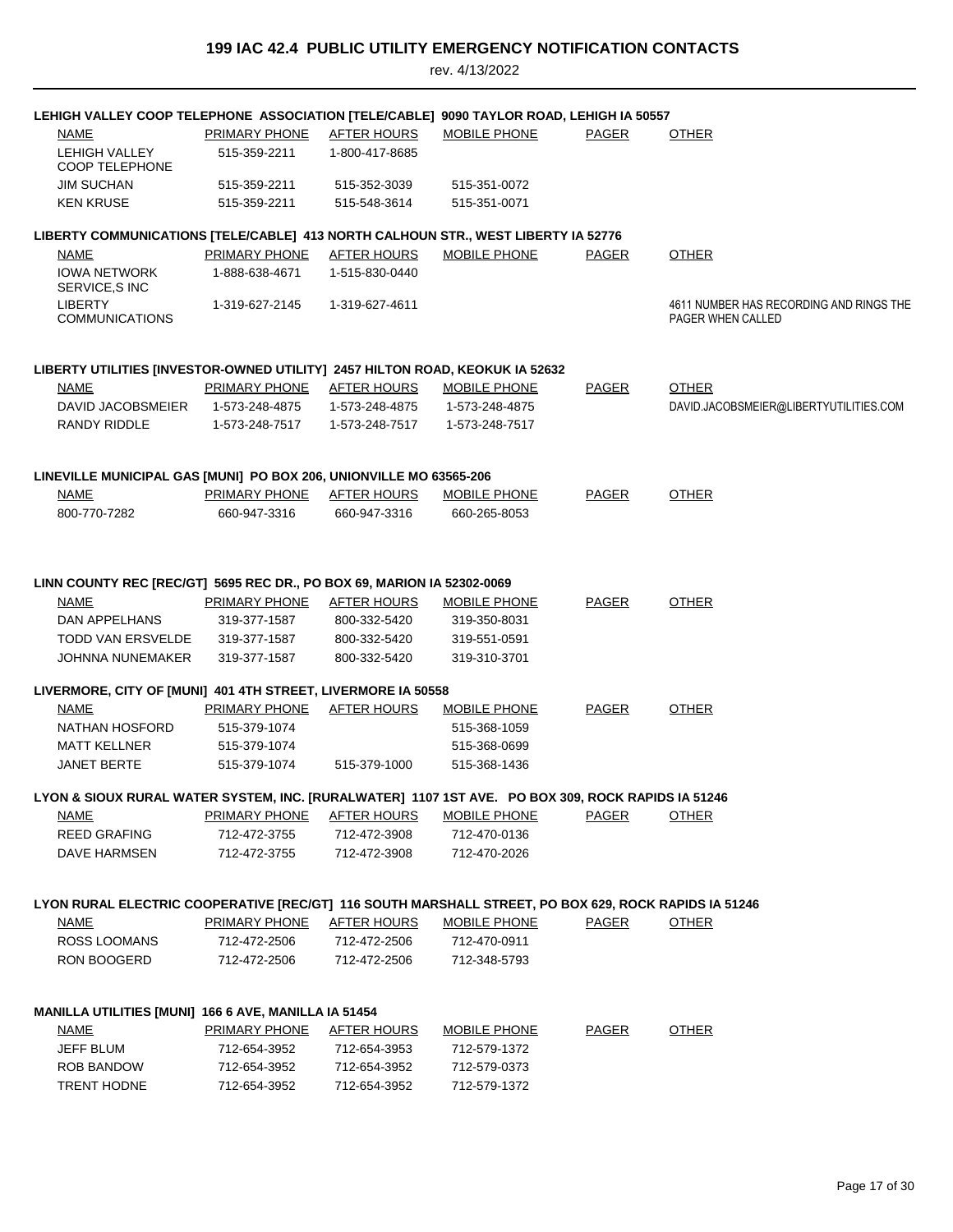| LEHIGH VALLEY COOP TELEPHONE ASSOCIATION [TELE/CABLE] 9090 TAYLOR ROAD, LEHIGH IA 50557              |                           |                    |                     |              |                                                              |
|------------------------------------------------------------------------------------------------------|---------------------------|--------------------|---------------------|--------------|--------------------------------------------------------------|
| <b>NAME</b>                                                                                          | <b>PRIMARY PHONE</b>      | <b>AFTER HOURS</b> | MOBILE PHONE        | <b>PAGER</b> | <b>OTHER</b>                                                 |
| LEHIGH VALLEY<br><b>COOP TELEPHONE</b>                                                               | 515-359-2211              | 1-800-417-8685     |                     |              |                                                              |
| <b>JIM SUCHAN</b>                                                                                    | 515-359-2211              | 515-352-3039       | 515-351-0072        |              |                                                              |
| <b>KEN KRUSE</b>                                                                                     | 515-359-2211              | 515-548-3614       | 515-351-0071        |              |                                                              |
| LIBERTY COMMUNICATIONS [TELE/CABLE] 413 NORTH CALHOUN STR., WEST LIBERTY IA 52776                    |                           |                    |                     |              |                                                              |
| <b>NAME</b>                                                                                          | PRIMARY PHONE             | <b>AFTER HOURS</b> | <b>MOBILE PHONE</b> | <b>PAGER</b> | <b>OTHER</b>                                                 |
| <b>IOWA NETWORK</b><br>SERVICE, SINC                                                                 | 1-888-638-4671            | 1-515-830-0440     |                     |              |                                                              |
| <b>LIBERTY</b><br><b>COMMUNICATIONS</b>                                                              | 1-319-627-2145            | 1-319-627-4611     |                     |              | 4611 NUMBER HAS RECORDING AND RINGS THE<br>PAGER WHEN CALLED |
| LIBERTY UTILITIES [INVESTOR-OWNED UTILITY] 2457 HILTON ROAD, KEOKUK IA 52632                         |                           |                    |                     |              |                                                              |
| <b>NAME</b>                                                                                          | PRIMARY PHONE             | AFTER HOURS        | <b>MOBILE PHONE</b> | PAGER        | <b>OTHER</b>                                                 |
| DAVID JACOBSMEIER                                                                                    | 1-573-248-4875            | 1-573-248-4875     | 1-573-248-4875      |              | DAVID.JACOBSMEIER@LIBERTYUTILITIES.COM                       |
| RANDY RIDDLE                                                                                         | 1-573-248-7517            | 1-573-248-7517     | 1-573-248-7517      |              |                                                              |
| LINEVILLE MUNICIPAL GAS [MUNI] PO BOX 206, UNIONVILLE MO 63565-206                                   |                           |                    |                     |              |                                                              |
| NAME                                                                                                 | PRIMARY PHONE             | <b>AFTER HOURS</b> | <b>MOBILE PHONE</b> | <b>PAGER</b> | <b>OTHER</b>                                                 |
| 800-770-7282                                                                                         | 660-947-3316              | 660-947-3316       | 660-265-8053        |              |                                                              |
|                                                                                                      |                           |                    |                     |              |                                                              |
| LINN COUNTY REC [REC/GT] 5695 REC DR., PO BOX 69, MARION IA 52302-0069                               |                           |                    |                     |              |                                                              |
| <b>NAME</b>                                                                                          | <u>PRIMARY PHONE</u>      | AFTER HOURS        | <b>MOBILE PHONE</b> | <b>PAGER</b> | <b>OTHER</b>                                                 |
| DAN APPELHANS                                                                                        | 319-377-1587              | 800-332-5420       | 319-350-8031        |              |                                                              |
| TODD VAN ERSVELDE                                                                                    | 319-377-1587              | 800-332-5420       | 319-551-0591        |              |                                                              |
| <b>JOHNNA NUNEMAKER</b>                                                                              | 319-377-1587              | 800-332-5420       | 319-310-3701        |              |                                                              |
| LIVERMORE, CITY OF [MUNI] 401 4TH STREET, LIVERMORE IA 50558                                         |                           |                    |                     |              |                                                              |
| NAME                                                                                                 | <b>PRIMARY PHONE</b>      | <b>AFTER HOURS</b> | <b>MOBILE PHONE</b> | <b>PAGER</b> | <b>OTHER</b>                                                 |
| NATHAN HOSFORD                                                                                       | 515-379-1074              |                    | 515-368-1059        |              |                                                              |
| <b>MATT KELLNER</b>                                                                                  | 515-379-1074              |                    | 515-368-0699        |              |                                                              |
| <b>JANET BERTE</b>                                                                                   | 515-379-1074              | 515-379-1000       | 515-368-1436        |              |                                                              |
| LYON & SIOUX RURAL WATER SYSTEM, INC. [RURALWATER] 1107 1ST AVE. PO BOX 309, ROCK RAPIDS IA 51246    |                           |                    |                     |              |                                                              |
| <u>NAME</u>                                                                                          | PRIMARY PHONE AFTER HOURS |                    | <b>MOBILE PHONE</b> | <b>PAGER</b> | <b>OTHER</b>                                                 |
| <b>REED GRAFING</b>                                                                                  | 712-472-3755              | 712-472-3908       | 712-470-0136        |              |                                                              |
| DAVE HARMSEN                                                                                         | 712-472-3755              | 712-472-3908       | 712-470-2026        |              |                                                              |
| LYON RURAL ELECTRIC COOPERATIVE [REC/GT] 116 SOUTH MARSHALL STREET, PO BOX 629, ROCK RAPIDS IA 51246 |                           |                    |                     |              |                                                              |
| <b>NAME</b>                                                                                          | PRIMARY PHONE             | <b>AFTER HOURS</b> | MOBILE PHONE        | <b>PAGER</b> | <b>OTHER</b>                                                 |
| <b>ROSS LOOMANS</b>                                                                                  | 712-472-2506              | 712-472-2506       | 712-470-0911        |              |                                                              |
| RON BOOGERD                                                                                          | 712-472-2506              | 712-472-2506       | 712-348-5793        |              |                                                              |
| MANILLA UTILITIES [MUNI] 166 6 AVE, MANILLA IA 51454                                                 |                           |                    |                     |              |                                                              |
| <b>NAME</b>                                                                                          | <b>PRIMARY PHONE</b>      | <b>AFTER HOURS</b> | <b>MOBILE PHONE</b> | <b>PAGER</b> | <b>OTHER</b>                                                 |
| JEFF BLUM                                                                                            | 712-654-3952              | 712-654-3953       | 712-579-1372        |              |                                                              |
| ROB BANDOW                                                                                           | 712-654-3952              | 712-654-3952       | 712-579-0373        |              |                                                              |
| <b>TRENT HODNE</b>                                                                                   | 712-654-3952              | 712-654-3952       | 712-579-1372        |              |                                                              |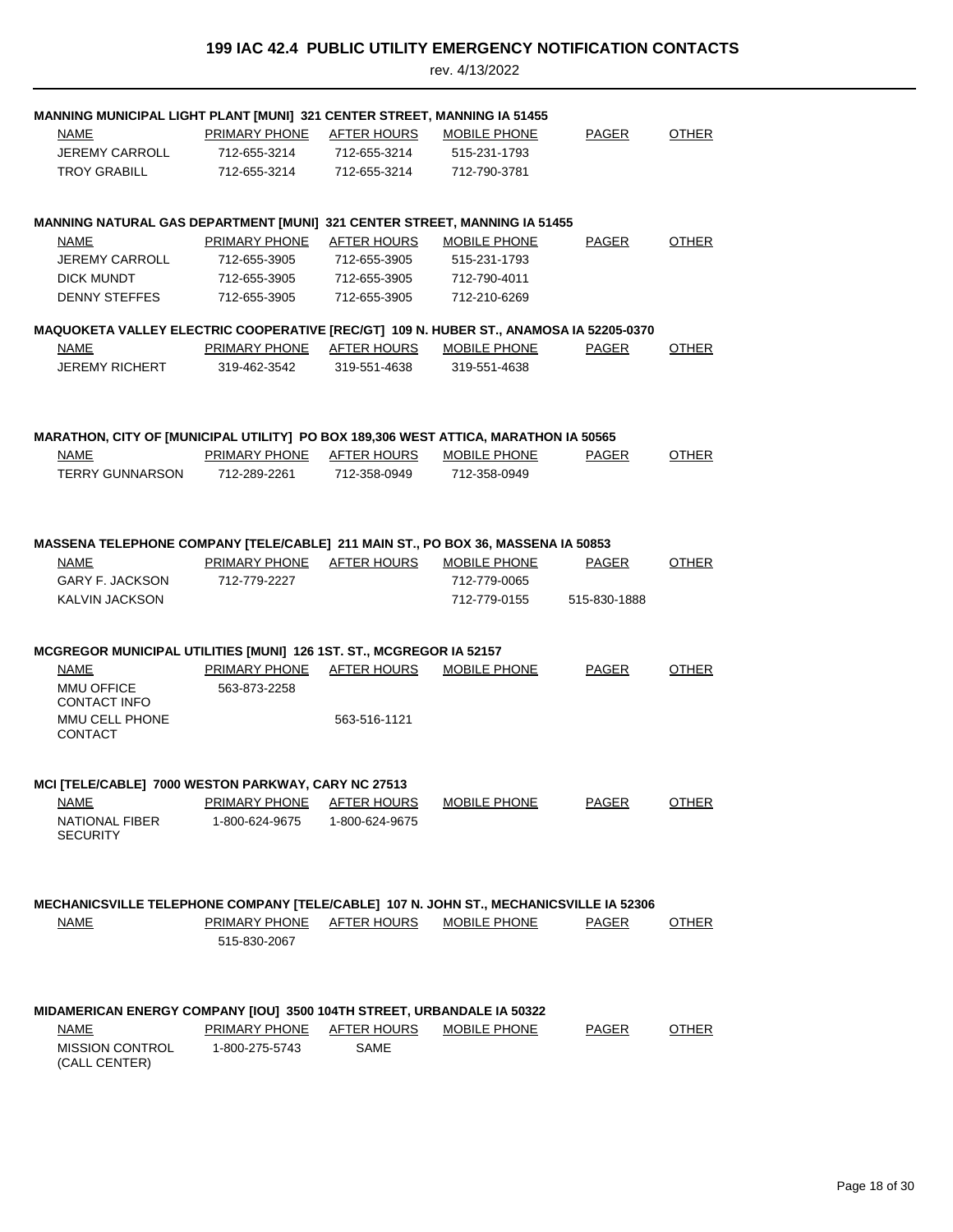| <b>MANNING MUNICIPAL LIGHT PLANT [MUNI] 321 CENTER STREET, MANNING IA 51455</b><br>NAME<br><b>JEREMY CARROLL</b><br><b>TROY GRABILL</b>                 | <b>PRIMARY PHONE</b><br>712-655-3214<br>712-655-3214          | <u>AFTER HOURS</u><br>712-655-3214<br>712-655-3214          | MOBILE PHONE<br>515-231-1793<br>712-790-3781                 | <b>PAGER</b>                 | <b>OTHER</b> |
|---------------------------------------------------------------------------------------------------------------------------------------------------------|---------------------------------------------------------------|-------------------------------------------------------------|--------------------------------------------------------------|------------------------------|--------------|
| <b>MANNING NATURAL GAS DEPARTMENT [MUNI] 321 CENTER STREET, MANNING IA 51455</b><br>NAME<br>JEREMY CARROLL<br><b>DICK MUNDT</b><br><b>DENNY STEFFES</b> | PRIMARY PHONE<br>712-655-3905<br>712-655-3905<br>712-655-3905 | AFTER HOURS<br>712-655-3905<br>712-655-3905<br>712-655-3905 | MOBILE PHONE<br>515-231-1793<br>712-790-4011<br>712-210-6269 | PAGER                        | <b>OTHER</b> |
| MAQUOKETA VALLEY ELECTRIC COOPERATIVE [REC/GT] 109 N. HUBER ST., ANAMOSA IA 52205-0370<br>NAME<br>JEREMY RICHERT                                        | <b>PRIMARY PHONE</b><br>319-462-3542                          | <b>AFTER HOURS</b><br>319-551-4638                          | <b>MOBILE PHONE</b><br>319-551-4638                          | <b>PAGER</b>                 | <b>OTHER</b> |
| MARATHON, CITY OF [MUNICIPAL UTILITY] PO BOX 189,306 WEST ATTICA, MARATHON IA 50565<br><b>NAME</b><br><b>TERRY GUNNARSON</b>                            | PRIMARY PHONE<br>712-289-2261                                 | AFTER HOURS<br>712-358-0949                                 | MOBILE PHONE<br>712-358-0949                                 | <b>PAGER</b>                 | <b>OTHER</b> |
| MASSENA TELEPHONE COMPANY [TELE/CABLE] 211 MAIN ST., PO BOX 36, MASSENA IA 50853<br>NAME<br>GARY F. JACKSON<br>KALVIN JACKSON                           | PRIMARY PHONE<br>712-779-2227                                 | AFTER HOURS                                                 | <b>MOBILE PHONE</b><br>712-779-0065<br>712-779-0155          | <b>PAGER</b><br>515-830-1888 | <b>OTHER</b> |
| MCGREGOR MUNICIPAL UTILITIES [MUNI] 126 1ST. ST., MCGREGOR IA 52157<br>NAME<br><b>MMU OFFICE</b><br><b>CONTACT INFO</b><br>MMU CELL PHONE<br>CONTACT    | PRIMARY PHONE<br>563-873-2258                                 | AFTER HOURS<br>563-516-1121                                 | MOBILE PHONE                                                 | PAGER                        | <b>OTHER</b> |
| MCI [TELE/CABLE] 7000 WESTON PARKWAY, CARY NC 27513<br><b>NAME</b><br><b>NATIONAL FIBER</b><br><b>SECURITY</b>                                          | <b>PRIMARY PHONE</b><br>1-800-624-9675                        | <b>AFTER HOURS</b><br>1-800-624-9675                        | <b>MOBILE PHONE</b>                                          | <b>PAGER</b>                 | <b>OTHER</b> |
| MECHANICSVILLE TELEPHONE COMPANY [TELE/CABLE] 107 N. JOHN ST., MECHANICSVILLE IA 52306<br><u>NAME</u>                                                   | <b>PRIMARY PHONE</b><br>515-830-2067                          | <b>AFTER HOURS</b>                                          | <b>MOBILE PHONE</b>                                          | <b>PAGER</b>                 | <b>OTHER</b> |
| MIDAMERICAN ENERGY COMPANY [IOU] 3500 104TH STREET, URBANDALE IA 50322<br><b>NAME</b><br><b>MISSION CONTROL</b><br>(CALL CENTER)                        | PRIMARY PHONE<br>1-800-275-5743                               | <b>AFTER HOURS</b><br><b>SAME</b>                           | MOBILE PHONE                                                 | <b>PAGER</b>                 | <b>OTHER</b> |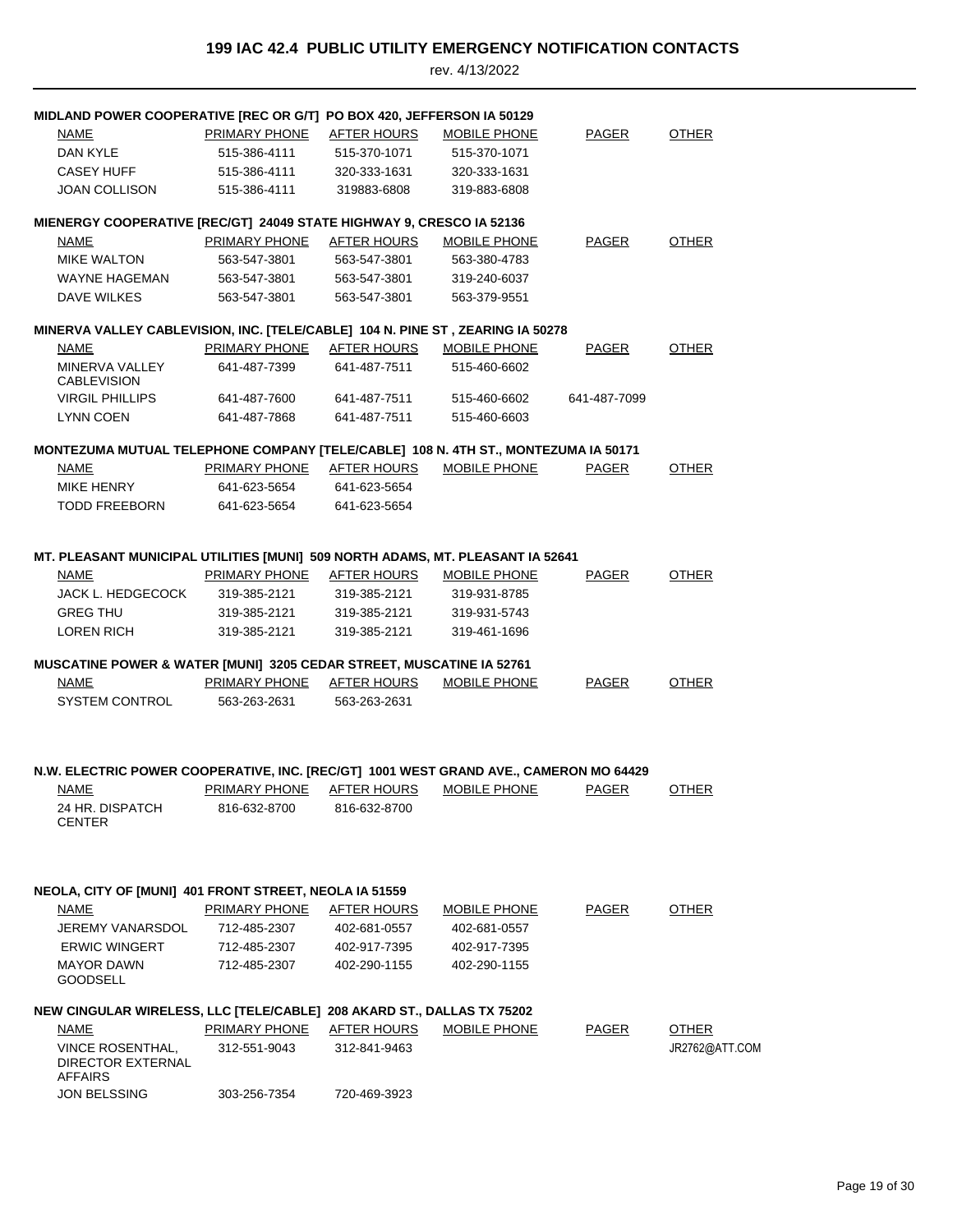| MIDLAND POWER COOPERATIVE [REC OR G/T] PO BOX 420, JEFFERSON IA 50129                 |                      |                    |                     |              |                |
|---------------------------------------------------------------------------------------|----------------------|--------------------|---------------------|--------------|----------------|
| NAME                                                                                  | PRIMARY PHONE        | AFTER HOURS        | <b>MOBILE PHONE</b> | <b>PAGER</b> | <b>OTHER</b>   |
| DAN KYLE                                                                              | 515-386-4111         | 515-370-1071       | 515-370-1071        |              |                |
| <b>CASEY HUFF</b>                                                                     | 515-386-4111         | 320-333-1631       | 320-333-1631        |              |                |
| <b>JOAN COLLISON</b>                                                                  | 515-386-4111         | 319883-6808        | 319-883-6808        |              |                |
|                                                                                       |                      |                    |                     |              |                |
| MIENERGY COOPERATIVE [REC/GT] 24049 STATE HIGHWAY 9, CRESCO IA 52136                  |                      |                    |                     |              |                |
| NAME                                                                                  | PRIMARY PHONE        | AFTER HOURS        | <b>MOBILE PHONE</b> | PAGER        | <b>OTHER</b>   |
| <b>MIKE WALTON</b>                                                                    | 563-547-3801         | 563-547-3801       | 563-380-4783        |              |                |
| <b>WAYNE HAGEMAN</b>                                                                  | 563-547-3801         | 563-547-3801       | 319-240-6037        |              |                |
| <b>DAVE WILKES</b>                                                                    | 563-547-3801         | 563-547-3801       | 563-379-9551        |              |                |
| MINERVA VALLEY CABLEVISION, INC. [TELE/CABLE] 104 N. PINE ST, ZEARING IA 50278        |                      |                    |                     |              |                |
| <b>NAME</b>                                                                           | <b>PRIMARY PHONE</b> | <b>AFTER HOURS</b> | <b>MOBILE PHONE</b> | <b>PAGER</b> | <b>OTHER</b>   |
| MINERVA VALLEY<br><b>CABLEVISION</b>                                                  | 641-487-7399         | 641-487-7511       | 515-460-6602        |              |                |
| <b>VIRGIL PHILLIPS</b>                                                                | 641-487-7600         | 641-487-7511       | 515-460-6602        | 641-487-7099 |                |
| <b>LYNN COEN</b>                                                                      | 641-487-7868         | 641-487-7511       | 515-460-6603        |              |                |
|                                                                                       |                      |                    |                     |              |                |
| MONTEZUMA MUTUAL TELEPHONE COMPANY [TELE/CABLE] 108 N. 4TH ST., MONTEZUMA IA 50171    |                      |                    |                     |              |                |
| <b>NAME</b>                                                                           | <b>PRIMARY PHONE</b> | AFTER HOURS        | MOBILE PHONE        | <b>PAGER</b> | <b>OTHER</b>   |
| MIKE HENRY                                                                            | 641-623-5654         | 641-623-5654       |                     |              |                |
| <b>TODD FREEBORN</b>                                                                  | 641-623-5654         | 641-623-5654       |                     |              |                |
|                                                                                       |                      |                    |                     |              |                |
| MT. PLEASANT MUNICIPAL UTILITIES [MUNI] 509 NORTH ADAMS, MT. PLEASANT IA 52641        |                      |                    |                     |              |                |
| <b>NAME</b>                                                                           | PRIMARY PHONE        | AFTER HOURS        | MOBILE PHONE        | PAGER        | OTHER          |
| JACK L. HEDGECOCK                                                                     | 319-385-2121         | 319-385-2121       | 319-931-8785        |              |                |
| <b>GREG THU</b>                                                                       | 319-385-2121         | 319-385-2121       | 319-931-5743        |              |                |
| LOREN RICH                                                                            | 319-385-2121         | 319-385-2121       | 319-461-1696        |              |                |
|                                                                                       |                      |                    |                     |              |                |
| MUSCATINE POWER & WATER [MUNI] 3205 CEDAR STREET, MUSCATINE IA 52761                  |                      |                    |                     |              |                |
| <b>NAME</b>                                                                           | <b>PRIMARY PHONE</b> | <b>AFTER HOURS</b> | MOBILE PHONE        | <b>PAGER</b> | <b>OTHER</b>   |
| <b>SYSTEM CONTROL</b>                                                                 | 563-263-2631         | 563-263-2631       |                     |              |                |
|                                                                                       |                      |                    |                     |              |                |
|                                                                                       |                      |                    |                     |              |                |
| N.W. ELECTRIC POWER COOPERATIVE, INC. [REC/GT] 1001 WEST GRAND AVE., CAMERON MO 64429 |                      |                    |                     |              |                |
| <b>NAME</b>                                                                           | <b>PRIMARY PHONE</b> | <b>AFTER HOURS</b> | <b>MOBILE PHONE</b> | <b>PAGER</b> | OTHER          |
| 24 HR. DISPATCH                                                                       | 816-632-8700         | 816-632-8700       |                     |              |                |
| <b>CENTER</b>                                                                         |                      |                    |                     |              |                |
|                                                                                       |                      |                    |                     |              |                |
|                                                                                       |                      |                    |                     |              |                |
| NEOLA, CITY OF [MUNI] 401 FRONT STREET, NEOLA IA 51559                                |                      |                    |                     |              |                |
| NAME                                                                                  | PRIMARY PHONE        | AFTER HOURS        | <b>MOBILE PHONE</b> | PAGER        | <b>OTHER</b>   |
| JEREMY VANARSDOL                                                                      | 712-485-2307         | 402-681-0557       | 402-681-0557        |              |                |
| <b>ERWIC WINGERT</b>                                                                  | 712-485-2307         | 402-917-7395       | 402-917-7395        |              |                |
| <b>MAYOR DAWN</b>                                                                     | 712-485-2307         | 402-290-1155       | 402-290-1155        |              |                |
| <b>GOODSELL</b>                                                                       |                      |                    |                     |              |                |
| NEW CINGULAR WIRELESS, LLC [TELE/CABLE] 208 AKARD ST., DALLAS TX 75202                |                      |                    |                     |              |                |
| NAME                                                                                  | PRIMARY PHONE        | AFTER HOURS        | MOBILE PHONE        | PAGER        | <b>OTHER</b>   |
| <b>VINCE ROSENTHAL,</b>                                                               | 312-551-9043         | 312-841-9463       |                     |              | JR2762@ATT.COM |
| DIRECTOR EXTERNAL<br><b>AFFAIRS</b>                                                   |                      |                    |                     |              |                |
| <b>JON BELSSING</b>                                                                   | 303-256-7354         | 720-469-3923       |                     |              |                |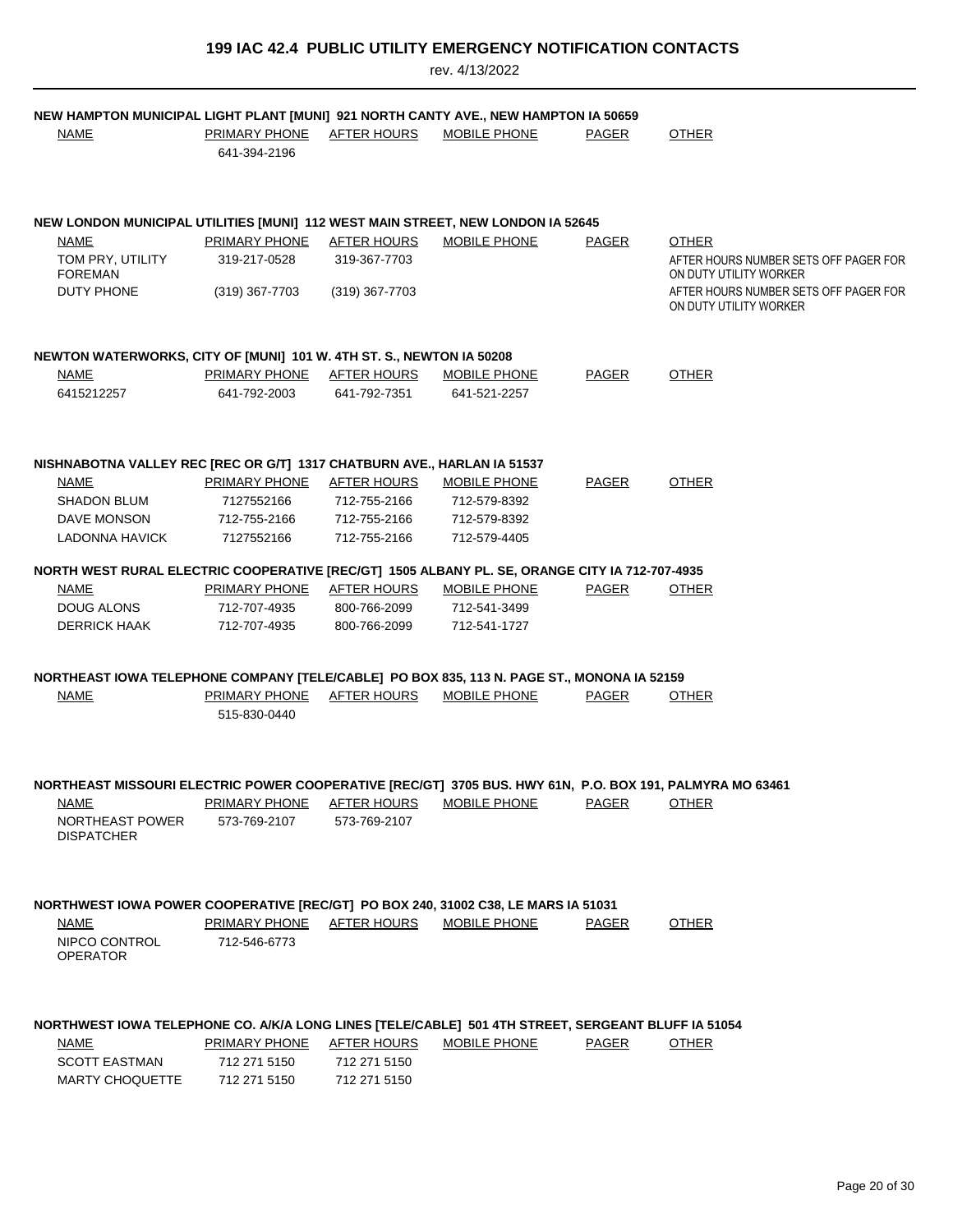| NEW HAMPTON MUNICIPAL LIGHT PLANT [MUNI] 921 NORTH CANTY AVE., NEW HAMPTON IA 50659<br><b>NAME</b>       | <b>PRIMARY PHONE</b><br>641-394-2196 | <u>AFTER HOURS</u> | MOBILE PHONE        | PAGER        | <b>OTHER</b>                                                    |
|----------------------------------------------------------------------------------------------------------|--------------------------------------|--------------------|---------------------|--------------|-----------------------------------------------------------------|
|                                                                                                          |                                      |                    |                     |              |                                                                 |
| NEW LONDON MUNICIPAL UTILITIES [MUNI] 112 WEST MAIN STREET, NEW LONDON IA 52645                          |                                      |                    |                     |              |                                                                 |
| <b>NAME</b>                                                                                              | PRIMARY PHONE                        | AFTER HOURS        | MOBILE PHONE        | <b>PAGER</b> | <b>OTHER</b>                                                    |
| TOM PRY, UTILITY<br><b>FOREMAN</b>                                                                       | 319-217-0528                         | 319-367-7703       |                     |              | AFTER HOURS NUMBER SETS OFF PAGER FOR<br>ON DUTY UTILITY WORKER |
| DUTY PHONE                                                                                               | (319) 367-7703                       | (319) 367-7703     |                     |              | AFTER HOURS NUMBER SETS OFF PAGER FOR<br>ON DUTY UTILITY WORKER |
| NEWTON WATERWORKS, CITY OF [MUNI] 101 W. 4TH ST. S., NEWTON IA 50208                                     |                                      |                    |                     |              |                                                                 |
| <b>NAME</b>                                                                                              | <b>PRIMARY PHONE</b>                 | <b>AFTER HOURS</b> | <b>MOBILE PHONE</b> | <b>PAGER</b> | <b>OTHER</b>                                                    |
| 6415212257                                                                                               | 641-792-2003                         | 641-792-7351       | 641-521-2257        |              |                                                                 |
|                                                                                                          |                                      |                    |                     |              |                                                                 |
| NISHNABOTNA VALLEY REC [REC OR G/T] 1317 CHATBURN AVE., HARLAN IA 51537                                  |                                      |                    |                     |              |                                                                 |
| <b>NAME</b>                                                                                              | PRIMARY PHONE                        | AFTER HOURS        | <b>MOBILE PHONE</b> | <b>PAGER</b> | <b>OTHER</b>                                                    |
| <b>SHADON BLUM</b>                                                                                       | 7127552166                           | 712-755-2166       | 712-579-8392        |              |                                                                 |
| DAVE MONSON                                                                                              | 712-755-2166                         | 712-755-2166       | 712-579-8392        |              |                                                                 |
| LADONNA HAVICK                                                                                           | 7127552166                           | 712-755-2166       | 712-579-4405        |              |                                                                 |
| NORTH WEST RURAL ELECTRIC COOPERATIVE [REC/GT] 1505 ALBANY PL. SE, ORANGE CITY IA 712-707-4935           |                                      |                    |                     |              |                                                                 |
| <b>NAME</b>                                                                                              | <b>PRIMARY PHONE</b>                 | <b>AFTER HOURS</b> | <b>MOBILE PHONE</b> | <b>PAGER</b> | <b>OTHER</b>                                                    |
| DOUG ALONS                                                                                               | 712-707-4935                         | 800-766-2099       | 712-541-3499        |              |                                                                 |
| <b>DERRICK HAAK</b>                                                                                      | 712-707-4935                         | 800-766-2099       | 712-541-1727        |              |                                                                 |
| NORTHEAST IOWA TELEPHONE COMPANY [TELE/CABLE] PO BOX 835, 113 N. PAGE ST., MONONA IA 52159               |                                      |                    |                     |              |                                                                 |
| <b>NAME</b>                                                                                              | PRIMARY PHONE                        | AFTER HOURS        | MOBILE PHONE        | <b>PAGER</b> | <b>OTHER</b>                                                    |
|                                                                                                          | 515-830-0440                         |                    |                     |              |                                                                 |
|                                                                                                          |                                      |                    |                     |              |                                                                 |
| NORTHEAST MISSOURI ELECTRIC POWER COOPERATIVE [REC/GT] 3705 BUS. HWY 61N, P.O. BOX 191, PALMYRA MO 63461 |                                      |                    |                     |              |                                                                 |
| <b>NAME</b>                                                                                              | <b>PRIMARY PHONE</b>                 | <b>AFTER HOURS</b> | MOBILE PHONE        | <b>PAGER</b> | <b>OTHER</b>                                                    |
| NORTHEAST POWER                                                                                          | 573-769-2107                         | 573-769-2107       |                     |              |                                                                 |
| <b>DISPATCHER</b>                                                                                        |                                      |                    |                     |              |                                                                 |
| NORTHWEST IOWA POWER COOPERATIVE [REC/GT] PO BOX 240, 31002 C38, LE MARS IA 51031                        |                                      |                    |                     |              |                                                                 |
| <b>NAME</b>                                                                                              | PRIMARY PHONE                        | AFTER HOURS        | <b>MOBILE PHONE</b> | <b>PAGER</b> | <b>OTHER</b>                                                    |
| NIPCO CONTROL                                                                                            | 712-546-6773                         |                    |                     |              |                                                                 |
| <b>OPERATOR</b>                                                                                          |                                      |                    |                     |              |                                                                 |
|                                                                                                          |                                      |                    |                     |              |                                                                 |
| NORTHWEST IOWA TELEPHONE CO. A/K/A LONG LINES [TELE/CABLE] 501 4TH STREET, SERGEANT BLUFF IA 51054       |                                      |                    |                     |              |                                                                 |
| <b>NAME</b>                                                                                              | <b>PRIMARY PHONE</b>                 | <b>AFTER HOURS</b> | <b>MOBILE PHONE</b> | <u>PAGER</u> | <b>OTHER</b>                                                    |
| <b>SCOTT EASTMAN</b>                                                                                     | 712 271 5150                         | 712 271 5150       |                     |              |                                                                 |
| <b>MARTY CHOQUETTE</b>                                                                                   | 712 271 5150                         | 712 271 5150       |                     |              |                                                                 |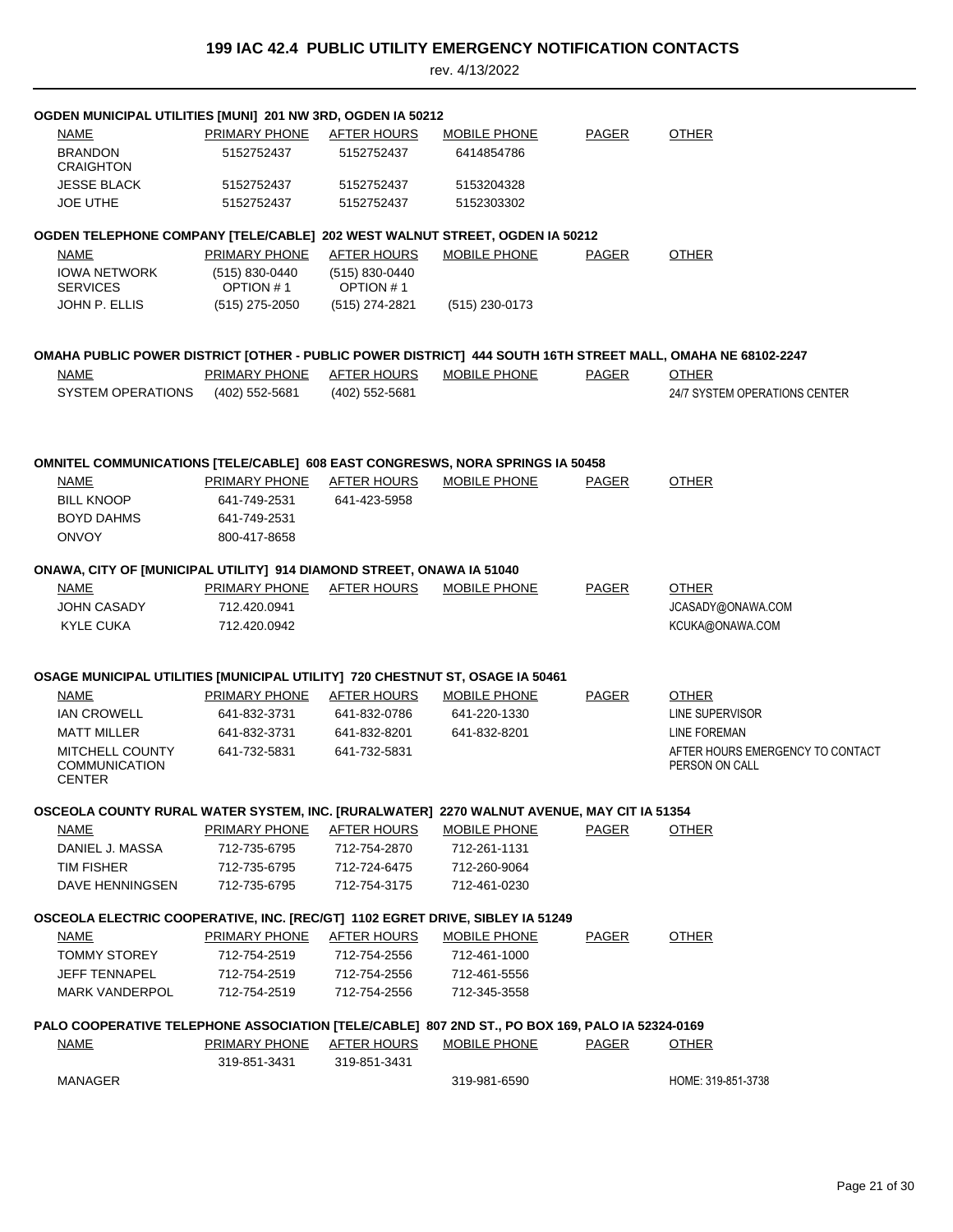| OGDEN MUNICIPAL UTILITIES [MUNI] 201 NW 3RD, OGDEN IA 50212                                     |                              |                                 |                     |              |                                                                                                             |
|-------------------------------------------------------------------------------------------------|------------------------------|---------------------------------|---------------------|--------------|-------------------------------------------------------------------------------------------------------------|
| <b>NAME</b>                                                                                     | PRIMARY PHONE                | AFTER HOURS                     | MOBILE PHONE        | <b>PAGER</b> | <b>OTHER</b>                                                                                                |
| <b>BRANDON</b><br><b>CRAIGHTON</b>                                                              | 5152752437                   | 5152752437                      | 6414854786          |              |                                                                                                             |
| <b>JESSE BLACK</b>                                                                              | 5152752437                   | 5152752437                      | 5153204328          |              |                                                                                                             |
| <b>JOE UTHE</b>                                                                                 | 5152752437                   | 5152752437                      | 5152303302          |              |                                                                                                             |
| OGDEN TELEPHONE COMPANY [TELE/CABLE] 202 WEST WALNUT STREET, OGDEN IA 50212                     |                              |                                 |                     |              |                                                                                                             |
| <b>NAME</b>                                                                                     | PRIMARY PHONE                | AFTER HOURS                     | MOBILE PHONE        | <b>PAGER</b> | <b>OTHER</b>                                                                                                |
| <b>IOWA NETWORK</b><br><b>SERVICES</b>                                                          | (515) 830-0440<br>OPTION #1  | $(515) 830 - 0440$<br>OPTION #1 |                     |              |                                                                                                             |
| JOHN P. ELLIS                                                                                   | $(515)$ 275-2050             | (515) 274-2821                  | $(515)$ 230-0173    |              |                                                                                                             |
|                                                                                                 |                              |                                 |                     |              |                                                                                                             |
|                                                                                                 |                              |                                 |                     |              | OMAHA PUBLIC POWER DISTRICT [OTHER - PUBLIC POWER DISTRICT] 444 SOUTH 16TH STREET MALL, OMAHA NE 68102-2247 |
| NAME                                                                                            | <u>PRIMARY PHONE</u>         | <b>AFTER HOURS</b>              | MOBILE PHONE        | PAGER        | <b>OTHER</b>                                                                                                |
| <b>SYSTEM OPERATIONS</b>                                                                        | (402) 552-5681               | (402) 552-5681                  |                     |              | 24/7 SYSTEM OPERATIONS CENTER                                                                               |
|                                                                                                 |                              |                                 |                     |              |                                                                                                             |
| OMNITEL COMMUNICATIONS [TELE/CABLE] 608 EAST CONGRESWS, NORA SPRINGS IA 50458                   |                              |                                 |                     |              |                                                                                                             |
| NAME                                                                                            | PRIMARY PHONE                | <b>AFTER HOURS</b>              | <b>MOBILE PHONE</b> | PAGER        | <b>OTHER</b>                                                                                                |
| <b>BILL KNOOP</b>                                                                               | 641-749-2531                 | 641-423-5958                    |                     |              |                                                                                                             |
| <b>BOYD DAHMS</b>                                                                               | 641-749-2531                 |                                 |                     |              |                                                                                                             |
| <b>ONVOY</b>                                                                                    | 800-417-8658                 |                                 |                     |              |                                                                                                             |
| ONAWA, CITY OF [MUNICIPAL UTILITY] 914 DIAMOND STREET, ONAWA IA 51040                           |                              |                                 |                     |              |                                                                                                             |
| <b>NAME</b>                                                                                     | PRIMARY PHONE                | AFTER HOURS                     | <b>MOBILE PHONE</b> | <b>PAGER</b> | <b>OTHER</b>                                                                                                |
| <b>JOHN CASADY</b>                                                                              | 712.420.0941                 |                                 |                     |              | JCASADY@ONAWA.COM                                                                                           |
| <b>KYLE CUKA</b>                                                                                | 712.420.0942                 |                                 |                     |              | KCUKA@ONAWA.COM                                                                                             |
|                                                                                                 |                              |                                 |                     |              |                                                                                                             |
| OSAGE MUNICIPAL UTILITIES [MUNICIPAL UTILITY] 720 CHESTNUT ST, OSAGE IA 50461                   |                              |                                 |                     |              |                                                                                                             |
| <b>NAME</b>                                                                                     | PRIMARY PHONE                | <b>AFTER HOURS</b>              | <b>MOBILE PHONE</b> | PAGER        | <b>OTHER</b>                                                                                                |
| <b>IAN CROWELL</b>                                                                              | 641-832-3731                 | 641-832-0786                    | 641-220-1330        |              | LINE SUPERVISOR                                                                                             |
| <b>MATT MILLER</b>                                                                              | 641-832-3731<br>641-732-5831 | 641-832-8201                    | 641-832-8201        |              | LINE FOREMAN                                                                                                |
| <b>MITCHELL COUNTY</b><br><b>COMMUNICATION</b><br><b>CENTER</b>                                 |                              | 641-732-5831                    |                     |              | AFTER HOURS EMERGENCY TO CONTACT<br>PERSON ON CALL                                                          |
|                                                                                                 |                              |                                 |                     |              |                                                                                                             |
| OSCEOLA COUNTY RURAL WATER SYSTEM, INC. [RURALWATER] 2270 WALNUT AVENUE, MAY CIT IA 51354       |                              |                                 |                     |              |                                                                                                             |
| <u>NAME</u>                                                                                     | <b>PRIMARY PHONE</b>         | <b>AFTER HOURS</b>              | <b>MOBILE PHONE</b> | <b>PAGER</b> | <b>OTHER</b>                                                                                                |
| DANIEL J. MASSA                                                                                 | 712-735-6795                 | 712-754-2870                    | 712-261-1131        |              |                                                                                                             |
| TIM FISHER                                                                                      | 712-735-6795                 | 712-724-6475                    | 712-260-9064        |              |                                                                                                             |
| DAVE HENNINGSEN                                                                                 | 712-735-6795                 | 712-754-3175                    | 712-461-0230        |              |                                                                                                             |
| OSCEOLA ELECTRIC COOPERATIVE, INC. [REC/GT] 1102 EGRET DRIVE, SIBLEY IA 51249                   |                              |                                 |                     |              |                                                                                                             |
| <b>NAME</b>                                                                                     | <b>PRIMARY PHONE</b>         | <u>AFTER HOURS</u>              | <b>MOBILE PHONE</b> | <u>PAGER</u> | <b>OTHER</b>                                                                                                |
| <b>TOMMY STOREY</b>                                                                             | 712-754-2519                 | 712-754-2556                    | 712-461-1000        |              |                                                                                                             |
| <b>JEFF TENNAPEL</b>                                                                            | 712-754-2519                 | 712-754-2556                    | 712-461-5556        |              |                                                                                                             |
| <b>MARK VANDERPOL</b>                                                                           | 712-754-2519                 | 712-754-2556                    | 712-345-3558        |              |                                                                                                             |
| PALO COOPERATIVE TELEPHONE ASSOCIATION [TELE/CABLE] 807 2ND ST., PO BOX 169, PALO IA 52324-0169 |                              |                                 |                     |              |                                                                                                             |
| <u>NAME</u>                                                                                     | <b>PRIMARY PHONE</b>         | <u>AFTER HOURS</u>              | <b>MOBILE PHONE</b> | <b>PAGER</b> | <b>OTHER</b>                                                                                                |
|                                                                                                 | 319-851-3431                 | 319-851-3431                    |                     |              |                                                                                                             |
| MANAGER                                                                                         |                              |                                 | 319-981-6590        |              | HOME: 319-851-3738                                                                                          |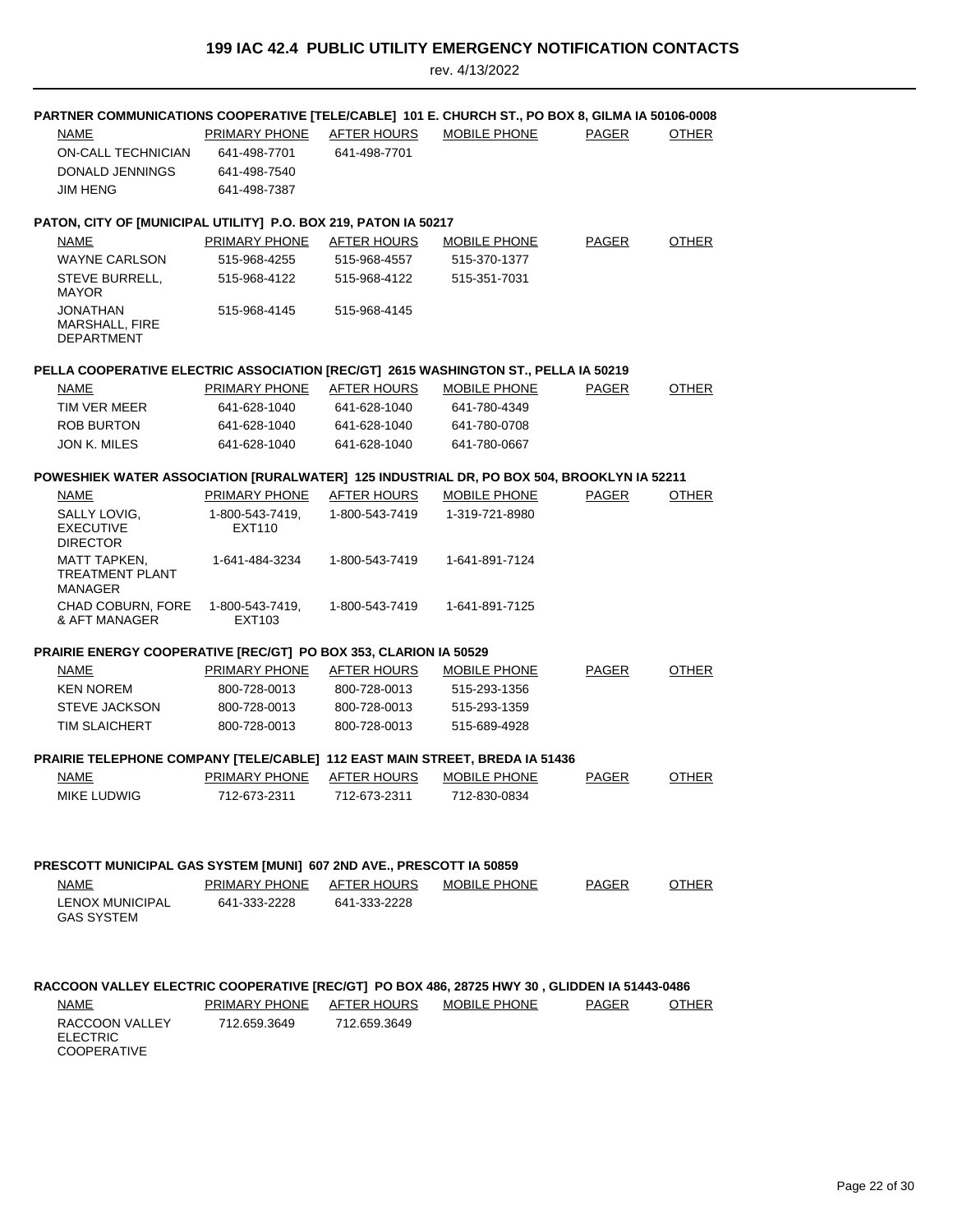| PARTNER COMMUNICATIONS COOPERATIVE [TELE/CABLE] 101 E. CHURCH ST., PO BOX 8, GILMA IA 50106-0008                              |                               |                             |                     |              |              |
|-------------------------------------------------------------------------------------------------------------------------------|-------------------------------|-----------------------------|---------------------|--------------|--------------|
| NAME                                                                                                                          | PRIMARY PHONE                 | AFTER HOURS                 | MOBILE PHONE        | <b>PAGER</b> | OTHER        |
| ON-CALL TECHNICIAN                                                                                                            | 641-498-7701                  | 641-498-7701                |                     |              |              |
| DONALD JENNINGS                                                                                                               | 641-498-7540                  |                             |                     |              |              |
| JIM HENG                                                                                                                      | 641-498-7387                  |                             |                     |              |              |
|                                                                                                                               |                               |                             |                     |              |              |
| PATON, CITY OF [MUNICIPAL UTILITY] P.O. BOX 219, PATON IA 50217                                                               |                               |                             |                     |              |              |
| NAME                                                                                                                          | PRIMARY PHONE                 | AFTER HOURS                 | MOBILE PHONE        | <b>PAGER</b> | <b>OTHER</b> |
| <b>WAYNE CARLSON</b>                                                                                                          | 515-968-4255                  | 515-968-4557                | 515-370-1377        |              |              |
| STEVE BURRELL,<br><b>MAYOR</b>                                                                                                | 515-968-4122                  | 515-968-4122                | 515-351-7031        |              |              |
| JONATHAN<br>MARSHALL, FIRE<br><b>DEPARTMENT</b>                                                                               | 515-968-4145                  | 515-968-4145                |                     |              |              |
| PELLA COOPERATIVE ELECTRIC ASSOCIATION [REC/GT] 2615 WASHINGTON ST., PELLA IA 50219                                           |                               |                             |                     |              |              |
| <b>NAME</b>                                                                                                                   | PRIMARY PHONE                 | <b>AFTER HOURS</b>          | <b>MOBILE PHONE</b> | <b>PAGER</b> | <b>OTHER</b> |
| TIM VER MEER                                                                                                                  | 641-628-1040                  | 641-628-1040                | 641-780-4349        |              |              |
| <b>ROB BURTON</b>                                                                                                             | 641-628-1040                  | 641-628-1040                | 641-780-0708        |              |              |
| <b>JON K. MILES</b>                                                                                                           | 641-628-1040                  | 641-628-1040                | 641-780-0667        |              |              |
| POWESHIEK WATER ASSOCIATION [RURALWATER] 125 INDUSTRIAL DR, PO BOX 504, BROOKLYN IA 52211                                     |                               |                             |                     |              |              |
| NAME                                                                                                                          | PRIMARY PHONE                 | <b>AFTER HOURS</b>          | MOBILE PHONE        | <b>PAGER</b> | <b>OTHER</b> |
| SALLY LOVIG.<br><b>EXECUTIVE</b>                                                                                              | 1-800-543-7419.<br>EXT110     | 1-800-543-7419              | 1-319-721-8980      |              |              |
| <b>DIRECTOR</b><br><b>MATT TAPKEN,</b><br><b>TREATMENT PLANT</b>                                                              | 1-641-484-3234                | 1-800-543-7419              | 1-641-891-7124      |              |              |
| MANAGER                                                                                                                       |                               |                             |                     |              |              |
| CHAD COBURN, FORE<br>& AFT MANAGER                                                                                            | 1-800-543-7419,<br>EXT103     | 1-800-543-7419              | 1-641-891-7125      |              |              |
| PRAIRIE ENERGY COOPERATIVE [REC/GT] PO BOX 353, CLARION IA 50529                                                              |                               |                             |                     |              |              |
| NAME                                                                                                                          | PRIMARY PHONE                 | <b>AFTER HOURS</b>          | <b>MOBILE PHONE</b> | <b>PAGER</b> | <b>OTHER</b> |
| <b>KEN NOREM</b>                                                                                                              | 800-728-0013                  | 800-728-0013                | 515-293-1356        |              |              |
| <b>STEVE JACKSON</b>                                                                                                          | 800-728-0013                  | 800-728-0013                | 515-293-1359        |              |              |
| <b>TIM SLAICHERT</b>                                                                                                          | 800-728-0013                  | 800-728-0013                | 515-689-4928        |              |              |
| PRAIRIE TELEPHONE COMPANY [TELE/CABLE] 112 EAST MAIN STREET, BREDA IA 51436                                                   |                               |                             |                     |              |              |
| NAME                                                                                                                          | PRIMARY PHONE                 | <b>AFTER HOURS</b>          | <b>MOBILE PHONE</b> | <b>PAGER</b> | <b>OTHER</b> |
| <b>MIKE LUDWIG</b>                                                                                                            | 712-673-2311                  | 712-673-2311                | 712-830-0834        |              |              |
|                                                                                                                               |                               |                             |                     |              |              |
| PRESCOTT MUNICIPAL GAS SYSTEM [MUNI] 607 2ND AVE., PRESCOTT IA 50859                                                          |                               |                             |                     |              |              |
| NAME                                                                                                                          | PRIMARY PHONE                 | AFTER HOURS                 | MOBILE PHONE        | PAGER        | <b>OTHER</b> |
| <b>LENOX MUNICIPAL</b><br><b>GAS SYSTEM</b>                                                                                   | 641-333-2228                  | 641-333-2228                |                     |              |              |
| RACCOON VALLEY ELECTRIC COOPERATIVE [REC/GT] PO BOX 486, 28725 HWY 30, GLIDDEN IA 51443-0486<br><b>NAME</b><br>RACCOON VALLEY | PRIMARY PHONE<br>712.659.3649 | AFTER HOURS<br>712.659.3649 | <b>MOBILE PHONE</b> | PAGER        | <b>OTHER</b> |
| <b>ELECTRIC</b><br><b>COOPERATIVE</b>                                                                                         |                               |                             |                     |              |              |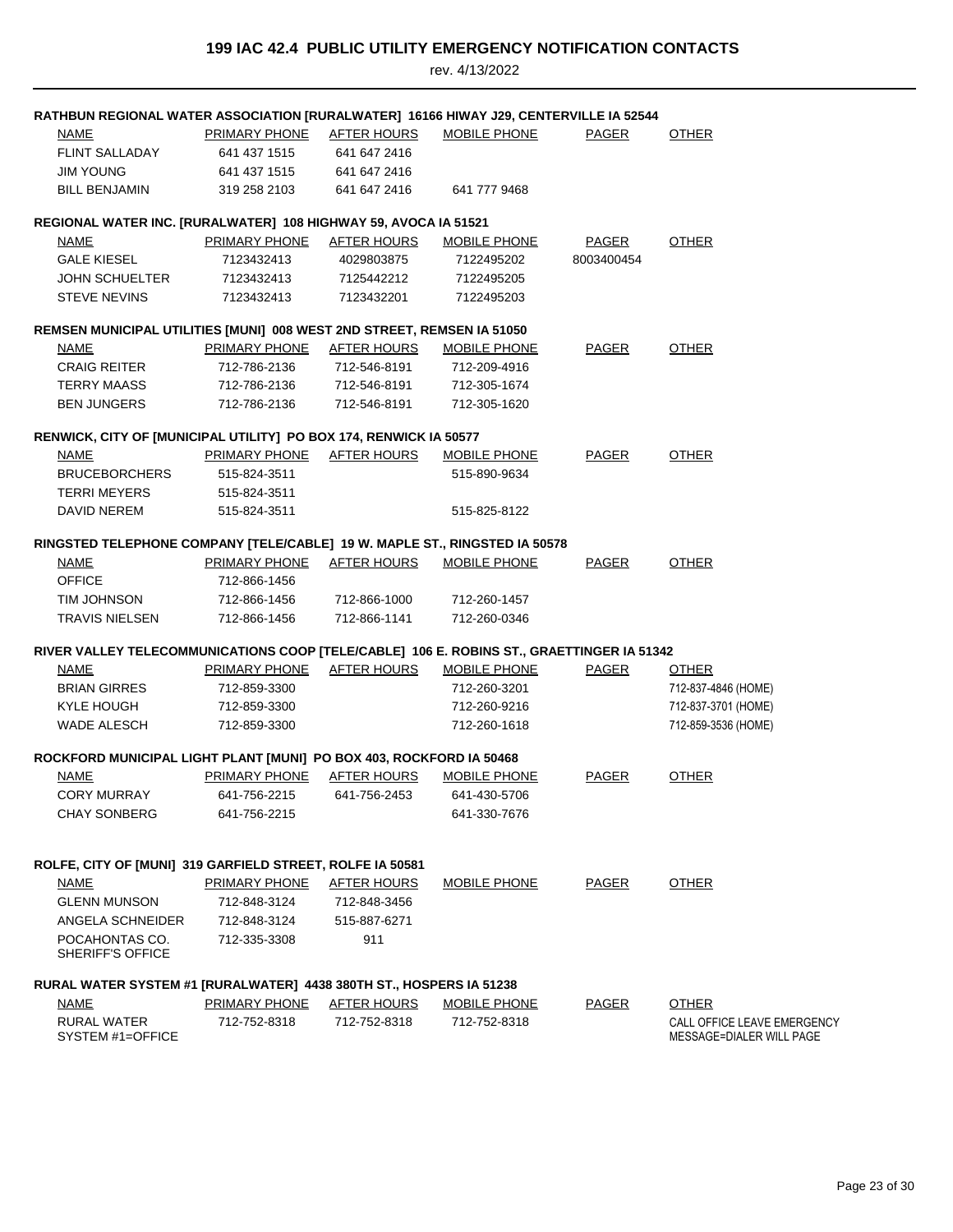| RATHBUN REGIONAL WATER ASSOCIATION [RURALWATER] 16166 HIWAY J29, CENTERVILLE IA 52544     |                           |                    |                     |              |                                                         |
|-------------------------------------------------------------------------------------------|---------------------------|--------------------|---------------------|--------------|---------------------------------------------------------|
| <b>NAME</b>                                                                               | PRIMARY PHONE             | <b>AFTER HOURS</b> | MOBILE PHONE        | PAGER        | <b>OTHER</b>                                            |
| <b>FLINT SALLADAY</b>                                                                     | 641 437 1515              | 641 647 2416       |                     |              |                                                         |
| JIM YOUNG                                                                                 | 641 437 1515              | 641 647 2416       |                     |              |                                                         |
| <b>BILL BENJAMIN</b>                                                                      | 319 258 2103              | 641 647 2416       | 641 777 9468        |              |                                                         |
| REGIONAL WATER INC. [RURALWATER] 108 HIGHWAY 59, AVOCA IA 51521                           |                           |                    |                     |              |                                                         |
| NAME                                                                                      | PRIMARY PHONE             | AFTER HOURS        | <b>MOBILE PHONE</b> | <b>PAGER</b> | <b>OTHER</b>                                            |
| <b>GALE KIESEL</b>                                                                        | 7123432413                | 4029803875         | 7122495202          | 8003400454   |                                                         |
| <b>JOHN SCHUELTER</b>                                                                     | 7123432413                | 7125442212         | 7122495205          |              |                                                         |
| <b>STEVE NEVINS</b>                                                                       | 7123432413                | 7123432201         | 7122495203          |              |                                                         |
| REMSEN MUNICIPAL UTILITIES [MUNI] 008 WEST 2ND STREET, REMSEN IA 51050                    |                           |                    |                     |              |                                                         |
| <b>NAME</b>                                                                               | PRIMARY PHONE             | <b>AFTER HOURS</b> | <b>MOBILE PHONE</b> | <b>PAGER</b> | <b>OTHER</b>                                            |
| <b>CRAIG REITER</b>                                                                       | 712-786-2136              | 712-546-8191       | 712-209-4916        |              |                                                         |
| <b>TERRY MAASS</b>                                                                        | 712-786-2136              | 712-546-8191       | 712-305-1674        |              |                                                         |
| <b>BEN JUNGERS</b>                                                                        | 712-786-2136              | 712-546-8191       | 712-305-1620        |              |                                                         |
| RENWICK, CITY OF [MUNICIPAL UTILITY] PO BOX 174, RENWICK IA 50577                         |                           |                    |                     |              |                                                         |
| <b>NAME</b>                                                                               | PRIMARY PHONE AFTER HOURS |                    | MOBILE PHONE        | <b>PAGER</b> | <b>OTHER</b>                                            |
| <b>BRUCEBORCHERS</b>                                                                      | 515-824-3511              |                    | 515-890-9634        |              |                                                         |
| <b>TERRI MEYERS</b>                                                                       | 515-824-3511              |                    |                     |              |                                                         |
| DAVID NEREM                                                                               | 515-824-3511              |                    | 515-825-8122        |              |                                                         |
| RINGSTED TELEPHONE COMPANY [TELE/CABLE] 19 W. MAPLE ST., RINGSTED IA 50578                |                           |                    |                     |              |                                                         |
| <b>NAME</b>                                                                               | PRIMARY PHONE             | <b>AFTER HOURS</b> | <b>MOBILE PHONE</b> | <b>PAGER</b> | <b>OTHER</b>                                            |
| <b>OFFICE</b>                                                                             | 712-866-1456              |                    |                     |              |                                                         |
| TIM JOHNSON                                                                               | 712-866-1456              | 712-866-1000       | 712-260-1457        |              |                                                         |
| <b>TRAVIS NIELSEN</b>                                                                     | 712-866-1456              | 712-866-1141       | 712-260-0346        |              |                                                         |
| RIVER VALLEY TELECOMMUNICATIONS COOP [TELE/CABLE] 106 E. ROBINS ST., GRAETTINGER IA 51342 |                           |                    |                     |              |                                                         |
| NAME                                                                                      | <u>PRIMARY PHONE</u>      | <b>AFTER HOURS</b> | <b>MOBILE PHONE</b> | <b>PAGER</b> | <b>OTHER</b>                                            |
| <b>BRIAN GIRRES</b>                                                                       | 712-859-3300              |                    | 712-260-3201        |              | 712-837-4846 (HOME)                                     |
| KYLE HOUGH                                                                                | 712-859-3300              |                    | 712-260-9216        |              | 712-837-3701 (HOME)                                     |
| <b>WADE ALESCH</b>                                                                        | 712-859-3300              |                    | 712-260-1618        |              | 712-859-3536 (HOME)                                     |
| ROCKFORD MUNICIPAL LIGHT PLANT [MUNI] PO BOX 403, ROCKFORD IA 50468                       |                           |                    |                     |              |                                                         |
| <b>NAME</b>                                                                               | PRIMARY PHONE             | <b>AFTER HOURS</b> | <b>MOBILE PHONE</b> | <b>PAGER</b> | <b>OTHER</b>                                            |
| <b>CORY MURRAY</b>                                                                        | 641-756-2215              | 641-756-2453       | 641-430-5706        |              |                                                         |
| <b>CHAY SONBERG</b>                                                                       | 641-756-2215              |                    | 641-330-7676        |              |                                                         |
|                                                                                           |                           |                    |                     |              |                                                         |
| ROLFE, CITY OF [MUNI] 319 GARFIELD STREET, ROLFE IA 50581                                 |                           |                    |                     |              |                                                         |
| <b>NAME</b>                                                                               | <b>PRIMARY PHONE</b>      | <b>AFTER HOURS</b> | MOBILE PHONE        | PAGER        | <b>OTHER</b>                                            |
| <b>GLENN MUNSON</b>                                                                       | 712-848-3124              | 712-848-3456       |                     |              |                                                         |
| ANGELA SCHNEIDER                                                                          | 712-848-3124              | 515-887-6271       |                     |              |                                                         |
| POCAHONTAS CO.<br><b>SHERIFF'S OFFICE</b>                                                 | 712-335-3308              | 911                |                     |              |                                                         |
| RURAL WATER SYSTEM #1 [RURALWATER] 4438 380TH ST., HOSPERS IA 51238                       |                           |                    |                     |              |                                                         |
| <b>NAME</b>                                                                               | <b>PRIMARY PHONE</b>      | <b>AFTER HOURS</b> | <b>MOBILE PHONE</b> | <b>PAGER</b> | <b>OTHER</b>                                            |
| <b>RURAL WATER</b><br>SYSTEM #1=OFFICE                                                    | 712-752-8318              | 712-752-8318       | 712-752-8318        |              | CALL OFFICE LEAVE EMERGENCY<br>MESSAGE=DIALER WILL PAGE |
|                                                                                           |                           |                    |                     |              |                                                         |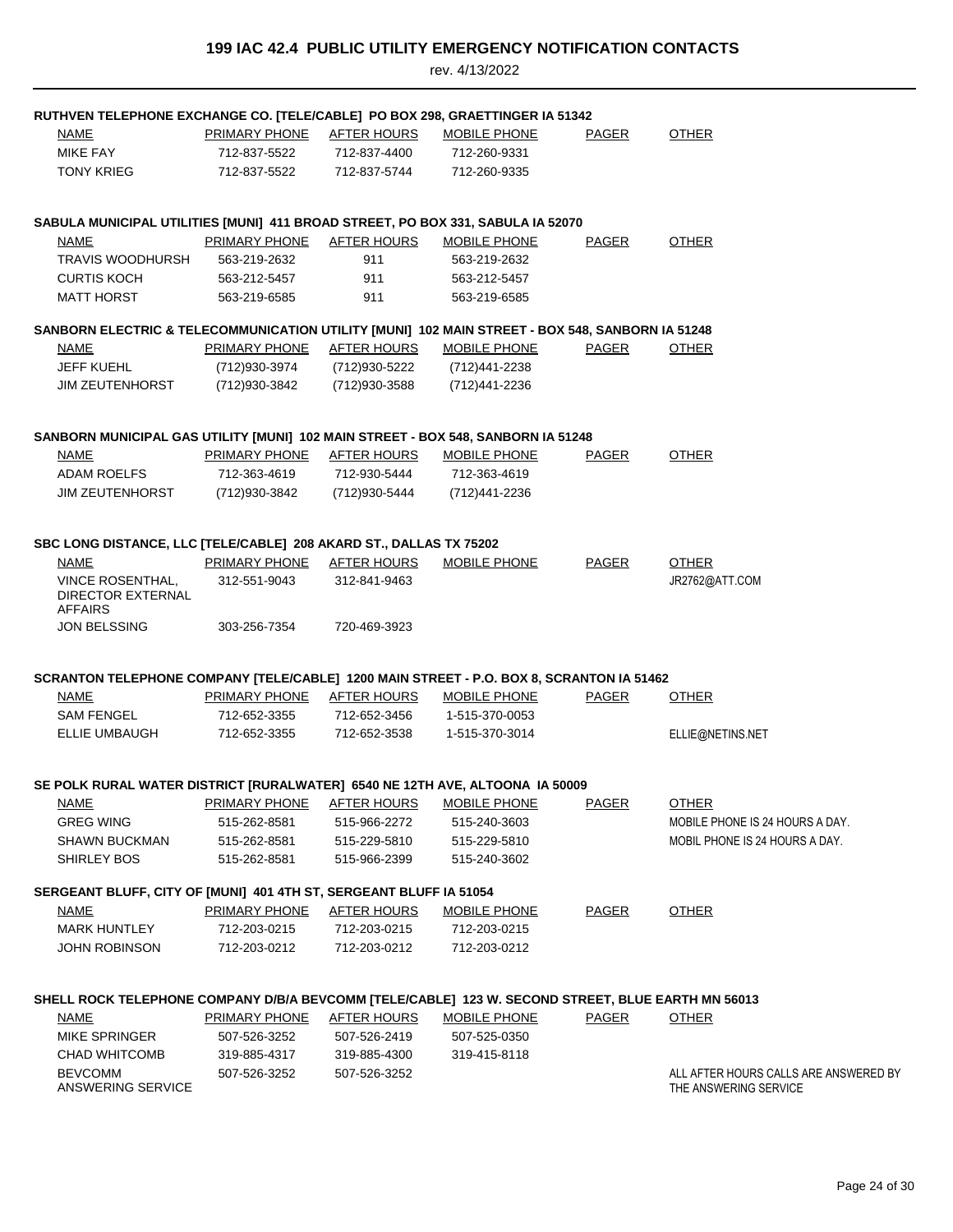| RUTHVEN TELEPHONE EXCHANGE CO. [TELE/CABLE] PO BOX 298, GRAETTINGER IA 51342                      |                      |                    |                     |              |                                                                |
|---------------------------------------------------------------------------------------------------|----------------------|--------------------|---------------------|--------------|----------------------------------------------------------------|
| NAME                                                                                              | <b>PRIMARY PHONE</b> | <b>AFTER HOURS</b> | <b>MOBILE PHONE</b> | <b>PAGER</b> | <b>OTHER</b>                                                   |
| MIKE FAY                                                                                          | 712-837-5522         | 712-837-4400       | 712-260-9331        |              |                                                                |
| <b>TONY KRIEG</b>                                                                                 | 712-837-5522         | 712-837-5744       | 712-260-9335        |              |                                                                |
| SABULA MUNICIPAL UTILITIES [MUNI] 411 BROAD STREET, PO BOX 331, SABULA IA 52070                   |                      |                    |                     |              |                                                                |
| NAME                                                                                              | PRIMARY PHONE        | <b>AFTER HOURS</b> | <b>MOBILE PHONE</b> | PAGER        | <b>OTHER</b>                                                   |
| <b>TRAVIS WOODHURSH</b>                                                                           | 563-219-2632         | 911                | 563-219-2632        |              |                                                                |
| <b>CURTIS KOCH</b>                                                                                | 563-212-5457         | 911                | 563-212-5457        |              |                                                                |
| <b>MATT HORST</b>                                                                                 | 563-219-6585         | 911                | 563-219-6585        |              |                                                                |
| SANBORN ELECTRIC & TELECOMMUNICATION UTILITY [MUNI] 102 MAIN STREET - BOX 548, SANBORN IA 51248   |                      |                    |                     |              |                                                                |
| NAME                                                                                              | <b>PRIMARY PHONE</b> | <b>AFTER HOURS</b> | <b>MOBILE PHONE</b> | <b>PAGER</b> | <b>OTHER</b>                                                   |
| <b>JEFF KUEHL</b>                                                                                 | (712)930-3974        | (712)930-5222      | (712)441-2238       |              |                                                                |
| <b>JIM ZEUTENHORST</b>                                                                            | (712) 930-3842       | (712)930-3588      | (712)441-2236       |              |                                                                |
| SANBORN MUNICIPAL GAS UTILITY [MUNI] 102 MAIN STREET - BOX 548, SANBORN IA 51248                  |                      |                    |                     |              |                                                                |
| NAME                                                                                              | PRIMARY PHONE        | <u>AFTER HOURS</u> | <b>MOBILE PHONE</b> | PAGER        | <b>OTHER</b>                                                   |
| <b>ADAM ROELFS</b>                                                                                | 712-363-4619         | 712-930-5444       | 712-363-4619        |              |                                                                |
| <b>JIM ZEUTENHORST</b>                                                                            | (712) 930-3842       | (712)930-5444      | (712)441-2236       |              |                                                                |
|                                                                                                   |                      |                    |                     |              |                                                                |
| SBC LONG DISTANCE, LLC [TELE/CABLE] 208 AKARD ST., DALLAS TX 75202                                |                      |                    |                     |              |                                                                |
| <b>NAME</b>                                                                                       | PRIMARY PHONE        | <b>AFTER HOURS</b> | <b>MOBILE PHONE</b> | <b>PAGER</b> | <b>OTHER</b>                                                   |
| <b>VINCE ROSENTHAL,</b>                                                                           | 312-551-9043         | 312-841-9463       |                     |              | JR2762@ATT.COM                                                 |
| DIRECTOR EXTERNAL<br><b>AFFAIRS</b>                                                               |                      |                    |                     |              |                                                                |
| JON BELSSING                                                                                      | 303-256-7354         | 720-469-3923       |                     |              |                                                                |
|                                                                                                   |                      |                    |                     |              |                                                                |
| SCRANTON TELEPHONE COMPANY [TELE/CABLE] 1200 MAIN STREET - P.O. BOX 8, SCRANTON IA 51462          |                      |                    |                     |              |                                                                |
| NAME                                                                                              | PRIMARY PHONE        | AFTER HOURS        | MOBILE PHONE        | PAGER        | <b>OTHER</b>                                                   |
| <b>SAM FENGEL</b>                                                                                 | 712-652-3355         | 712-652-3456       | 1-515-370-0053      |              |                                                                |
| ELLIE UMBAUGH                                                                                     | 712-652-3355         | 712-652-3538       | 1-515-370-3014      |              | ELLIE@NETINS.NET                                               |
| SE POLK RURAL WATER DISTRICT [RURALWATER] 6540 NE 12TH AVE, ALTOONA 1A 50009                      |                      |                    |                     |              |                                                                |
| <b>NAME</b>                                                                                       | <b>PRIMARY PHONE</b> | <b>AFTER HOURS</b> | <b>MOBILE PHONE</b> | <b>PAGER</b> | <b>OTHER</b>                                                   |
| <b>GREG WING</b>                                                                                  | 515-262-8581         | 515-966-2272       | 515-240-3603        |              | MOBILE PHONE IS 24 HOURS A DAY.                                |
| <b>SHAWN BUCKMAN</b>                                                                              | 515-262-8581         | 515-229-5810       | 515-229-5810        |              | MOBIL PHONE IS 24 HOURS A DAY.                                 |
| <b>SHIRLEY BOS</b>                                                                                | 515-262-8581         | 515-966-2399       | 515-240-3602        |              |                                                                |
| SERGEANT BLUFF, CITY OF [MUNI] 401 4TH ST, SERGEANT BLUFF IA 51054                                |                      |                    |                     |              |                                                                |
| NAME                                                                                              | <b>PRIMARY PHONE</b> | <b>AFTER HOURS</b> | <b>MOBILE PHONE</b> | <b>PAGER</b> | <b>OTHER</b>                                                   |
| <b>MARK HUNTLEY</b>                                                                               | 712-203-0215         | 712-203-0215       | 712-203-0215        |              |                                                                |
| JOHN ROBINSON                                                                                     | 712-203-0212         | 712-203-0212       | 712-203-0212        |              |                                                                |
| SHELL ROCK TELEPHONE COMPANY D/B/A BEVCOMM [TELE/CABLE] 123 W. SECOND STREET, BLUE EARTH MN 56013 |                      |                    |                     |              |                                                                |
| <b>NAME</b>                                                                                       | <b>PRIMARY PHONE</b> | <b>AFTER HOURS</b> | <b>MOBILE PHONE</b> | <b>PAGER</b> | <b>OTHER</b>                                                   |
| <b>MIKE SPRINGER</b>                                                                              | 507-526-3252         | 507-526-2419       | 507-525-0350        |              |                                                                |
| CHAD WHITCOMB                                                                                     | 319-885-4317         | 319-885-4300       | 319-415-8118        |              |                                                                |
| <b>BEVCOMM</b><br>ANSWERING SERVICE                                                               | 507-526-3252         | 507-526-3252       |                     |              | ALL AFTER HOURS CALLS ARE ANSWERED BY<br>THE ANSWERING SERVICE |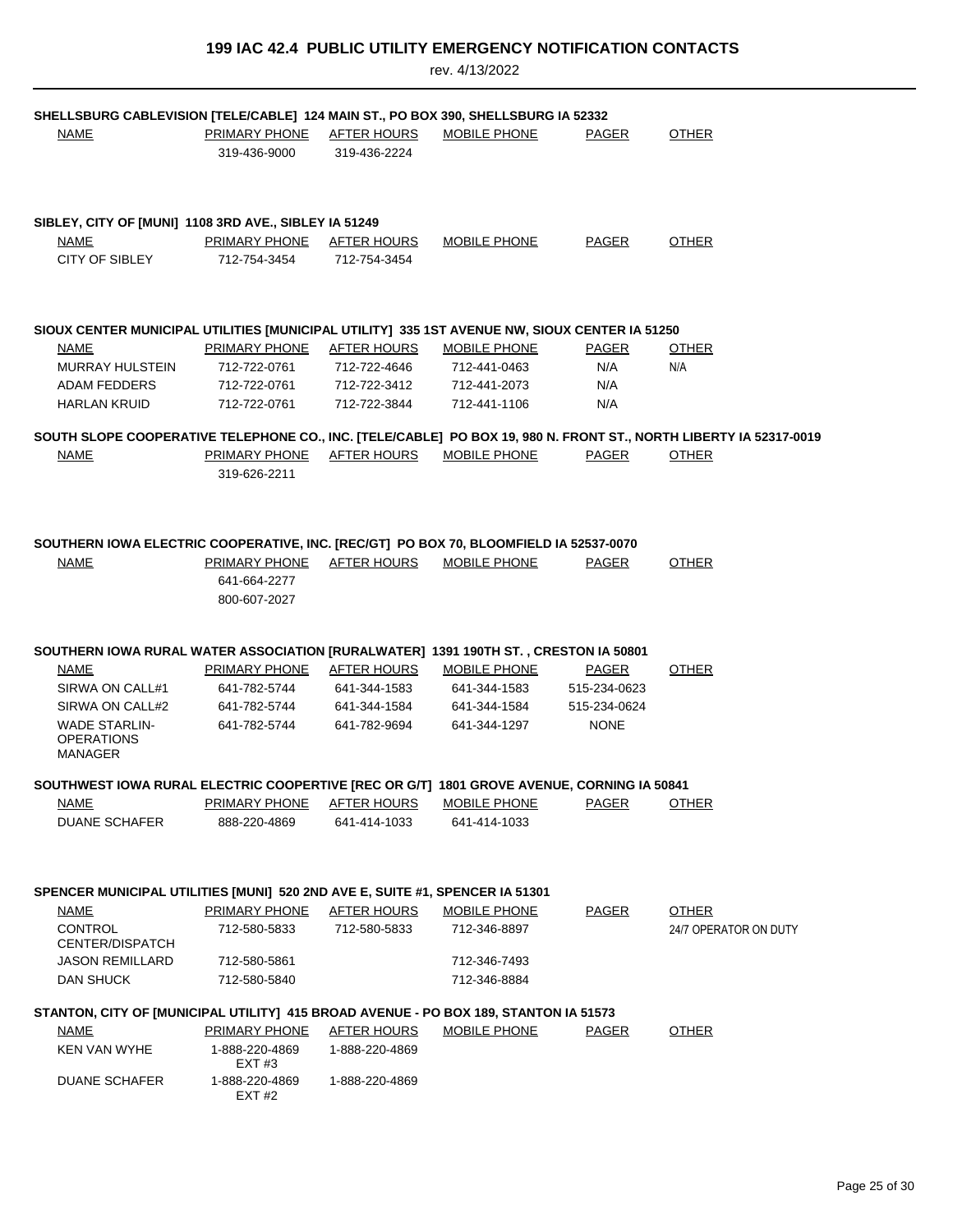| SHELLSBURG CABLEVISION [TELE/CABLE] 124 MAIN ST., PO BOX 390, SHELLSBURG IA 52332             |                                      |                                    |                                     |              |                                                                                                                   |
|-----------------------------------------------------------------------------------------------|--------------------------------------|------------------------------------|-------------------------------------|--------------|-------------------------------------------------------------------------------------------------------------------|
| <b>NAME</b>                                                                                   | PRIMARY PHONE AFTER HOURS            |                                    | MOBILE PHONE                        | <b>PAGER</b> | <b>OTHER</b>                                                                                                      |
|                                                                                               | 319-436-9000                         | 319-436-2224                       |                                     |              |                                                                                                                   |
|                                                                                               |                                      |                                    |                                     |              |                                                                                                                   |
|                                                                                               |                                      |                                    |                                     |              |                                                                                                                   |
| SIBLEY, CITY OF [MUNI] 1108 3RD AVE., SIBLEY IA 51249                                         |                                      |                                    |                                     |              |                                                                                                                   |
| NAME                                                                                          | PRIMARY PHONE                        | AFTER HOURS                        | MOBILE PHONE                        | PAGER        | <b>OTHER</b>                                                                                                      |
| CITY OF SIBLEY                                                                                | 712-754-3454                         | 712-754-3454                       |                                     |              |                                                                                                                   |
|                                                                                               |                                      |                                    |                                     |              |                                                                                                                   |
|                                                                                               |                                      |                                    |                                     |              |                                                                                                                   |
|                                                                                               |                                      |                                    |                                     |              |                                                                                                                   |
| SIOUX CENTER MUNICIPAL UTILITIES [MUNICIPAL UTILITY] 335 1ST AVENUE NW, SIOUX CENTER IA 51250 |                                      |                                    |                                     |              |                                                                                                                   |
| <b>NAME</b>                                                                                   | <b>PRIMARY PHONE</b>                 | <b>AFTER HOURS</b>                 | <b>MOBILE PHONE</b>                 | <b>PAGER</b> | <b>OTHER</b>                                                                                                      |
| <b>MURRAY HULSTEIN</b>                                                                        | 712-722-0761                         | 712-722-4646                       | 712-441-0463                        | N/A          | N/A                                                                                                               |
| <b>ADAM FEDDERS</b>                                                                           | 712-722-0761<br>712-722-0761         | 712-722-3412                       | 712-441-2073<br>712-441-1106        | N/A          |                                                                                                                   |
| <b>HARLAN KRUID</b>                                                                           |                                      | 712-722-3844                       |                                     | N/A          |                                                                                                                   |
|                                                                                               |                                      |                                    |                                     |              | SOUTH SLOPE COOPERATIVE TELEPHONE CO., INC. [TELE/CABLE] PO BOX 19, 980 N. FRONT ST., NORTH LIBERTY IA 52317-0019 |
| <b>NAME</b>                                                                                   | <b>PRIMARY PHONE</b>                 | AFTER HOURS                        | MOBILE PHONE                        | <b>PAGER</b> | <b>OTHER</b>                                                                                                      |
|                                                                                               | 319-626-2211                         |                                    |                                     |              |                                                                                                                   |
|                                                                                               |                                      |                                    |                                     |              |                                                                                                                   |
|                                                                                               |                                      |                                    |                                     |              |                                                                                                                   |
|                                                                                               |                                      |                                    |                                     |              |                                                                                                                   |
| SOUTHERN IOWA ELECTRIC COOPERATIVE, INC. [REC/GT] PO BOX 70, BLOOMFIELD IA 52537-0070         |                                      |                                    |                                     |              |                                                                                                                   |
| <b>NAME</b>                                                                                   | PRIMARY PHONE                        | AFTER HOURS                        | MOBILE PHONE                        | PAGER        | <b>OTHER</b>                                                                                                      |
|                                                                                               | 641-664-2277                         |                                    |                                     |              |                                                                                                                   |
|                                                                                               | 800-607-2027                         |                                    |                                     |              |                                                                                                                   |
|                                                                                               |                                      |                                    |                                     |              |                                                                                                                   |
| SOUTHERN IOWA RURAL WATER ASSOCIATION [RURALWATER] 1391 190TH ST., CRESTON IA 50801           |                                      |                                    |                                     |              |                                                                                                                   |
| NAME                                                                                          | <b>PRIMARY PHONE</b>                 | <u>AFTER HOURS</u>                 | <b>MOBILE PHONE</b>                 | <b>PAGER</b> | <b>OTHER</b>                                                                                                      |
| SIRWA ON CALL#1                                                                               | 641-782-5744                         | 641-344-1583                       | 641-344-1583                        | 515-234-0623 |                                                                                                                   |
| SIRWA ON CALL#2                                                                               | 641-782-5744                         | 641-344-1584                       | 641-344-1584                        | 515-234-0624 |                                                                                                                   |
| <b>WADE STARLIN-</b>                                                                          | 641-782-5744                         | 641-782-9694                       | 641-344-1297                        | <b>NONE</b>  |                                                                                                                   |
| <b>OPERATIONS</b><br>MANAGER                                                                  |                                      |                                    |                                     |              |                                                                                                                   |
|                                                                                               |                                      |                                    |                                     |              |                                                                                                                   |
| SOUTHWEST IOWA RURAL ELECTRIC COOPERTIVE [REC OR G/T] 1801 GROVE AVENUE, CORNING IA 50841     |                                      |                                    |                                     |              |                                                                                                                   |
| <b>NAME</b>                                                                                   | <b>PRIMARY PHONE</b>                 | <b>AFTER HOURS</b>                 | <b>MOBILE PHONE</b>                 | <b>PAGER</b> | <b>OTHER</b>                                                                                                      |
| <b>DUANE SCHAFER</b>                                                                          | 888-220-4869                         | 641-414-1033                       | 641-414-1033                        |              |                                                                                                                   |
|                                                                                               |                                      |                                    |                                     |              |                                                                                                                   |
|                                                                                               |                                      |                                    |                                     |              |                                                                                                                   |
|                                                                                               |                                      |                                    |                                     |              |                                                                                                                   |
| SPENCER MUNICIPAL UTILITIES [MUNI] 520 2ND AVE E, SUITE #1, SPENCER IA 51301                  |                                      |                                    |                                     |              |                                                                                                                   |
| <b>NAME</b><br><b>CONTROL</b>                                                                 | <b>PRIMARY PHONE</b><br>712-580-5833 | <b>AFTER HOURS</b><br>712-580-5833 | <b>MOBILE PHONE</b><br>712-346-8897 | <b>PAGER</b> | <b>OTHER</b><br>24/7 OPERATOR ON DUTY                                                                             |
| <b>CENTER/DISPATCH</b>                                                                        |                                      |                                    |                                     |              |                                                                                                                   |
| <b>JASON REMILLARD</b>                                                                        | 712-580-5861                         |                                    | 712-346-7493                        |              |                                                                                                                   |
| DAN SHUCK                                                                                     | 712-580-5840                         |                                    | 712-346-8884                        |              |                                                                                                                   |
|                                                                                               |                                      |                                    |                                     |              |                                                                                                                   |
| STANTON, CITY OF [MUNICIPAL UTILITY] 415 BROAD AVENUE - PO BOX 189, STANTON IA 51573          |                                      |                                    |                                     |              |                                                                                                                   |
| <b>NAME</b>                                                                                   | PRIMARY PHONE                        | AFTER HOURS                        | MOBILE PHONE                        | PAGER        | <b>OTHER</b>                                                                                                      |
| <b>KEN VAN WYHE</b>                                                                           | 1-888-220-4869<br>EXT #3             | 1-888-220-4869                     |                                     |              |                                                                                                                   |
| <b>DUANE SCHAFER</b>                                                                          | 1-888-220-4869<br>EXT #2             | 1-888-220-4869                     |                                     |              |                                                                                                                   |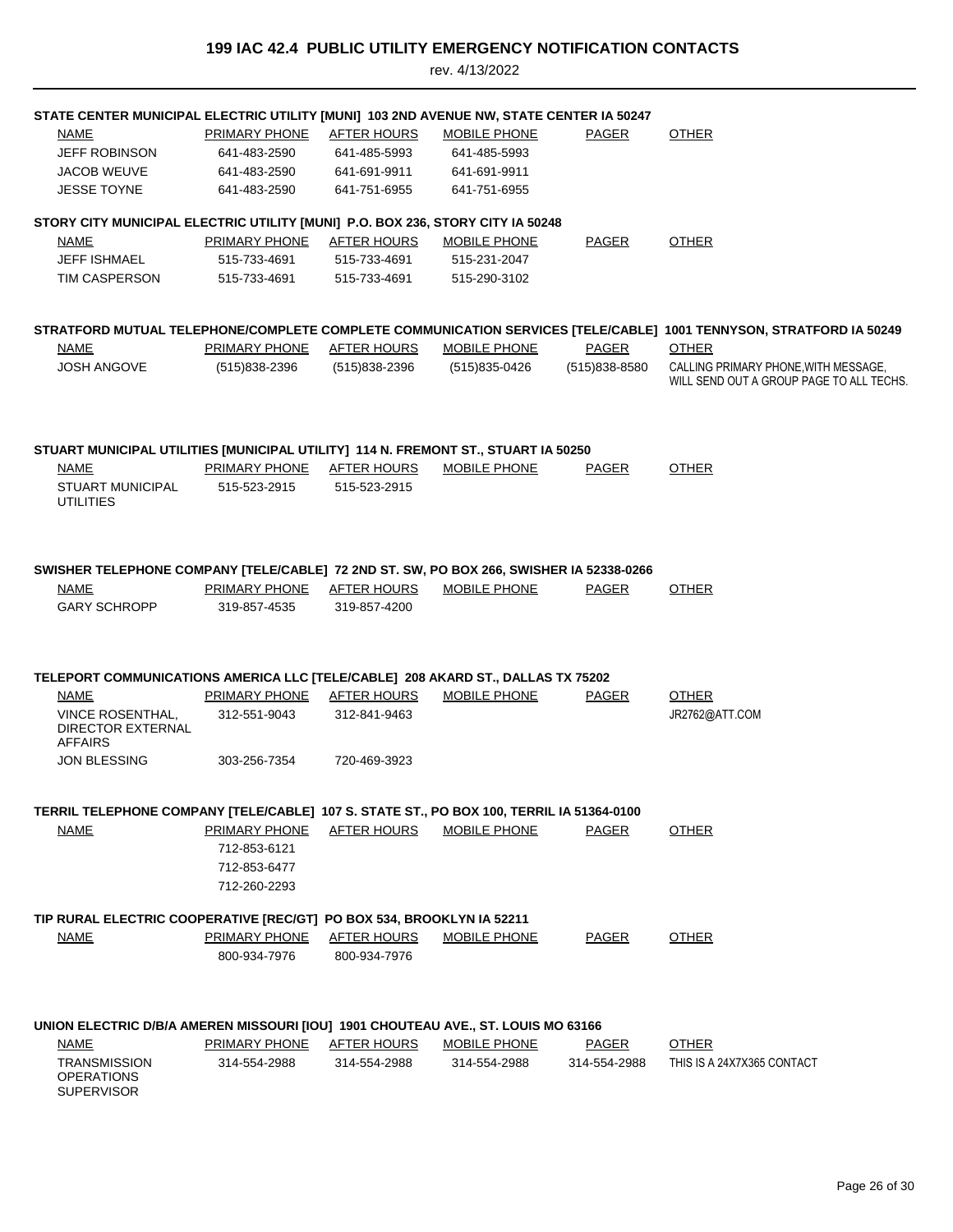| STATE CENTER MUNICIPAL ELECTRIC UTILITY [MUNI] 103 2ND AVENUE NW, STATE CENTER IA 50247  |                      |                    |                     |               |                                                                                                                                    |
|------------------------------------------------------------------------------------------|----------------------|--------------------|---------------------|---------------|------------------------------------------------------------------------------------------------------------------------------------|
| <u>NAME</u>                                                                              | <b>PRIMARY PHONE</b> | <b>AFTER HOURS</b> | <b>MOBILE PHONE</b> | PAGER         | <b>OTHER</b>                                                                                                                       |
| <b>JEFF ROBINSON</b>                                                                     | 641-483-2590         | 641-485-5993       | 641-485-5993        |               |                                                                                                                                    |
| <b>JACOB WEUVE</b>                                                                       | 641-483-2590         | 641-691-9911       | 641-691-9911        |               |                                                                                                                                    |
| <b>JESSE TOYNE</b>                                                                       | 641-483-2590         | 641-751-6955       | 641-751-6955        |               |                                                                                                                                    |
| STORY CITY MUNICIPAL ELECTRIC UTILITY [MUNI] P.O. BOX 236, STORY CITY IA 50248           |                      |                    |                     |               |                                                                                                                                    |
| NAME                                                                                     | PRIMARY PHONE        | AFTER HOURS        | <b>MOBILE PHONE</b> | PAGER         | <b>OTHER</b>                                                                                                                       |
| <b>JEFF ISHMAEL</b>                                                                      | 515-733-4691         | 515-733-4691       | 515-231-2047        |               |                                                                                                                                    |
| TIM CASPERSON                                                                            | 515-733-4691         | 515-733-4691       | 515-290-3102        |               |                                                                                                                                    |
|                                                                                          |                      |                    |                     |               |                                                                                                                                    |
|                                                                                          |                      |                    |                     |               |                                                                                                                                    |
| NAME                                                                                     | <b>PRIMARY PHONE</b> | <b>AFTER HOURS</b> | <b>MOBILE PHONE</b> | <b>PAGER</b>  | STRATFORD MUTUAL TELEPHONE/COMPLETE COMPLETE COMMUNICATION SERVICES [TELE/CABLE] 1001 TENNYSON, STRATFORD IA 50249<br><b>OTHER</b> |
| <b>JOSH ANGOVE</b>                                                                       | (515)838-2396        | $(515)838 - 2396$  | (515) 835-0426      | (515)838-8580 | CALLING PRIMARY PHONE, WITH MESSAGE,                                                                                               |
|                                                                                          |                      |                    |                     |               | WILL SEND OUT A GROUP PAGE TO ALL TECHS                                                                                            |
|                                                                                          |                      |                    |                     |               |                                                                                                                                    |
|                                                                                          |                      |                    |                     |               |                                                                                                                                    |
| STUART MUNICIPAL UTILITIES [MUNICIPAL UTILITY] 114 N. FREMONT ST., STUART IA 50250       |                      |                    |                     |               |                                                                                                                                    |
| <b>NAME</b>                                                                              | PRIMARY PHONE        | <b>AFTER HOURS</b> | MOBILE PHONE        | <b>PAGER</b>  | <b>OTHER</b>                                                                                                                       |
| <b>STUART MUNICIPAL</b><br><b>UTILITIES</b>                                              | 515-523-2915         | 515-523-2915       |                     |               |                                                                                                                                    |
|                                                                                          |                      |                    |                     |               |                                                                                                                                    |
|                                                                                          |                      |                    |                     |               |                                                                                                                                    |
|                                                                                          |                      |                    |                     |               |                                                                                                                                    |
| SWISHER TELEPHONE COMPANY [TELE/CABLE] 72 2ND ST. SW, PO BOX 266, SWISHER IA 52338-0266  |                      |                    |                     |               |                                                                                                                                    |
| NAME                                                                                     | PRIMARY PHONE        | AFTER HOURS        | <b>MOBILE PHONE</b> | <b>PAGER</b>  | <b>OTHER</b>                                                                                                                       |
| <b>GARY SCHROPP</b>                                                                      | 319-857-4535         | 319-857-4200       |                     |               |                                                                                                                                    |
|                                                                                          |                      |                    |                     |               |                                                                                                                                    |
|                                                                                          |                      |                    |                     |               |                                                                                                                                    |
| TELEPORT COMMUNICATIONS AMERICA LLC [TELE/CABLE] 208 AKARD ST., DALLAS TX 75202          |                      |                    |                     |               |                                                                                                                                    |
| <b>NAME</b>                                                                              | <u>PRIMARY PHONE</u> | <b>AFTER HOURS</b> | <b>MOBILE PHONE</b> | <b>PAGER</b>  | <b>OTHER</b>                                                                                                                       |
| <b>VINCE ROSENTHAL,</b>                                                                  | 312-551-9043         | 312-841-9463       |                     |               | JR2762@ATT.COM                                                                                                                     |
| <b>DIRECTOR EXTERNAL</b><br><b>AFFAIRS</b>                                               |                      |                    |                     |               |                                                                                                                                    |
| <b>JON BLESSING</b>                                                                      | 303-256-7354         | 720-469-3923       |                     |               |                                                                                                                                    |
|                                                                                          |                      |                    |                     |               |                                                                                                                                    |
|                                                                                          |                      |                    |                     |               |                                                                                                                                    |
| TERRIL TELEPHONE COMPANY [TELE/CABLE] 107 S. STATE ST., PO BOX 100, TERRIL IA 51364-0100 |                      |                    |                     |               |                                                                                                                                    |
| <b>NAME</b>                                                                              | PRIMARY PHONE        | AFTER HOURS        | MOBILE PHONE        | PAGER         | <b>OTHER</b>                                                                                                                       |
|                                                                                          | 712-853-6121         |                    |                     |               |                                                                                                                                    |
|                                                                                          | 712-853-6477         |                    |                     |               |                                                                                                                                    |
|                                                                                          | 712-260-2293         |                    |                     |               |                                                                                                                                    |
| TIP RURAL ELECTRIC COOPERATIVE [REC/GT] PO BOX 534, BROOKLYN IA 52211                    |                      |                    |                     |               |                                                                                                                                    |
| <b>NAME</b>                                                                              | <u>PRIMARY PHONE</u> | <b>AFTER HOURS</b> | <b>MOBILE PHONE</b> | <b>PAGER</b>  | <b>OTHER</b>                                                                                                                       |
|                                                                                          | 800-934-7976         | 800-934-7976       |                     |               |                                                                                                                                    |
|                                                                                          |                      |                    |                     |               |                                                                                                                                    |
|                                                                                          |                      |                    |                     |               |                                                                                                                                    |
| UNION ELECTRIC D/B/A AMEREN MISSOURI [IOU] 1901 CHOUTEAU AVE., ST. LOUIS MO 63166        |                      |                    |                     |               |                                                                                                                                    |
| NAME                                                                                     | PRIMARY PHONE        | <b>AFTER HOURS</b> | MOBILE PHONE        | PAGER         | <b>OTHER</b>                                                                                                                       |
| <b>TRANSMISSION</b>                                                                      | 314-554-2988         | 314-554-2988       | 314-554-2988        | 314-554-2988  | THIS IS A 24X7X365 CONTACT                                                                                                         |
| <b>OPERATIONS</b><br><b>SUPERVISOR</b>                                                   |                      |                    |                     |               |                                                                                                                                    |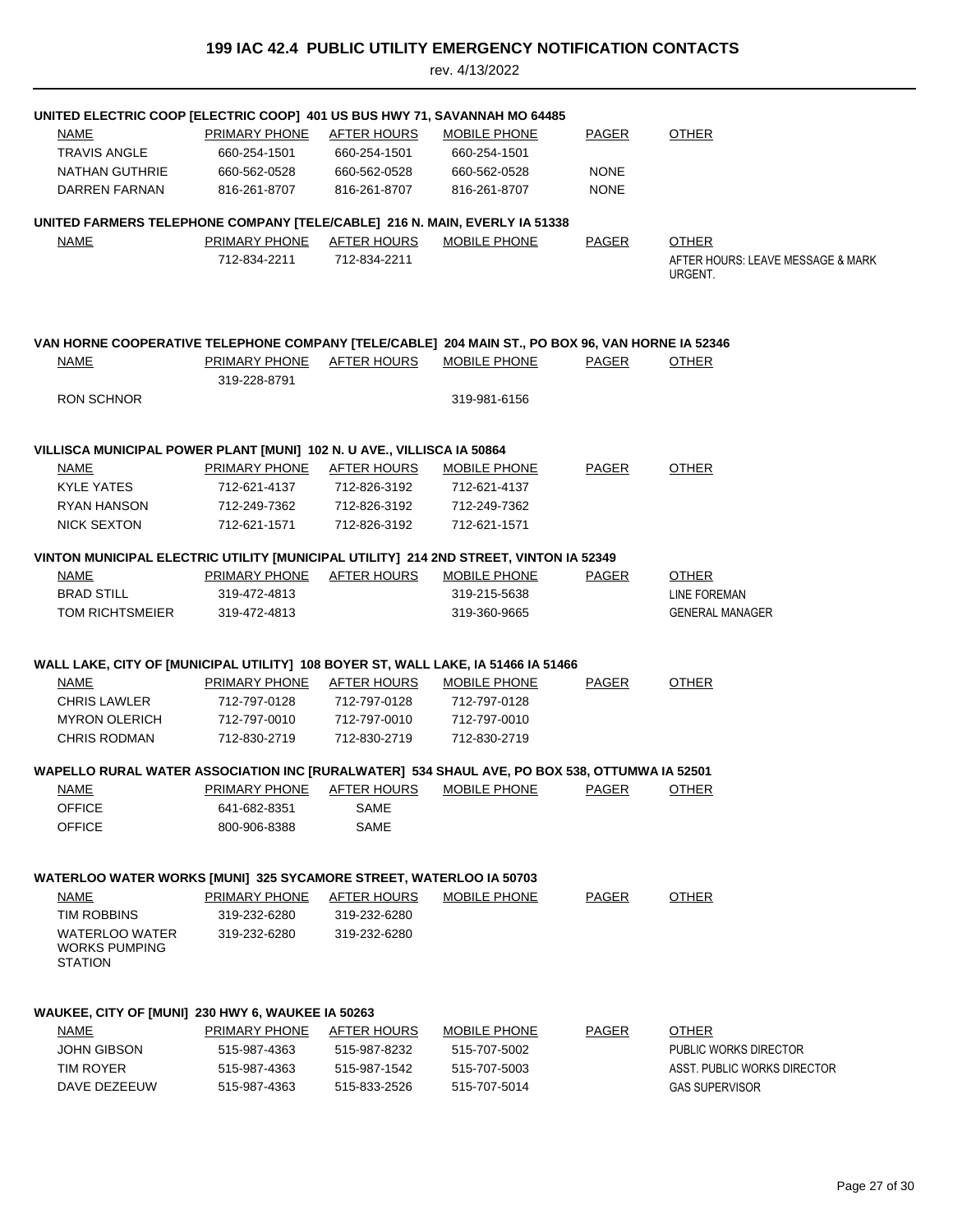| UNITED ELECTRIC COOP [ELECTRIC COOP] 401 US BUS HWY 71, SAVANNAH MO 64485                        |                           |                    |                                              |              |                                   |
|--------------------------------------------------------------------------------------------------|---------------------------|--------------------|----------------------------------------------|--------------|-----------------------------------|
| <b>NAME</b>                                                                                      | <b>PRIMARY PHONE</b>      | <b>AFTER HOURS</b> | <b>MOBILE PHONE</b>                          | <b>PAGER</b> | <b>OTHER</b>                      |
| <b>TRAVIS ANGLE</b>                                                                              | 660-254-1501              | 660-254-1501       | 660-254-1501                                 |              |                                   |
| NATHAN GUTHRIE                                                                                   | 660-562-0528              | 660-562-0528       | 660-562-0528                                 | <b>NONE</b>  |                                   |
| DARREN FARNAN                                                                                    | 816-261-8707              | 816-261-8707       | 816-261-8707                                 | <b>NONE</b>  |                                   |
| UNITED FARMERS TELEPHONE COMPANY [TELE/CABLE] 216 N. MAIN, EVERLY IA 51338                       |                           |                    |                                              |              |                                   |
| NAME                                                                                             | PRIMARY PHONE AFTER HOURS |                    | MOBILE PHONE                                 | PAGER        | <b>OTHER</b>                      |
|                                                                                                  | 712-834-2211              | 712-834-2211       |                                              |              | AFTER HOURS: LEAVE MESSAGE & MARK |
|                                                                                                  |                           |                    |                                              |              | URGENT.                           |
|                                                                                                  |                           |                    |                                              |              |                                   |
| VAN HORNE COOPERATIVE TELEPHONE COMPANY [TELE/CABLE] 204 MAIN ST., PO BOX 96, VAN HORNE IA 52346 |                           |                    |                                              |              |                                   |
| NAME                                                                                             | <b>PRIMARY PHONE</b>      | <u>AFTER HOURS</u> | <b>MOBILE PHONE</b>                          | PAGER        | <b>OTHER</b>                      |
|                                                                                                  | 319-228-8791              |                    |                                              |              |                                   |
| <b>RON SCHNOR</b>                                                                                |                           |                    | 319-981-6156                                 |              |                                   |
|                                                                                                  |                           |                    |                                              |              |                                   |
| VILLISCA MUNICIPAL POWER PLANT [MUNI] 102 N. U AVE., VILLISCA IA 50864                           |                           |                    |                                              |              |                                   |
| NAME                                                                                             | PRIMARY PHONE AFTER HOURS |                    | <b>MOBILE PHONE</b>                          | <b>PAGER</b> | <b>OTHER</b>                      |
| <b>KYLE YATES</b>                                                                                | 712-621-4137              | 712-826-3192       | 712-621-4137                                 |              |                                   |
| RYAN HANSON                                                                                      | 712-249-7362              | 712-826-3192       | 712-249-7362                                 |              |                                   |
| <b>NICK SEXTON</b>                                                                               | 712-621-1571              | 712-826-3192       | 712-621-1571                                 |              |                                   |
| VINTON MUNICIPAL ELECTRIC UTILITY [MUNICIPAL UTILITY] 214 2ND STREET, VINTON IA 52349            |                           |                    |                                              |              |                                   |
| <b>NAME</b>                                                                                      | PRIMARY PHONE AFTER HOURS |                    | <b>MOBILE PHONE</b>                          | PAGER        | <b>OTHER</b>                      |
| <b>BRAD STILL</b>                                                                                | 319-472-4813              |                    | 319-215-5638                                 |              | LINE FOREMAN                      |
| TOM RICHTSMEIER                                                                                  | 319-472-4813              |                    | 319-360-9665                                 |              | <b>GENERAL MANAGER</b>            |
|                                                                                                  |                           |                    |                                              |              |                                   |
| WALL LAKE, CITY OF [MUNICIPAL UTILITY] 108 BOYER ST, WALL LAKE, IA 51466 IA 51466                |                           |                    |                                              |              |                                   |
| NAME                                                                                             | PRIMARY PHONE             | AFTER HOURS        | MOBILE PHONE                                 | PAGER        | <b>OTHER</b>                      |
| <b>CHRIS LAWLER</b>                                                                              | 712-797-0128              | 712-797-0128       | 712-797-0128                                 |              |                                   |
| <b>MYRON OLERICH</b>                                                                             | 712-797-0010              | 712-797-0010       | 712-797-0010                                 |              |                                   |
| <b>CHRIS RODMAN</b>                                                                              | 712-830-2719              | 712-830-2719       | 712-830-2719                                 |              |                                   |
| WAPELLO RURAL WATER ASSOCIATION INC [RURALWATER] 534 SHAUL AVE, PO BOX 538, OTTUMWA IA 52501     |                           |                    |                                              |              |                                   |
| <u>NAME</u>                                                                                      |                           |                    | PRIMARY PHONE AFTER HOURS MOBILE PHONE PAGER |              | <u>OTHER</u>                      |
| <b>OFFICE</b>                                                                                    | 641-682-8351              | SAME               |                                              |              |                                   |
| <b>OFFICE</b>                                                                                    | 800-906-8388              | SAME               |                                              |              |                                   |
|                                                                                                  |                           |                    |                                              |              |                                   |
| WATERLOO WATER WORKS [MUNI] 325 SYCAMORE STREET, WATERLOO IA 50703                               |                           |                    |                                              |              |                                   |
| NAME                                                                                             | <b>PRIMARY PHONE</b>      | <b>AFTER HOURS</b> | <b>MOBILE PHONE</b>                          | <b>PAGER</b> | <b>OTHER</b>                      |
| <b>TIM ROBBINS</b>                                                                               | 319-232-6280              | 319-232-6280       |                                              |              |                                   |
| <b>WATERLOO WATER</b><br><b>WORKS PUMPING</b><br><b>STATION</b>                                  | 319-232-6280              | 319-232-6280       |                                              |              |                                   |
|                                                                                                  |                           |                    |                                              |              |                                   |
| WAUKEE, CITY OF [MUNI] 230 HWY 6, WAUKEE IA 50263                                                |                           |                    |                                              |              |                                   |
| NAME                                                                                             | <b>PRIMARY PHONE</b>      | <b>AFTER HOURS</b> | <b>MOBILE PHONE</b>                          | <b>PAGER</b> | <b>OTHER</b>                      |
| <b>JOHN GIBSON</b>                                                                               | 515-987-4363              | 515-987-8232       | 515-707-5002                                 |              | PUBLIC WORKS DIRECTOR             |
| <b>TIM ROYER</b>                                                                                 | 515-987-4363              | 515-987-1542       | 515-707-5003                                 |              | ASST. PUBLIC WORKS DIRECTOR       |
| DAVE DEZEEUW                                                                                     | 515-987-4363              | 515-833-2526       | 515-707-5014                                 |              | <b>GAS SUPERVISOR</b>             |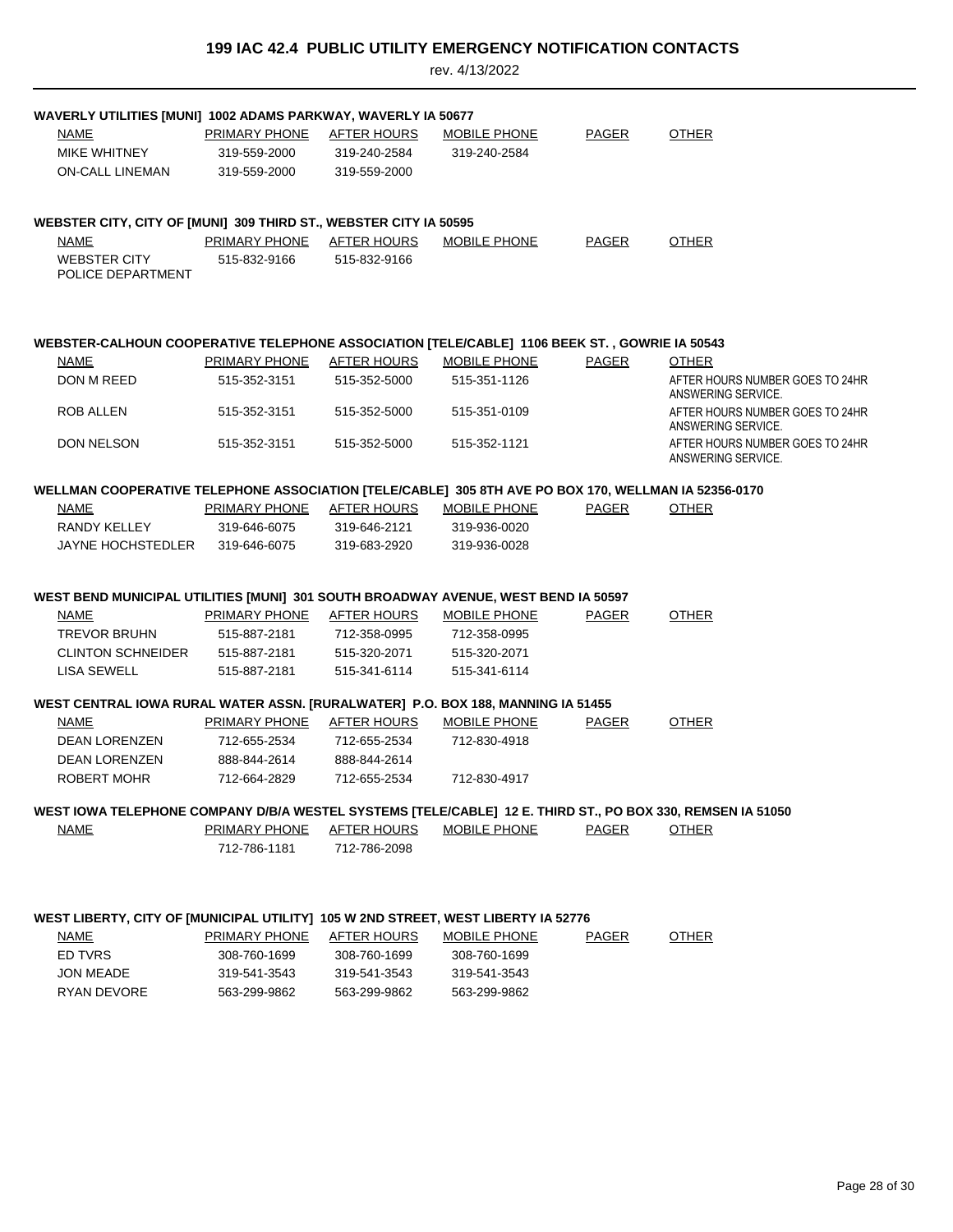| PRIMARY PHONE<br><b>AFTER HOURS</b><br><b>MOBILE PHONE</b><br><b>PAGER</b><br><b>OTHER</b><br>MIKE WHITNEY<br>319-559-2000<br>319-240-2584<br>319-240-2584<br><b>ON-CALL LINEMAN</b><br>319-559-2000<br>319-559-2000<br>WEBSTER CITY, CITY OF [MUNI] 309 THIRD ST., WEBSTER CITY IA 50595<br>PRIMARY PHONE AFTER HOURS<br>MOBILE PHONE<br><b>PAGER</b><br><b>OTHER</b><br><b>WEBSTER CITY</b><br>515-832-9166<br>515-832-9166<br>POLICE DEPARTMENT<br>WEBSTER-CALHOUN COOPERATIVE TELEPHONE ASSOCIATION [TELE/CABLE] 1106 BEEK ST., GOWRIE IA 50543<br>PRIMARY PHONE<br>AFTER HOURS<br>MOBILE PHONE<br><b>PAGER</b><br><b>OTHER</b><br>DON M REED<br>515-352-3151<br>515-351-1126<br>AFTER HOURS NUMBER GOES TO 24HR<br>515-352-5000<br>ANSWERING SERVICE.<br>AFTER HOURS NUMBER GOES TO 24HR<br><b>ROB ALLEN</b><br>515-351-0109<br>515-352-3151<br>515-352-5000<br>ANSWERING SERVICE.<br><b>DON NELSON</b> |              |              |              |                                                               |                                 |
|--------------------------------------------------------------------------------------------------------------------------------------------------------------------------------------------------------------------------------------------------------------------------------------------------------------------------------------------------------------------------------------------------------------------------------------------------------------------------------------------------------------------------------------------------------------------------------------------------------------------------------------------------------------------------------------------------------------------------------------------------------------------------------------------------------------------------------------------------------------------------------------------------------------|--------------|--------------|--------------|---------------------------------------------------------------|---------------------------------|
|                                                                                                                                                                                                                                                                                                                                                                                                                                                                                                                                                                                                                                                                                                                                                                                                                                                                                                              |              |              |              |                                                               |                                 |
|                                                                                                                                                                                                                                                                                                                                                                                                                                                                                                                                                                                                                                                                                                                                                                                                                                                                                                              |              |              |              |                                                               |                                 |
|                                                                                                                                                                                                                                                                                                                                                                                                                                                                                                                                                                                                                                                                                                                                                                                                                                                                                                              |              |              |              |                                                               |                                 |
|                                                                                                                                                                                                                                                                                                                                                                                                                                                                                                                                                                                                                                                                                                                                                                                                                                                                                                              |              |              |              |                                                               |                                 |
|                                                                                                                                                                                                                                                                                                                                                                                                                                                                                                                                                                                                                                                                                                                                                                                                                                                                                                              |              |              |              |                                                               |                                 |
|                                                                                                                                                                                                                                                                                                                                                                                                                                                                                                                                                                                                                                                                                                                                                                                                                                                                                                              |              |              |              |                                                               |                                 |
|                                                                                                                                                                                                                                                                                                                                                                                                                                                                                                                                                                                                                                                                                                                                                                                                                                                                                                              |              |              |              |                                                               |                                 |
|                                                                                                                                                                                                                                                                                                                                                                                                                                                                                                                                                                                                                                                                                                                                                                                                                                                                                                              |              |              |              |                                                               |                                 |
|                                                                                                                                                                                                                                                                                                                                                                                                                                                                                                                                                                                                                                                                                                                                                                                                                                                                                                              |              |              |              |                                                               |                                 |
|                                                                                                                                                                                                                                                                                                                                                                                                                                                                                                                                                                                                                                                                                                                                                                                                                                                                                                              |              |              |              |                                                               |                                 |
|                                                                                                                                                                                                                                                                                                                                                                                                                                                                                                                                                                                                                                                                                                                                                                                                                                                                                                              |              |              |              |                                                               |                                 |
|                                                                                                                                                                                                                                                                                                                                                                                                                                                                                                                                                                                                                                                                                                                                                                                                                                                                                                              |              |              |              |                                                               |                                 |
|                                                                                                                                                                                                                                                                                                                                                                                                                                                                                                                                                                                                                                                                                                                                                                                                                                                                                                              |              |              |              |                                                               |                                 |
|                                                                                                                                                                                                                                                                                                                                                                                                                                                                                                                                                                                                                                                                                                                                                                                                                                                                                                              |              |              |              |                                                               |                                 |
|                                                                                                                                                                                                                                                                                                                                                                                                                                                                                                                                                                                                                                                                                                                                                                                                                                                                                                              |              |              |              |                                                               |                                 |
|                                                                                                                                                                                                                                                                                                                                                                                                                                                                                                                                                                                                                                                                                                                                                                                                                                                                                                              |              |              |              |                                                               |                                 |
|                                                                                                                                                                                                                                                                                                                                                                                                                                                                                                                                                                                                                                                                                                                                                                                                                                                                                                              |              |              |              |                                                               |                                 |
|                                                                                                                                                                                                                                                                                                                                                                                                                                                                                                                                                                                                                                                                                                                                                                                                                                                                                                              | 515-352-3151 | 515-352-5000 | 515-352-1121 |                                                               |                                 |
|                                                                                                                                                                                                                                                                                                                                                                                                                                                                                                                                                                                                                                                                                                                                                                                                                                                                                                              |              |              |              |                                                               |                                 |
|                                                                                                                                                                                                                                                                                                                                                                                                                                                                                                                                                                                                                                                                                                                                                                                                                                                                                                              |              |              |              |                                                               |                                 |
|                                                                                                                                                                                                                                                                                                                                                                                                                                                                                                                                                                                                                                                                                                                                                                                                                                                                                                              |              |              |              |                                                               |                                 |
| WELLMAN COOPERATIVE TELEPHONE ASSOCIATION [TELE/CABLE] 305 8TH AVE PO BOX 170, WELLMAN IA 52356-0170                                                                                                                                                                                                                                                                                                                                                                                                                                                                                                                                                                                                                                                                                                                                                                                                         |              |              |              |                                                               |                                 |
| PAGER<br><b>OTHER</b><br>PRIMARY PHONE<br>AFTER HOURS<br>MOBILE PHONE                                                                                                                                                                                                                                                                                                                                                                                                                                                                                                                                                                                                                                                                                                                                                                                                                                        |              |              |              |                                                               |                                 |
| RANDY KELLEY<br>319-646-6075<br>319-646-2121<br>319-936-0020<br>319-646-6075<br>319-683-2920<br>319-936-0028                                                                                                                                                                                                                                                                                                                                                                                                                                                                                                                                                                                                                                                                                                                                                                                                 |              |              |              |                                                               |                                 |
| JAYNE HOCHSTEDLER                                                                                                                                                                                                                                                                                                                                                                                                                                                                                                                                                                                                                                                                                                                                                                                                                                                                                            |              |              |              |                                                               |                                 |
|                                                                                                                                                                                                                                                                                                                                                                                                                                                                                                                                                                                                                                                                                                                                                                                                                                                                                                              |              |              |              |                                                               |                                 |
| WEST BEND MUNICIPAL UTILITIES [MUNI] 301 SOUTH BROADWAY AVENUE, WEST BEND IA 50597                                                                                                                                                                                                                                                                                                                                                                                                                                                                                                                                                                                                                                                                                                                                                                                                                           |              |              |              |                                                               |                                 |
| PRIMARY PHONE<br><b>MOBILE PHONE</b><br><b>OTHER</b><br>AFTER HOURS<br><b>PAGER</b>                                                                                                                                                                                                                                                                                                                                                                                                                                                                                                                                                                                                                                                                                                                                                                                                                          |              |              |              |                                                               |                                 |
| <b>TREVOR BRUHN</b><br>515-887-2181<br>712-358-0995<br>712-358-0995                                                                                                                                                                                                                                                                                                                                                                                                                                                                                                                                                                                                                                                                                                                                                                                                                                          |              |              |              |                                                               |                                 |
| <b>CLINTON SCHNEIDER</b><br>515-887-2181<br>515-320-2071<br>515-320-2071                                                                                                                                                                                                                                                                                                                                                                                                                                                                                                                                                                                                                                                                                                                                                                                                                                     |              |              |              |                                                               |                                 |
| LISA SEWELL<br>515-887-2181<br>515-341-6114<br>515-341-6114                                                                                                                                                                                                                                                                                                                                                                                                                                                                                                                                                                                                                                                                                                                                                                                                                                                  |              |              |              |                                                               |                                 |
|                                                                                                                                                                                                                                                                                                                                                                                                                                                                                                                                                                                                                                                                                                                                                                                                                                                                                                              |              |              |              |                                                               |                                 |
| WEST CENTRAL IOWA RURAL WATER ASSN. [RURALWATER] P.O. BOX 188, MANNING IA 51455                                                                                                                                                                                                                                                                                                                                                                                                                                                                                                                                                                                                                                                                                                                                                                                                                              |              |              |              |                                                               |                                 |
| <b>PRIMARY PHONE</b><br><b>OTHER</b><br>AFTER HOURS<br><b>MOBILE PHONE</b><br><b>PAGER</b>                                                                                                                                                                                                                                                                                                                                                                                                                                                                                                                                                                                                                                                                                                                                                                                                                   |              |              |              |                                                               |                                 |
| <b>DEAN LORENZEN</b><br>712-655-2534<br>712-830-4918<br>712-655-2534                                                                                                                                                                                                                                                                                                                                                                                                                                                                                                                                                                                                                                                                                                                                                                                                                                         |              |              |              |                                                               |                                 |
| <b>DEAN LORENZEN</b><br>888-844-2614<br>888-844-2614                                                                                                                                                                                                                                                                                                                                                                                                                                                                                                                                                                                                                                                                                                                                                                                                                                                         |              |              |              |                                                               |                                 |
| <b>ROBERT MOHR</b><br>712-664-2829<br>712-655-2534<br>712-830-4917                                                                                                                                                                                                                                                                                                                                                                                                                                                                                                                                                                                                                                                                                                                                                                                                                                           |              |              |              |                                                               |                                 |
|                                                                                                                                                                                                                                                                                                                                                                                                                                                                                                                                                                                                                                                                                                                                                                                                                                                                                                              |              |              |              |                                                               |                                 |
| WEST IOWA TELEPHONE COMPANY D/B/A WESTEL SYSTEMS [TELE/CABLE] 12 E. THIRD ST., PO BOX 330, REMSEN IA 51050                                                                                                                                                                                                                                                                                                                                                                                                                                                                                                                                                                                                                                                                                                                                                                                                   |              |              |              |                                                               |                                 |
| PRIMARY PHONE<br><b>AFTER HOURS</b><br>MOBILE PHONE<br><b>OTHER</b><br><b>PAGER</b>                                                                                                                                                                                                                                                                                                                                                                                                                                                                                                                                                                                                                                                                                                                                                                                                                          |              |              |              |                                                               |                                 |
| 712-786-1181<br>712-786-2098                                                                                                                                                                                                                                                                                                                                                                                                                                                                                                                                                                                                                                                                                                                                                                                                                                                                                 |              |              |              |                                                               |                                 |
|                                                                                                                                                                                                                                                                                                                                                                                                                                                                                                                                                                                                                                                                                                                                                                                                                                                                                                              |              |              |              |                                                               |                                 |
|                                                                                                                                                                                                                                                                                                                                                                                                                                                                                                                                                                                                                                                                                                                                                                                                                                                                                                              |              |              |              |                                                               |                                 |
|                                                                                                                                                                                                                                                                                                                                                                                                                                                                                                                                                                                                                                                                                                                                                                                                                                                                                                              |              |              |              |                                                               |                                 |
| WEST LIBERTY, CITY OF [MUNICIPAL UTILITY] 105 W 2ND STREET, WEST LIBERTY IA 52776                                                                                                                                                                                                                                                                                                                                                                                                                                                                                                                                                                                                                                                                                                                                                                                                                            |              |              |              |                                                               |                                 |
| <b>PRIMARY PHONE</b><br>AFTER HOURS<br><b>MOBILE PHONE</b><br><b>PAGER</b><br><b>OTHER</b>                                                                                                                                                                                                                                                                                                                                                                                                                                                                                                                                                                                                                                                                                                                                                                                                                   |              |              |              |                                                               |                                 |
| 308-760-1699<br>308-760-1699<br>308-760-1699                                                                                                                                                                                                                                                                                                                                                                                                                                                                                                                                                                                                                                                                                                                                                                                                                                                                 |              |              |              |                                                               |                                 |
| <b>JON MEADE</b><br>319-541-3543<br>319-541-3543<br>319-541-3543                                                                                                                                                                                                                                                                                                                                                                                                                                                                                                                                                                                                                                                                                                                                                                                                                                             |              |              |              |                                                               |                                 |
| RYAN DEVORE<br>563-299-9862<br>563-299-9862<br>563-299-9862                                                                                                                                                                                                                                                                                                                                                                                                                                                                                                                                                                                                                                                                                                                                                                                                                                                  |              |              |              |                                                               |                                 |
| ANSWERING SERVICE.                                                                                                                                                                                                                                                                                                                                                                                                                                                                                                                                                                                                                                                                                                                                                                                                                                                                                           |              |              |              |                                                               |                                 |
|                                                                                                                                                                                                                                                                                                                                                                                                                                                                                                                                                                                                                                                                                                                                                                                                                                                                                                              |              |              |              |                                                               | AFTER HOURS NUMBER GOES TO 24HR |
|                                                                                                                                                                                                                                                                                                                                                                                                                                                                                                                                                                                                                                                                                                                                                                                                                                                                                                              |              |              |              |                                                               |                                 |
|                                                                                                                                                                                                                                                                                                                                                                                                                                                                                                                                                                                                                                                                                                                                                                                                                                                                                                              |              |              |              |                                                               |                                 |
|                                                                                                                                                                                                                                                                                                                                                                                                                                                                                                                                                                                                                                                                                                                                                                                                                                                                                                              |              |              |              |                                                               |                                 |
|                                                                                                                                                                                                                                                                                                                                                                                                                                                                                                                                                                                                                                                                                                                                                                                                                                                                                                              |              |              |              |                                                               |                                 |
|                                                                                                                                                                                                                                                                                                                                                                                                                                                                                                                                                                                                                                                                                                                                                                                                                                                                                                              |              |              |              |                                                               |                                 |
|                                                                                                                                                                                                                                                                                                                                                                                                                                                                                                                                                                                                                                                                                                                                                                                                                                                                                                              |              |              |              |                                                               |                                 |
|                                                                                                                                                                                                                                                                                                                                                                                                                                                                                                                                                                                                                                                                                                                                                                                                                                                                                                              |              |              |              |                                                               |                                 |
|                                                                                                                                                                                                                                                                                                                                                                                                                                                                                                                                                                                                                                                                                                                                                                                                                                                                                                              |              |              |              |                                                               |                                 |
|                                                                                                                                                                                                                                                                                                                                                                                                                                                                                                                                                                                                                                                                                                                                                                                                                                                                                                              |              |              |              |                                                               |                                 |
|                                                                                                                                                                                                                                                                                                                                                                                                                                                                                                                                                                                                                                                                                                                                                                                                                                                                                                              |              |              |              |                                                               |                                 |
|                                                                                                                                                                                                                                                                                                                                                                                                                                                                                                                                                                                                                                                                                                                                                                                                                                                                                                              |              |              |              |                                                               |                                 |
|                                                                                                                                                                                                                                                                                                                                                                                                                                                                                                                                                                                                                                                                                                                                                                                                                                                                                                              |              |              |              |                                                               |                                 |
|                                                                                                                                                                                                                                                                                                                                                                                                                                                                                                                                                                                                                                                                                                                                                                                                                                                                                                              |              |              |              |                                                               |                                 |
|                                                                                                                                                                                                                                                                                                                                                                                                                                                                                                                                                                                                                                                                                                                                                                                                                                                                                                              |              |              |              |                                                               |                                 |
|                                                                                                                                                                                                                                                                                                                                                                                                                                                                                                                                                                                                                                                                                                                                                                                                                                                                                                              |              |              |              |                                                               |                                 |
|                                                                                                                                                                                                                                                                                                                                                                                                                                                                                                                                                                                                                                                                                                                                                                                                                                                                                                              |              |              |              |                                                               |                                 |
|                                                                                                                                                                                                                                                                                                                                                                                                                                                                                                                                                                                                                                                                                                                                                                                                                                                                                                              |              |              |              |                                                               |                                 |
|                                                                                                                                                                                                                                                                                                                                                                                                                                                                                                                                                                                                                                                                                                                                                                                                                                                                                                              |              |              |              | WAVERLY UTILITIES [MUNI] 1002 ADAMS PARKWAY, WAVERLY IA 50677 |                                 |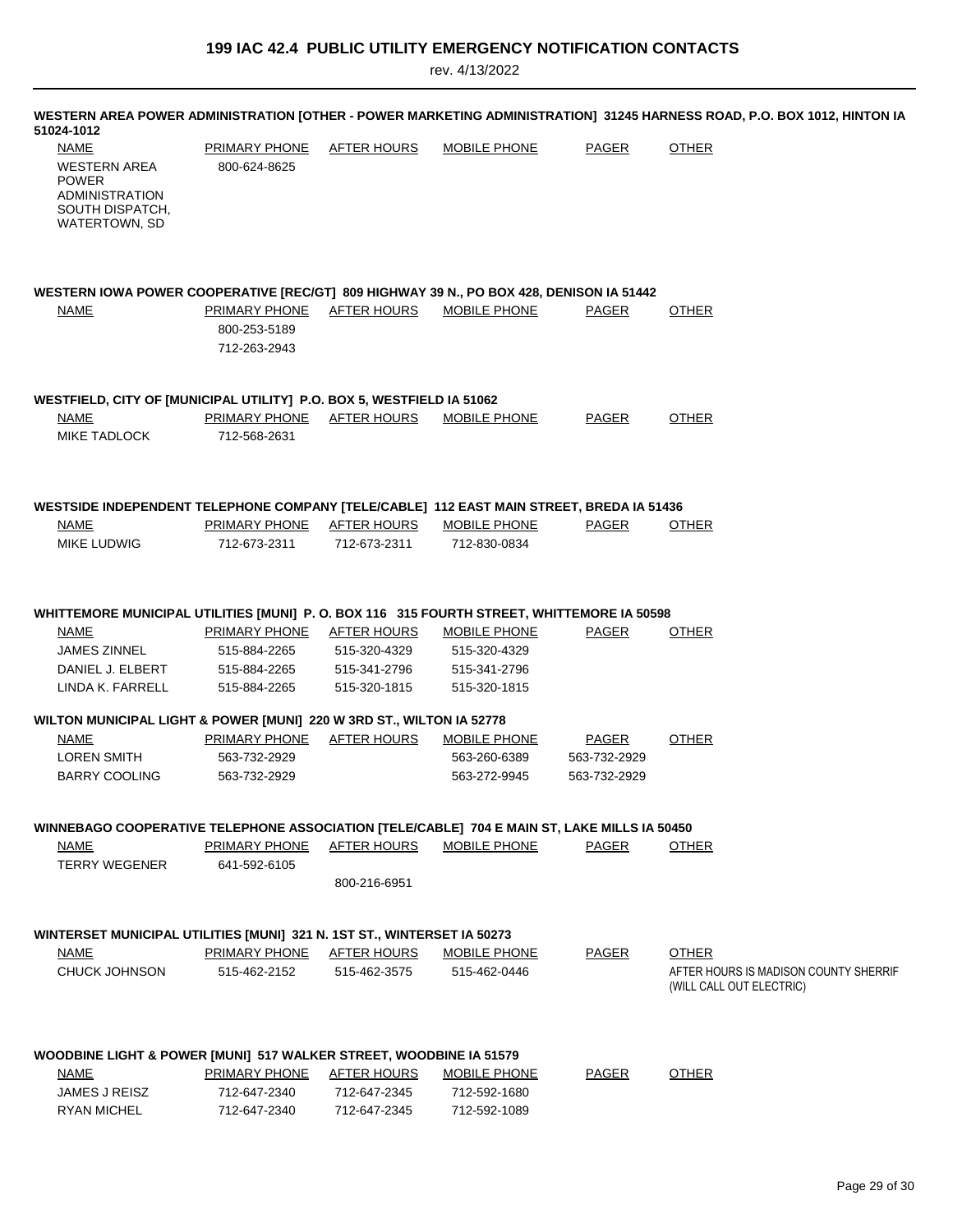| 51024-1012                                                                                                                       |                                      |                                    |                              |              | WESTERN AREA POWER ADMINISTRATION [OTHER - POWER MARKETING ADMINISTRATION] 31245 HARNESS ROAD, P.O. BOX 1012, HINTON IA |
|----------------------------------------------------------------------------------------------------------------------------------|--------------------------------------|------------------------------------|------------------------------|--------------|-------------------------------------------------------------------------------------------------------------------------|
| NAME<br>WESTERN AREA<br><b>POWER</b><br><b>ADMINISTRATION</b><br>SOUTH DISPATCH,<br>WATERTOWN, SD                                | PRIMARY PHONE<br>800-624-8625        | AFTER HOURS                        | MOBILE PHONE                 | <b>PAGER</b> | <b>OTHER</b>                                                                                                            |
| WESTERN IOWA POWER COOPERATIVE [REC/GT] 809 HIGHWAY 39 N., PO BOX 428, DENISON IA 51442<br><b>NAME</b>                           | <b>PRIMARY PHONE</b><br>800-253-5189 | <b>AFTER HOURS</b>                 | <b>MOBILE PHONE</b>          | <b>PAGER</b> | <b>OTHER</b>                                                                                                            |
|                                                                                                                                  | 712-263-2943                         |                                    |                              |              |                                                                                                                         |
| WESTFIELD, CITY OF [MUNICIPAL UTILITY] P.O. BOX 5, WESTFIELD IA 51062                                                            |                                      |                                    |                              |              |                                                                                                                         |
| <b>NAME</b><br><b>MIKE TADLOCK</b>                                                                                               | PRIMARY PHONE<br>712-568-2631        | AFTER HOURS                        | MOBILE PHONE                 | PAGER        | <b>OTHER</b>                                                                                                            |
| WESTSIDE INDEPENDENT TELEPHONE COMPANY [TELE/CABLE] 112 EAST MAIN STREET, BREDA IA 51436<br><b>NAME</b>                          | PRIMARY PHONE                        | AFTER HOURS                        | <b>MOBILE PHONE</b>          | <b>PAGER</b> | <b>OTHER</b>                                                                                                            |
| MIKE LUDWIG                                                                                                                      | 712-673-2311                         | 712-673-2311                       | 712-830-0834                 |              |                                                                                                                         |
| WHITTEMORE MUNICIPAL UTILITIES [MUNI] P. O. BOX 116 315 FOURTH STREET, WHITTEMORE IA 50598<br><b>NAME</b><br><b>JAMES ZINNEL</b> | PRIMARY PHONE<br>515-884-2265        | <b>AFTER HOURS</b><br>515-320-4329 | MOBILE PHONE<br>515-320-4329 | PAGER        | <b>OTHER</b>                                                                                                            |
| DANIEL J. ELBERT<br>LINDA K. FARRELL                                                                                             | 515-884-2265<br>515-884-2265         | 515-341-2796<br>515-320-1815       | 515-341-2796<br>515-320-1815 |              |                                                                                                                         |
| WILTON MUNICIPAL LIGHT & POWER [MUNI] 220 W 3RD ST., WILTON IA 52778                                                             |                                      |                                    |                              |              |                                                                                                                         |
| <b>NAME</b>                                                                                                                      | PRIMARY PHONE                        | <b>AFTER HOURS</b>                 | <b>MOBILE PHONE</b>          | <b>PAGER</b> | <b>OTHER</b>                                                                                                            |
| <b>LOREN SMITH</b>                                                                                                               | 563-732-2929                         |                                    | 563-260-6389                 | 563-732-2929 |                                                                                                                         |
| <b>BARRY COOLING</b>                                                                                                             | 563-732-2929                         |                                    | 563-272-9945                 | 563-732-2929 |                                                                                                                         |
| WINNEBAGO COOPERATIVE TELEPHONE ASSOCIATION [TELE/CABLE] 704 E MAIN ST, LAKE MILLS IA 50450                                      |                                      |                                    |                              |              |                                                                                                                         |
| <b>NAME</b>                                                                                                                      | <b>PRIMARY PHONE</b>                 | AFTER HOURS                        | MOBILE PHONE                 | PAGER        | <b>OTHER</b>                                                                                                            |
| <b>TERRY WEGENER</b>                                                                                                             | 641-592-6105                         |                                    |                              |              |                                                                                                                         |
|                                                                                                                                  |                                      | 800-216-6951                       |                              |              |                                                                                                                         |
| WINTERSET MUNICIPAL UTILITIES [MUNI] 321 N. 1ST ST., WINTERSET IA 50273                                                          |                                      |                                    |                              |              |                                                                                                                         |
| <b>NAME</b>                                                                                                                      | <b>PRIMARY PHONE</b>                 | <b>AFTER HOURS</b>                 | <b>MOBILE PHONE</b>          | <b>PAGER</b> | <b>OTHER</b>                                                                                                            |
| CHUCK JOHNSON                                                                                                                    | 515-462-2152                         | 515-462-3575                       | 515-462-0446                 |              | AFTER HOURS IS MADISON COUNTY SHERRIF<br>(WILL CALL OUT ELECTRIC)                                                       |
| WOODBINE LIGHT & POWER [MUNI] 517 WALKER STREET, WOODBINE IA 51579                                                               |                                      |                                    |                              |              |                                                                                                                         |
| <u>NAME</u>                                                                                                                      | <b>PRIMARY PHONE</b>                 | <b>AFTER HOURS</b>                 | <b>MOBILE PHONE</b>          | <b>PAGER</b> | <b>OTHER</b>                                                                                                            |
| JAMES J REISZ                                                                                                                    | 712-647-2340                         | 712-647-2345                       | 712-592-1680                 |              |                                                                                                                         |
| RYAN MICHEL                                                                                                                      | 712-647-2340                         | 712-647-2345                       | 712-592-1089                 |              |                                                                                                                         |